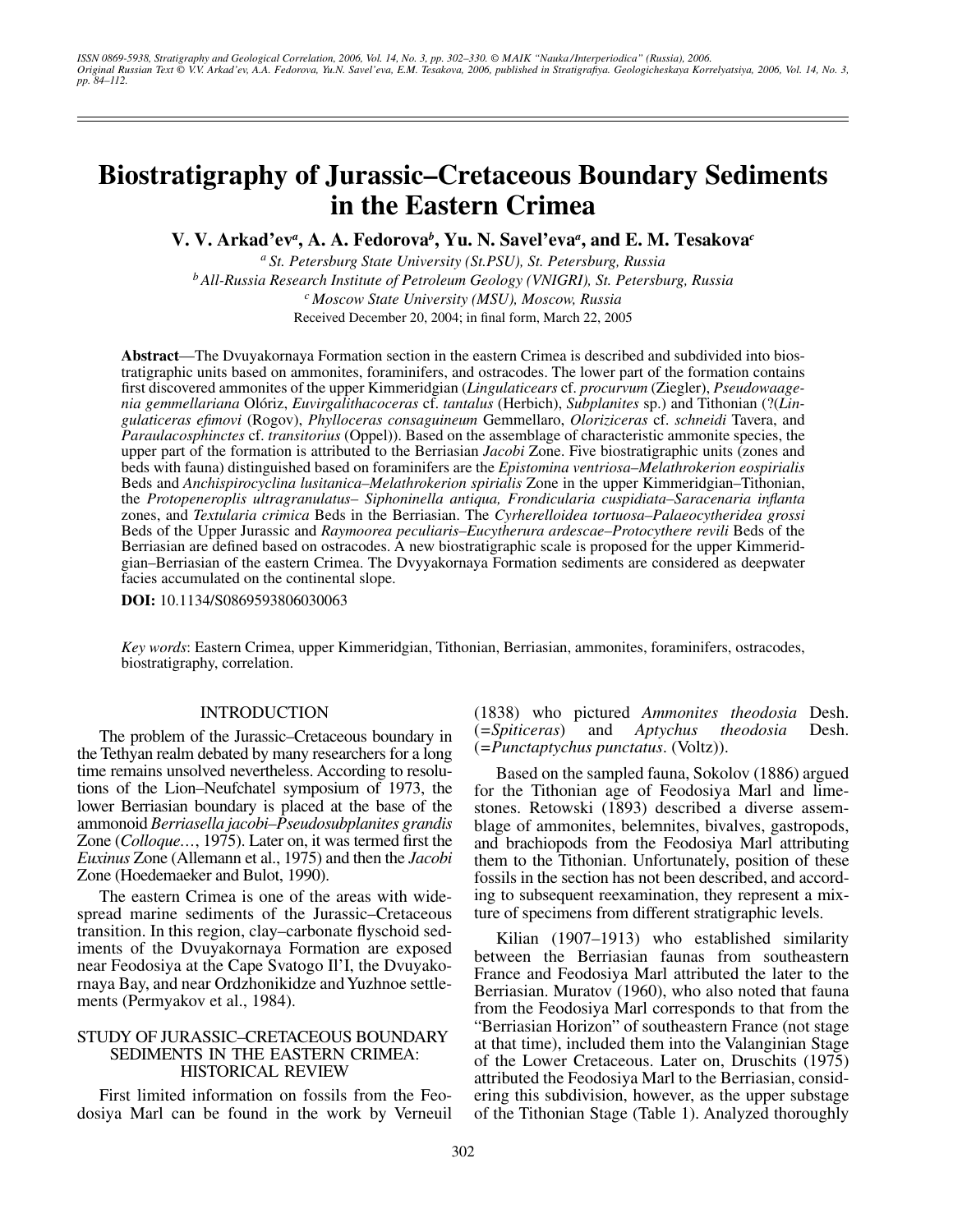# **Biostratigraphy of Jurassic–Cretaceous Boundary Sediments in the Eastern Crimea**

**V. V. Arkad'ev***<sup>a</sup>* **, A. A. Fedorova***<sup>b</sup>* **, Yu. N. Savel'eva***<sup>a</sup>* **, and E. M. Tesakova***<sup>c</sup>*

*a St. Petersburg State University (St.PSU), St. Petersburg, Russia b All-Russia Research Institute of Petroleum Geology (VNIGRI), St. Petersburg, Russia c Moscow State University (MSU), Moscow, Russia* Received December 20, 2004; in final form, March 22, 2005

**Abstract**—The Dvuyakornaya Formation section in the eastern Crimea is described and subdivided into biostratigraphic units based on ammonites, foraminifers, and ostracodes. The lower part of the formation contains first discovered ammonites of the upper Kimmeridgian (*Lingulaticears* cf. *procurvum* (Ziegler), *Pseudowaagenia gemmellariana* Olóriz, *Euvirgalithacoceras* cf. *tantalus* (Herbich), *Subplanites* sp.) and Tithonian (?(*Lingulaticeras efimovi* (Rogov), *Phylloceras consaguineum* Gemmellaro, *Oloriziceras* cf. *schneidi* Tavera, and *Paraulacosphinctes* cf. *transitorius* (Oppel)). Based on the assemblage of characteristic ammonite species, the upper part of the formation is attributed to the Berriasian *Jacobi* Zone. Five biostratigraphic units (zones and beds with fauna) distinguished based on foraminifers are the *Epistomina ventriosa–Melathrokerion eospirialis* Beds and *Anchispirocyclina lusitanica–Melathrokerion spirialis* Zone in the upper Kimmeridgian–Tithonian, the *Protopeneroplis ultragranulatus– Siphoninella antiqua, Frondicularia cuspidiata–Saracenaria inflanta* zones, and *Textularia crimica* Beds in the Berriasian. The *Cyrherelloidea tortuosa–Palaeocytheridea grossi* Beds of the Upper Jurassic and *Raymoorea peculiaris–Eucytherura ardescae–Protocythere revili* Beds of the Berriasian are defined based on ostracodes. A new biostratigraphic scale is proposed for the upper Kimmeridgian–Berriasian of the eastern Crimea. The Dvyyakornaya Formation sediments are considered as deepwater facies accumulated on the continental slope.

**DOI:** 10.1134/S0869593806030063

*Key words*: Eastern Crimea, upper Kimmeridgian, Tithonian, Berriasian, ammonites, foraminifers, ostracodes, biostratigraphy, correlation.

# INTRODUCTION

The problem of the Jurassic–Cretaceous boundary in the Tethyan realm debated by many researchers for a long time remains unsolved nevertheless. According to resolutions of the Lion–Neufchatel symposium of 1973, the lower Berriasian boundary is placed at the base of the ammonoid *Berriasella jacobi–Pseudosubplanites grandis* Zone (*Colloque…*, 1975). Later on, it was termed first the *Euxinus* Zone (Allemann et al., 1975) and then the *Jacobi* Zone (Hoedemaeker and Bulot, 1990).

The eastern Crimea is one of the areas with widespread marine sediments of the Jurassic–Cretaceous transition. In this region, clay–carbonate flyschoid sediments of the Dvuyakornaya Formation are exposed near Feodosiya at the Cape Svatogo Il'I, the Dvuyakornaya Bay, and near Ordzhonikidze and Yuzhnoe settlements (Permyakov et al., 1984).

# STUDY OF JURASSIC–CRETACEOUS BOUNDARY SEDIMENTS IN THE EASTERN CRIMEA: HISTORICAL REVIEW

First limited information on fossils from the Feodosiya Marl can be found in the work by Verneuil (1838) who pictured *Ammonites theodosia* Desh. (*=Spiticeras*) and *Aptychus theodosia* Desh. (*=Punctaptychus punctatus*. (Voltz)).

Based on the sampled fauna, Sokolov (1886) argued for the Tithonian age of Feodosiya Marl and limestones. Retowski (1893) described a diverse assemblage of ammonites, belemnites, bivalves, gastropods, and brachiopods from the Feodosiya Marl attributing them to the Tithonian. Unfortunately, position of these fossils in the section has not been described, and according to subsequent reexamination, they represent a mixture of specimens from different stratigraphic levels.

Kilian (1907–1913) who established similarity between the Berriasian faunas from southeastern France and Feodosiya Marl attributed the later to the Berriasian. Muratov (1960), who also noted that fauna from the Feodosiya Marl corresponds to that from the "Berriasian Horizon" of southeastern France (not stage at that time), included them into the Valanginian Stage of the Lower Cretaceous. Later on, Druschits (1975) attributed the Feodosiya Marl to the Berriasian, considering this subdivision, however, as the upper substage of the Tithonian Stage (Table 1). Analyzed thoroughly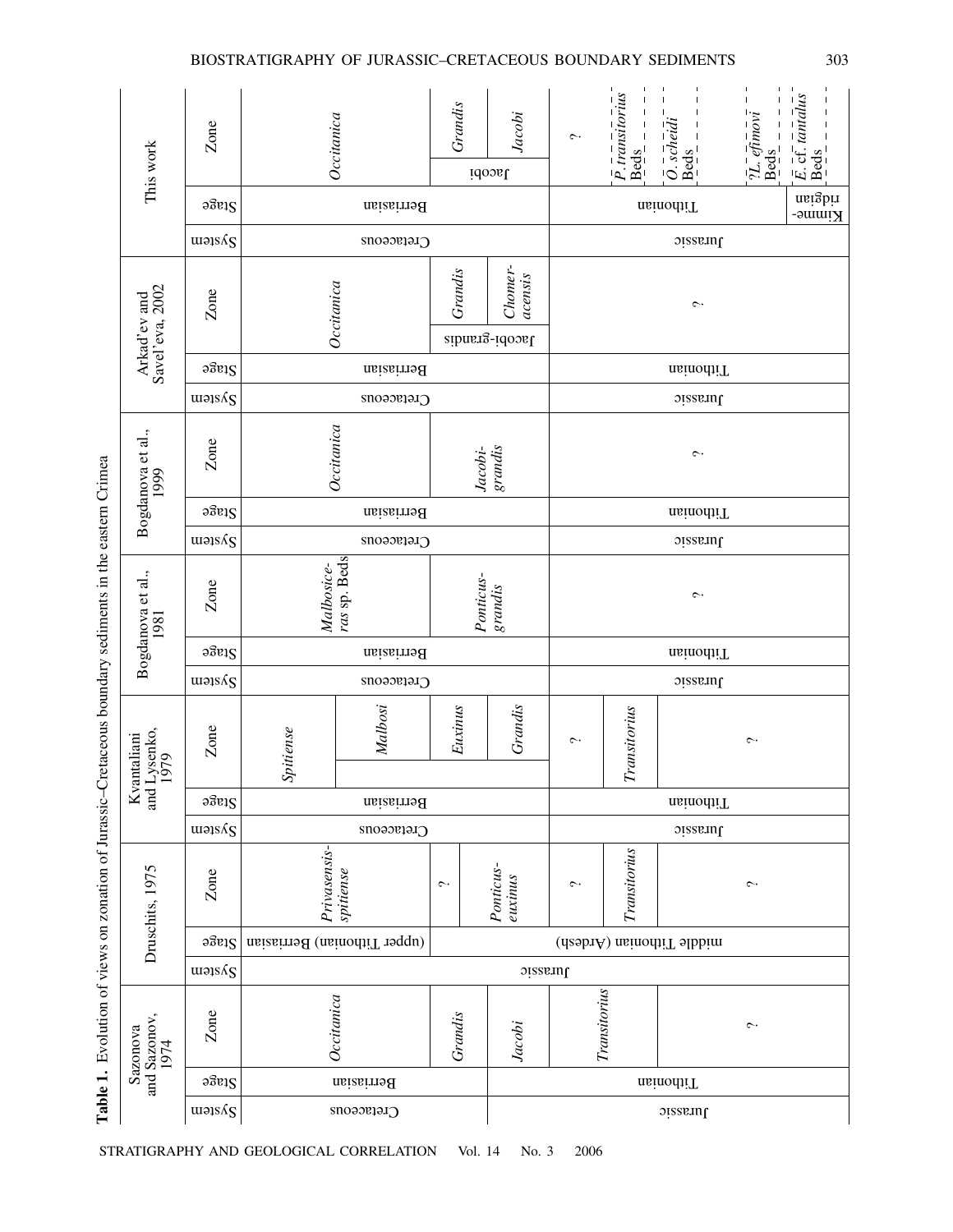|                                                                                                                                                                                                                                | This work                                                                          | Zone               |              | Occitanica                   | Grandis                 | 1асорі    | Jacobi                               | $\sim$                    | $\bar{P}$ . transitorius<br>Beds | $\overline{O}$ . scheidi<br>Beds<br>- - - - - - | $\mathsf I$<br>$\bar{u}$ . efinovi<br>$\mathsf I$<br>$\mathbf I$<br>Beds <sup>-</sup> | $\begin{bmatrix} \overline{E} & \overline{c}\overline{f} & \overline{t} & \overline{a}\overline{h}\overline{a}\overline{d}u\overline{s} \\ \underline{B}d\underline{s} & & \\ - & - & - \end{bmatrix}$ |
|--------------------------------------------------------------------------------------------------------------------------------------------------------------------------------------------------------------------------------|------------------------------------------------------------------------------------|--------------------|--------------|------------------------------|-------------------------|-----------|--------------------------------------|---------------------------|----------------------------------|-------------------------------------------------|---------------------------------------------------------------------------------------|--------------------------------------------------------------------------------------------------------------------------------------------------------------------------------------------------------|
|                                                                                                                                                                                                                                |                                                                                    | Stage              |              | Berriasian                   |                         |           |                                      |                           |                                  | nsinoniiT                                       |                                                                                       | $\operatorname{msight}$<br>Kinme-                                                                                                                                                                      |
|                                                                                                                                                                                                                                |                                                                                    | $u$ ajs $\delta S$ |              | $SNO$ 302131                 |                         |           |                                      |                           |                                  | Jurassic                                        |                                                                                       |                                                                                                                                                                                                        |
|                                                                                                                                                                                                                                | Savel'eva, 2002<br>Arkad'ev and                                                    | Zone               |              | Occitanica                   | Grandis                 |           | Chomer-<br>acensis<br>Jacobi-grandis |                           |                                  | $\sim$                                          |                                                                                       |                                                                                                                                                                                                        |
|                                                                                                                                                                                                                                |                                                                                    | $a$ gage           |              | <b>Rerriasian</b>            |                         |           |                                      |                           |                                  | nsinoniiT                                       |                                                                                       |                                                                                                                                                                                                        |
|                                                                                                                                                                                                                                |                                                                                    | $u$ aas $\delta$ s |              | Cretaceous                   |                         |           |                                      |                           |                                  | Jurassic                                        |                                                                                       |                                                                                                                                                                                                        |
| castelli Chillica                                                                                                                                                                                                              | Bogdanova et al.,<br>1999                                                          | Zone               |              | Occitanica                   |                         | Jacobi-   | grandis                              |                           |                                  | $\sim$                                          |                                                                                       |                                                                                                                                                                                                        |
|                                                                                                                                                                                                                                |                                                                                    | Stage              |              | Berriasian                   |                         |           |                                      |                           |                                  | Tithonian                                       |                                                                                       |                                                                                                                                                                                                        |
|                                                                                                                                                                                                                                |                                                                                    | $u$ aarem          |              | $C$ retaceous                |                         |           |                                      |                           |                                  | Jurassic                                        |                                                                                       |                                                                                                                                                                                                        |
| Anno mariamente l'internet de la changia della control                                                                                                                                                                         | Bogdanova et al.,<br>1981                                                          | Zone               | Malbosice-   | ras sp. Beds                 |                         | Ponticus- | grandis                              |                           |                                  | $\sim$                                          |                                                                                       |                                                                                                                                                                                                        |
|                                                                                                                                                                                                                                |                                                                                    | $\mathfrak{BerS}$  |              | Berriasian                   |                         |           |                                      |                           |                                  | rithonian                                       |                                                                                       |                                                                                                                                                                                                        |
|                                                                                                                                                                                                                                |                                                                                    | $u$ aarem          |              | Cretaceous                   |                         |           |                                      |                           |                                  | Jurassic                                        |                                                                                       |                                                                                                                                                                                                        |
|                                                                                                                                                                                                                                | ysenko,<br>Kvantaliani<br>979<br>$\overline{ }$                                    | Zone               | Spitiense    | Malbosi                      | Euxinus                 |           | Grandis                              | $\widehat{\phantom{m}}$ . | Transitorius                     |                                                 | $\mathop{\sim}\limits$                                                                |                                                                                                                                                                                                        |
|                                                                                                                                                                                                                                | and L                                                                              | $\rm sgs$          |              | Berriasian                   |                         |           |                                      |                           |                                  | nsinoniiT                                       |                                                                                       |                                                                                                                                                                                                        |
|                                                                                                                                                                                                                                |                                                                                    | $u$ ajs $\delta$   |              | $C$ retaceous                |                         |           |                                      |                           |                                  | Jurassic                                        |                                                                                       |                                                                                                                                                                                                        |
| meaning it is morning a morning of the morning of the state of the state of the state of the state of the state of the state of the state of the state of the state of the state of the state of the state of the state of the | Druschits, 1975                                                                    | Zone               | Privasensis- | spitiense                    | $\widehat{\phantom{m}}$ |           | Ponticus-<br>euxinus                 | $\sim$                    | Transitorius                     |                                                 | $\sim$                                                                                |                                                                                                                                                                                                        |
|                                                                                                                                                                                                                                |                                                                                    | Stage              |              | (upper Tithonian) Berriasian |                         |           |                                      |                           |                                  | middle Tithonian (Ardesh)                       |                                                                                       |                                                                                                                                                                                                        |
|                                                                                                                                                                                                                                |                                                                                    | $u$ ajs $\delta S$ |              |                              |                         |           | Jurassic                             |                           |                                  |                                                 |                                                                                       |                                                                                                                                                                                                        |
|                                                                                                                                                                                                                                | and Sazonov,<br>Sazonova<br>1974                                                   | Zone               |              | Occitanica                   | Grandis                 |           | Jacobi                               |                           | Transitorius                     |                                                 | $\widehat{\phantom{m}}$ .                                                             |                                                                                                                                                                                                        |
| awic 1.                                                                                                                                                                                                                        | $\mathfrak{s}\mathfrak{s}\mathfrak{e}\mathfrak{i}\mathfrak{S}$<br><b>Remiasian</b> |                    |              |                              |                         | nsinoniiT |                                      |                           |                                  |                                                 |                                                                                       |                                                                                                                                                                                                        |
|                                                                                                                                                                                                                                |                                                                                    | $u$ ays $\delta S$ |              | Cretaceous                   |                         |           |                                      |                           |                                  | Jurassic                                        |                                                                                       |                                                                                                                                                                                                        |

**Table 1.** Evolution of views on zonation of Jurassic-Cretaceous boundary sediments in the eastern Crimea **Table 1.** Evolution of views on zonation of Jurassic–Cretaceous boundary sediments in the eastern Crimea

# STRATIGRAPHY AND GEOLOGICAL CORRELATION Vol. 14 No. 3 2006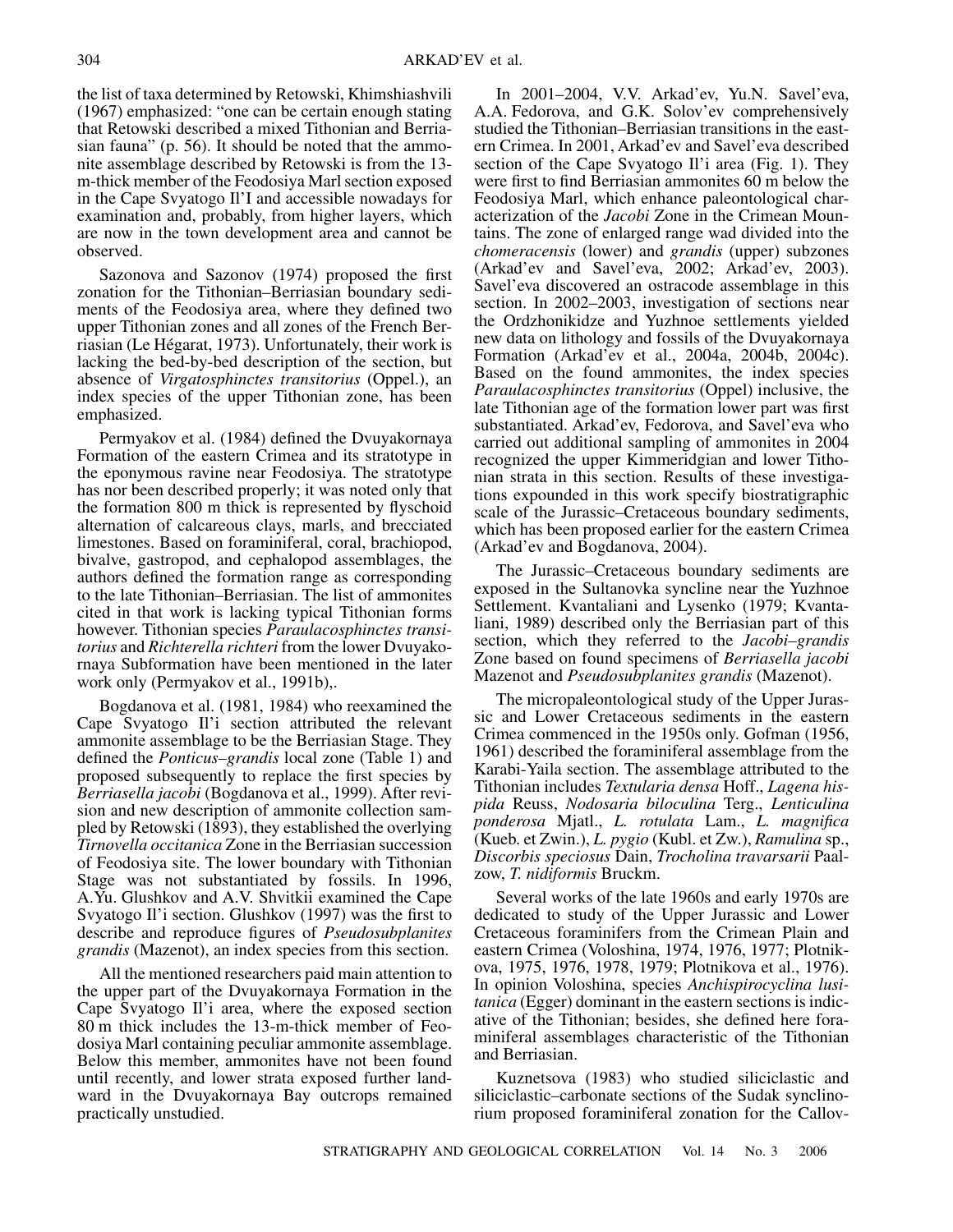the list of taxa determined by Retowski, Khimshiashvili (1967) emphasized: "one can be certain enough stating that Retowski described a mixed Tithonian and Berriasian fauna" (p. 56). It should be noted that the ammonite assemblage described by Retowski is from the 13 m-thick member of the Feodosiya Marl section exposed in the Cape Svyatogo Il'I and accessible nowadays for examination and, probably, from higher layers, which are now in the town development area and cannot be observed.

Sazonova and Sazonov (1974) proposed the first zonation for the Tithonian–Berriasian boundary sediments of the Feodosiya area, where they defined two upper Tithonian zones and all zones of the French Berriasian (Le Hégarat, 1973). Unfortunately, their work is lacking the bed-by-bed description of the section, but absence of *Virgatosphinctes transitorius* (Oppel.), an index species of the upper Tithonian zone, has been emphasized.

Permyakov et al. (1984) defined the Dvuyakornaya Formation of the eastern Crimea and its stratotype in the eponymous ravine near Feodosiya. The stratotype has nor been described properly; it was noted only that the formation 800 m thick is represented by flyschoid alternation of calcareous clays, marls, and brecciated limestones. Based on foraminiferal, coral, brachiopod, bivalve, gastropod, and cephalopod assemblages, the authors defined the formation range as corresponding to the late Tithonian–Berriasian. The list of ammonites cited in that work is lacking typical Tithonian forms however. Tithonian species *Paraulacosphinctes transitorius* and *Richterella richteri* from the lower Dvuyakornaya Subformation have been mentioned in the later work only (Permyakov et al., 1991b),.

Bogdanova et al. (1981, 1984) who reexamined the Cape Svyatogo Il'i section attributed the relevant ammonite assemblage to be the Berriasian Stage. They defined the *Ponticus–grandis* local zone (Table 1) and proposed subsequently to replace the first species by *Berriasella jacobi* (Bogdanova et al., 1999). After revision and new description of ammonite collection sampled by Retowski (1893), they established the overlying *Tirnovella occitanica* Zone in the Berriasian succession of Feodosiya site. The lower boundary with Tithonian Stage was not substantiated by fossils. In 1996, A.Yu. Glushkov and A.V. Shvitkii examined the Cape Svyatogo Il'i section. Glushkov (1997) was the first to describe and reproduce figures of *Pseudosubplanites grandis* (Mazenot), an index species from this section.

All the mentioned researchers paid main attention to the upper part of the Dvuyakornaya Formation in the Cape Svyatogo Il'i area, where the exposed section 80 m thick includes the 13-m-thick member of Feodosiya Marl containing peculiar ammonite assemblage. Below this member, ammonites have not been found until recently, and lower strata exposed further landward in the Dvuyakornaya Bay outcrops remained practically unstudied.

In 2001–2004, V.V. Arkad'ev, Yu.N. Savel'eva, A.A. Fedorova, and G.K. Solov'ev comprehensively studied the Tithonian–Berriasian transitions in the eastern Crimea. In 2001, Arkad'ev and Savel'eva described section of the Cape Svyatogo Il'i area (Fig. 1). They were first to find Berriasian ammonites 60 m below the Feodosiya Marl, which enhance paleontological characterization of the *Jacobi* Zone in the Crimean Mountains. The zone of enlarged range wad divided into the *chomeracensis* (lower) and *grandis* (upper) subzones (Arkad'ev and Savel'eva, 2002; Arkad'ev, 2003). Savel'eva discovered an ostracode assemblage in this section. In 2002–2003, investigation of sections near the Ordzhonikidze and Yuzhnoe settlements yielded new data on lithology and fossils of the Dvuyakornaya Formation (Arkad'ev et al., 2004a, 2004b, 2004c). Based on the found ammonites, the index species *Paraulacosphinctes transitorius* (Oppel) inclusive, the late Tithonian age of the formation lower part was first substantiated. Arkad'ev, Fedorova, and Savel'eva who carried out additional sampling of ammonites in 2004 recognized the upper Kimmeridgian and lower Tithonian strata in this section. Results of these investigations expounded in this work specify biostratigraphic scale of the Jurassic–Cretaceous boundary sediments, which has been proposed earlier for the eastern Crimea (Arkad'ev and Bogdanova, 2004).

The Jurassic–Cretaceous boundary sediments are exposed in the Sultanovka syncline near the Yuzhnoe Settlement. Kvantaliani and Lysenko (1979; Kvantaliani, 1989) described only the Berriasian part of this section, which they referred to the *Jacobi–grandis* Zone based on found specimens of *Berriasella jacobi* Mazenot and *Pseudosubplanites grandis* (Mazenot).

The micropaleontological study of the Upper Jurassic and Lower Cretaceous sediments in the eastern Crimea commenced in the 1950s only. Gofman (1956, 1961) described the foraminiferal assemblage from the Karabi-Yaila section. The assemblage attributed to the Tithonian includes *Textularia densa* Hoff., *Lagena hispida* Reuss, *Nodosaria biloculina* Terg., *Lenticulina ponderosa* Mjatl., *L. rotulata* Lam., *L. magnifica* (Kueb. et Zwin.), *L. pygio* (Kubl. et Zw.), *Ramulina* sp., *Discorbis speciosus* Dain, *Trocholina travarsarii* Paalzow, *T. nidiformis* Bruckm.

Several works of the late 1960s and early 1970s are dedicated to study of the Upper Jurassic and Lower Cretaceous foraminifers from the Crimean Plain and eastern Crimea (Voloshina, 1974, 1976, 1977; Plotnikova, 1975, 1976, 1978, 1979; Plotnikova et al., 1976). In opinion Voloshina, species *Anchispirocyclina lusitanica* (Egger) dominant in the eastern sections is indicative of the Tithonian; besides, she defined here foraminiferal assemblages characteristic of the Tithonian and Berriasian.

Kuznetsova (1983) who studied siliciclastic and siliciclastic–carbonate sections of the Sudak synclinorium proposed foraminiferal zonation for the Callov-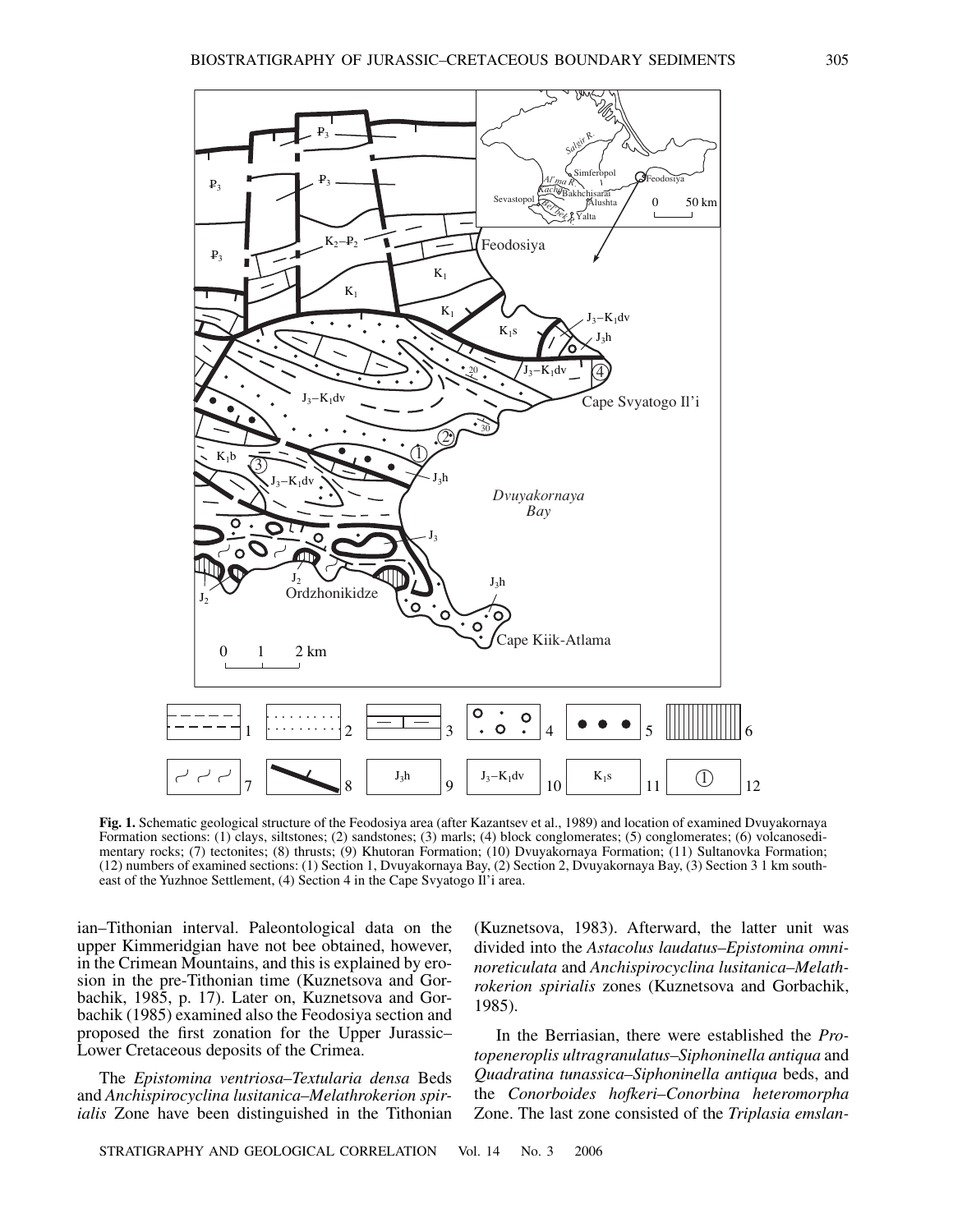

**Fig. 1.** Schematic geological structure of the Feodosiya area (after Kazantsev et al., 1989) and location of examined Dvuyakornaya Formation sections: (1) clays, siltstones; (2) sandstones; (3) marls; (4) block conglomerates; (5) conglomerates; (6) volcanosedimentary rocks; (7) tectonites; (8) thrusts; (9) Khutoran Formation; (10) Dvuyakornaya Formation; (11) Sultanovka Formation; (12) numbers of examined sections: (1) Section 1, Dvuyakornaya Bay, (2) Section 2, Dvuyakornaya Bay, (3) Section 3 1 km southeast of the Yuzhnoe Settlement, (4) Section 4 in the Cape Svyatogo Il'i area.

ian–Tithonian interval. Paleontological data on the upper Kimmeridgian have not bee obtained, however, in the Crimean Mountains, and this is explained by erosion in the pre-Tithonian time (Kuznetsova and Gorbachik, 1985, p. 17). Later on, Kuznetsova and Gorbachik (1985) examined also the Feodosiya section and proposed the first zonation for the Upper Jurassic– Lower Cretaceous deposits of the Crimea.

The *Epistomina ventriosa–Textularia densa* Beds and *Anchispirocyclina lusitanica–Melathrokerion spirialis* Zone have been distinguished in the Tithonian

(Kuznetsova, 1983). Afterward, the latter unit was divided into the *Astacolus laudatus–Epistomina omninoreticulata* and *Anchispirocyclina lusitanica–Melathrokerion spirialis* zones (Kuznetsova and Gorbachik, 1985).

In the Berriasian, there were established the *Protopeneroplis ultragranulatus–Siphoninella antiqua* and *Quadratina tunassica–Siphoninella antiqua* beds, and the *Conorboides hofkeri–Conorbina heteromorpha* Zone. The last zone consisted of the *Triplasia emslan-*

STRATIGRAPHY AND GEOLOGICAL CORRELATION Vol. 14 No. 3 2006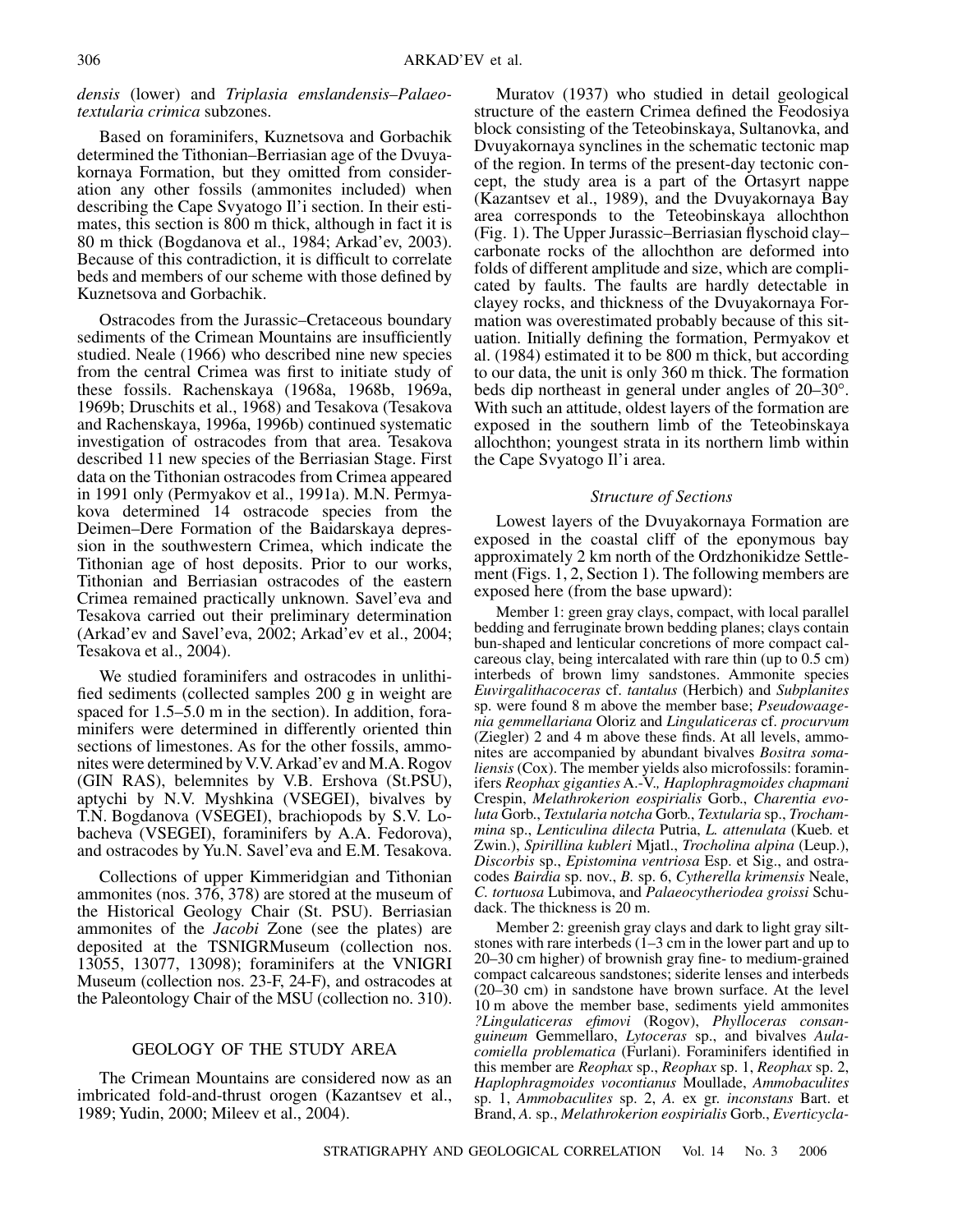# *densis* (lower) and *Triplasia emslandensis–Palaeotextularia crimica* subzones.

Based on foraminifers, Kuznetsova and Gorbachik determined the Tithonian–Berriasian age of the Dvuyakornaya Formation, but they omitted from consideration any other fossils (ammonites included) when describing the Cape Svyatogo Il'i section. In their estimates, this section is 800 m thick, although in fact it is 80 m thick (Bogdanova et al., 1984; Arkad'ev, 2003). Because of this contradiction, it is difficult to correlate beds and members of our scheme with those defined by Kuznetsova and Gorbachik.

Ostracodes from the Jurassic–Cretaceous boundary sediments of the Crimean Mountains are insufficiently studied. Neale (1966) who described nine new species from the central Crimea was first to initiate study of these fossils. Rachenskaya (1968a, 1968b, 1969a, 1969b; Druschits et al., 1968) and Tesakova (Tesakova and Rachenskaya, 1996a, 1996b) continued systematic investigation of ostracodes from that area. Tesakova described 11 new species of the Berriasian Stage. First data on the Tithonian ostracodes from Crimea appeared in 1991 only (Permyakov et al., 1991a). M.N. Permyakova determined 14 ostracode species from the Deimen–Dere Formation of the Baidarskaya depression in the southwestern Crimea, which indicate the Tithonian age of host deposits. Prior to our works, Tithonian and Berriasian ostracodes of the eastern Crimea remained practically unknown. Savel'eva and Tesakova carried out their preliminary determination (Arkad'ev and Savel'eva, 2002; Arkad'ev et al., 2004; Tesakova et al., 2004).

We studied foraminifers and ostracodes in unlithified sediments (collected samples 200 g in weight are spaced for 1.5–5.0 m in the section). In addition, foraminifers were determined in differently oriented thin sections of limestones. As for the other fossils, ammonites were determined by V.V. Arkad'ev and M.A. Rogov (GIN RAS), belemnites by V.B. Ershova (St.PSU), aptychi by N.V. Myshkina (VSEGEI), bivalves by T.N. Bogdanova (VSEGEI), brachiopods by S.V. Lobacheva (VSEGEI), foraminifers by A.A. Fedorova), and ostracodes by Yu.N. Savel'eva and E.M. Tesakova.

Collections of upper Kimmeridgian and Tithonian ammonites (nos. 376, 378) are stored at the museum of the Historical Geology Chair (St. PSU). Berriasian ammonites of the *Jacobi* Zone (see the plates) are deposited at the TSNIGRMuseum (collection nos. 13055, 13077, 13098); foraminifers at the VNIGRI Museum (collection nos. 23-F, 24-F), and ostracodes at the Paleontology Chair of the MSU (collection no. 310).

# GEOLOGY OF THE STUDY AREA

The Crimean Mountains are considered now as an imbricated fold-and-thrust orogen (Kazantsev et al., 1989; Yudin, 2000; Mileev et al., 2004).

Muratov (1937) who studied in detail geological structure of the eastern Crimea defined the Feodosiya block consisting of the Teteobinskaya, Sultanovka, and Dvuyakornaya synclines in the schematic tectonic map of the region. In terms of the present-day tectonic concept, the study area is a part of the Ortasyrt nappe (Kazantsev et al., 1989), and the Dvuyakornaya Bay area corresponds to the Teteobinskaya allochthon (Fig. 1). The Upper Jurassic–Berriasian flyschoid clay– carbonate rocks of the allochthon are deformed into folds of different amplitude and size, which are complicated by faults. The faults are hardly detectable in clayey rocks, and thickness of the Dvuyakornaya Formation was overestimated probably because of this situation. Initially defining the formation, Permyakov et al. (1984) estimated it to be 800 m thick, but according to our data, the unit is only 360 m thick. The formation beds dip northeast in general under angles of 20–30°. With such an attitude, oldest layers of the formation are exposed in the southern limb of the Teteobinskaya allochthon; youngest strata in its northern limb within the Cape Svyatogo Il'i area.

#### *Structure of Sections*

Lowest layers of the Dvuyakornaya Formation are exposed in the coastal cliff of the eponymous bay approximately 2 km north of the Ordzhonikidze Settlement (Figs. 1, 2, Section 1). The following members are exposed here (from the base upward):

Member 1: green gray clays, compact, with local parallel bedding and ferruginate brown bedding planes; clays contain bun-shaped and lenticular concretions of more compact calcareous clay, being intercalated with rare thin (up to 0.5 cm) interbeds of brown limy sandstones. Ammonite species *Euvirgalithacoceras* cf. *tantalus* (Herbich) and *Subplanites* sp. were found 8 m above the member base; *Pseudowaagenia gemmellariana* Oloriz and *Lingulaticeras* cf. *procurvum* (Ziegler) 2 and 4 m above these finds. At all levels, ammonites are accompanied by abundant bivalves *Bositra somaliensis* (Cox). The member yields also microfossils: foraminifers *Reophax giganties* A.-V.*, Haplophragmoides chapmani* Crespin, *Melathrokerion eospirialis* Gorb., *Charentia evoluta* Gorb., *Textularia notcha* Gorb., *Textularia* sp., *Trochammina* sp., *Lenticulina dilecta* Putria, *L. attenulata* (Kueb. et Zwin.), *Spirillina kubleri* Mjatl., *Trocholina alpina* (Leup.), *Discorbis* sp., *Epistomina ventriosa* Esp. et Sig., and ostracodes *Bairdia* sp. nov., *B.* sp. 6, *Cytherella krimensis* Neale, *C. tortuosa* Lubimova, and *Palaeocytheriodea groissi* Schudack. The thickness is 20 m.

Member 2: greenish gray clays and dark to light gray siltstones with rare interbeds  $(1-3$  cm in the lower part and up to 20–30 cm higher) of brownish gray fine- to medium-grained compact calcareous sandstones; siderite lenses and interbeds (20–30 cm) in sandstone have brown surface. At the level 10 m above the member base, sediments yield ammonites *?Lingulaticeras efimovi* (Rogov), *Phylloceras consanguineum* Gemmellaro, *Lytoceras* sp., and bivalves *Aulacomiella problematica* (Furlani). Foraminifers identified in this member are *Reophax* sp., *Reophax* sp. 1, *Reophax* sp. 2, *Haplophragmoides vocontianus* Moullade, *Ammobaculites* sp. 1, *Ammobaculites* sp. 2, *A.* ex gr. *inconstans* Bart. et Brand, *A.* sp., *Melathrokerion eospirialis* Gorb., *Everticycla-*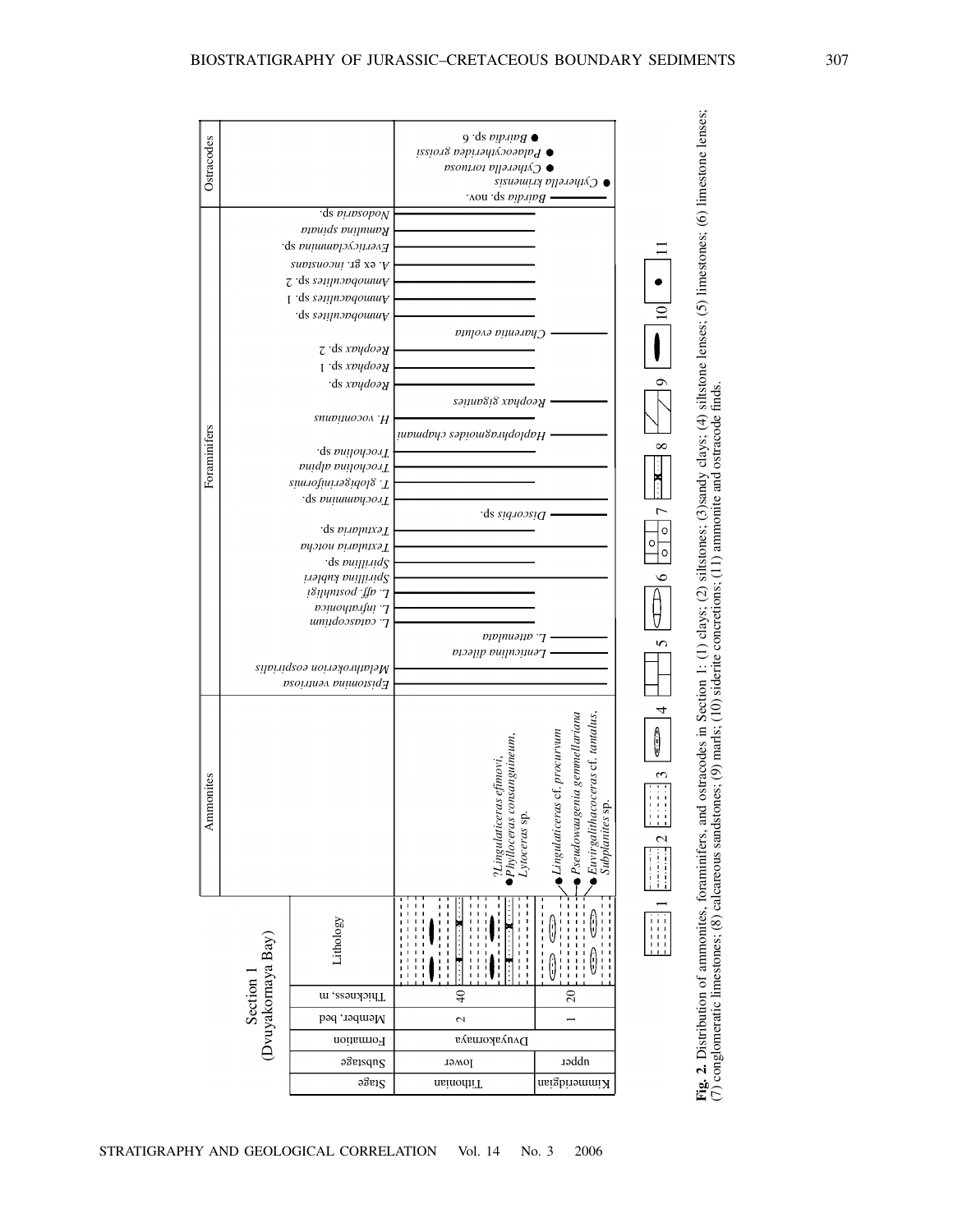

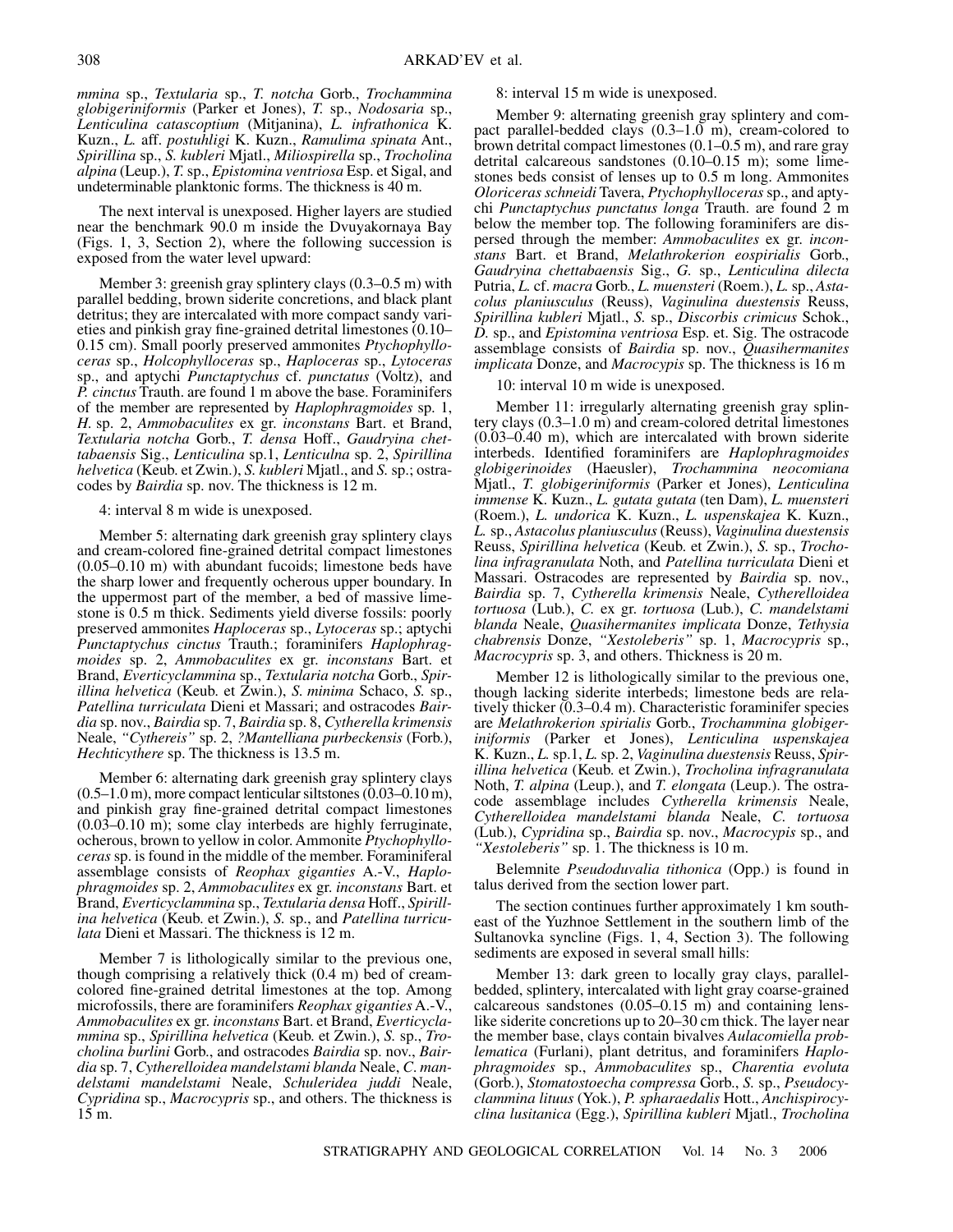*mmina* sp., *Textularia* sp., *T. notcha* Gorb., *Trochammina globigeriniformis* (Parker et Jones), *T.* sp., *Nodosaria* sp., *Lenticulina catascoptium* (Mitjanina), *L. infrathonica* K. Kuzn., *L.* aff. *postuhligi* K. Kuzn., *Ramulima spinata* Ant., *Spirillina* sp., *S. kubleri* Mjatl., *Miliospirella* sp., *Trocholina alpina* (Leup.), *T.* sp., *Epistomina ventriosa* Esp. et Sigal, and undeterminable planktonic forms. The thickness is 40 m.

The next interval is unexposed. Higher layers are studied near the benchmark 90.0 m inside the Dvuyakornaya Bay (Figs. 1, 3, Section 2), where the following succession is exposed from the water level upward:

Member 3: greenish gray splintery clays  $(0.3-0.5 \text{ m})$  with parallel bedding, brown siderite concretions, and black plant detritus; they are intercalated with more compact sandy varieties and pinkish gray fine-grained detrital limestones (0.10– 0.15 cm). Small poorly preserved ammonites *Ptychophylloceras* sp., *Holcophylloceras* sp., *Haploceras* sp., *Lytoceras* sp., and aptychi *Punctaptychus* cf. *punctatus* (Voltz), and *P. cinctus* Trauth. are found 1 m above the base. Foraminifers of the member are represented by *Haplophragmoides* sp. 1, *H.* sp. 2, *Ammobaculites* ex gr. *inconstans* Bart. et Brand, *Textularia notcha* Gorb., *T. densa* Hoff., *Gaudryina chettabaensis* Sig., *Lenticulina* sp.1, *Lenticulna* sp. 2, *Spirillina helvetica* (Keub. et Zwin.), *S. kubleri* Mjatl., and *S.* sp.; ostracodes by *Bairdia* sp. nov. The thickness is 12 m.

4: interval 8 m wide is unexposed.

Member 5: alternating dark greenish gray splintery clays and cream-colored fine-grained detrital compact limestones (0.05–0.10 m) with abundant fucoids; limestone beds have the sharp lower and frequently ocherous upper boundary. In the uppermost part of the member, a bed of massive limestone is 0.5 m thick. Sediments yield diverse fossils: poorly preserved ammonites *Haploceras* sp., *Lytoceras* sp.; aptychi *Punctaptychus cinctus* Trauth.; foraminifers *Haplophragmoides* sp. 2, *Ammobaculites* ex gr. *inconstans* Bart. et Brand, *Everticyclammina* sp., *Textularia notcha* Gorb., *Spirillina helvetica* (Keub. et Zwin.), *S. minima* Schaco, *S.* sp., *Patellina turriculata* Dieni et Massari; and ostracodes *Bairdia* sp. nov., *Bairdia* sp. 7, *Bairdia* sp. 8, *Cytherella krimensis* Neale, *"Cythereis"* sp. 2, *?Mantelliana purbeckensis* (Forb.), *Hechticythere* sp. The thickness is 13.5 m.

Member 6: alternating dark greenish gray splintery clays (0.5–1.0 m), more compact lenticular siltstones (0.03–0.10 m), and pinkish gray fine-grained detrital compact limestones (0.03–0.10 m); some clay interbeds are highly ferruginate, ocherous, brown to yellow in color. Ammonite *Ptychophylloceras* sp. is found in the middle of the member. Foraminiferal assemblage consists of *Reophax giganties* A.-V., *Haplophragmoides* sp. 2, *Ammobaculites* ex gr. *inconstans* Bart. et Brand, *Everticyclammina* sp., *Textularia densa* Hoff., *Spirillina helvetica* (Keub. et Zwin.), *S.* sp., and *Patellina turriculata* Dieni et Massari. The thickness is 12 m.

Member 7 is lithologically similar to the previous one, though comprising a relatively thick (0.4 m) bed of creamcolored fine-grained detrital limestones at the top. Among microfossils, there are foraminifers *Reophax giganties* A.-V., *Ammobaculites* ex gr. *inconstans* Bart. et Brand, *Everticyclammina* sp., *Spirillina helvetica* (Keub. et Zwin.), *S.* sp., *Trocholina burlini* Gorb., and ostracodes *Bairdia* sp. nov., *Bairdia* sp. 7, *Cytherelloidea mandelstami blanda* Neale, *C*. *mandelstami mandelstami* Neale, *Schuleridea juddi* Neale, *Cypridina* sp., *Macrocypris* sp., and others. The thickness is 15 m.

8: interval 15 m wide is unexposed.

Member 9: alternating greenish gray splintery and compact parallel-bedded clays  $(0.3-1.0 \text{ m})$ , cream-colored to brown detrital compact limestones (0.1–0.5 m), and rare gray detrital calcareous sandstones (0.10–0.15 m); some limestones beds consist of lenses up to 0.5 m long. Ammonites *Oloriceras schneidi* Tavera, *Ptychophylloceras* sp., and aptychi *Punctaptychus punctatus longa* Trauth. are found 2 m below the member top. The following foraminifers are dispersed through the member: *Ammobaculites* ex gr. *inconstans* Bart. et Brand, *Melathrokerion eospirialis* Gorb., *Gaudryina chettabaensis* Sig., *G.* sp., *Lenticulina dilecta* Putria, *L.* cf. *macra* Gorb., *L. muensteri* (Roem.), *L.* sp., *Astacolus planiusculus* (Reuss), *Vaginulina duestensis* Reuss, *Spirillina kubleri* Mjatl., *S.* sp., *Discorbis crimicus* Schok., *D.* sp., and *Epistomina ventriosa* Esp. et. Sig. The ostracode assemblage consists of *Bairdia* sp. nov., *Quasihermanites implicata* Donze, and *Macrocypis* sp. The thickness is 16 m

10: interval 10 m wide is unexposed.

Member 11: irregularly alternating greenish gray splintery clays (0.3–1.0 m) and cream-colored detrital limestones (0.03–0.40 m), which are intercalated with brown siderite interbeds. Identified foraminifers are *Haplophragmoides globigerinoides* (Haeusler), *Trochammina neocomiana* Mjatl., *T. globigeriniformis* (Parker et Jones), *Lenticulina immense* K. Kuzn., *L. gutata gutata* (ten Dam), *L. muensteri* (Roem.), *L. undorica* K. Kuzn., *L. uspenskajea* K. Kuzn., *L.* sp., *Astacolus planiusculus* (Reuss), *Vaginulina duestensis* Reuss, *Spirillina helvetica* (Keub. et Zwin.), *S.* sp., *Trocholina infragranulata* Noth, and *Patellina turriculata* Dieni et Massari. Ostracodes are represented by *Bairdia* sp. nov., *Bairdia* sp. 7, *Cytherella krimensis* Neale, *Cytherelloidea tortuosa* (Lub.), *C.* ex gr. *tortuosa* (Lub.), *C. mandelstami blanda* Neale, *Quasihermanites implicata* Donze, *Tethysia chabrensis* Donze, *"Xestoleberis"* sp. 1, *Macrocypris* sp., *Macrocypris* sp. 3, and others. Thickness is 20 m.

Member 12 is lithologically similar to the previous one, though lacking siderite interbeds; limestone beds are relatively thicker (0.3–0.4 m). Characteristic foraminifer species are *Melathrokerion spirialis* Gorb., *Trochammina globigeriniformis* (Parker et Jones), *Lenticulina uspenskajea* K. Kuzn., *L.* sp.1, *L.* sp. 2, *Vaginulina duestensis* Reuss, *Spirillina helvetica* (Keub. et Zwin.), *Trocholina infragranulata* Noth, *T. alpina* (Leup.), and *T. elongata* (Leup.). The ostracode assemblage includes *Cytherella krimensis* Neale, *Cytherelloidea mandelstami blanda* Neale, *C. tortuosa* (Lub.), *Cypridina* sp., *Bairdia* sp. nov., *Macrocypis* sp., and *"Xestoleberis"* sp. 1. The thickness is 10 m.

Belemnite *Pseudoduvalia tithonica* (Opp.) is found in talus derived from the section lower part.

The section continues further approximately 1 km southeast of the Yuzhnoe Settlement in the southern limb of the Sultanovka syncline (Figs. 1, 4, Section 3). The following sediments are exposed in several small hills:

Member 13: dark green to locally gray clays, parallelbedded, splintery, intercalated with light gray coarse-grained calcareous sandstones (0.05–0.15 m) and containing lenslike siderite concretions up to 20–30 cm thick. The layer near the member base, clays contain bivalves *Aulacomiella problematica* (Furlani), plant detritus, and foraminifers *Haplophragmoides* sp., *Ammobaculites* sp., *Charentia evoluta* (Gorb.), *Stomatostoecha compressa* Gorb., *S.* sp., *Pseudocyclammina lituus* (Yok.), *P. spharaedalis* Hott., *Anchispirocyclina lusitanica* (Egg.), *Spirillina kubleri* Mjatl., *Trocholina*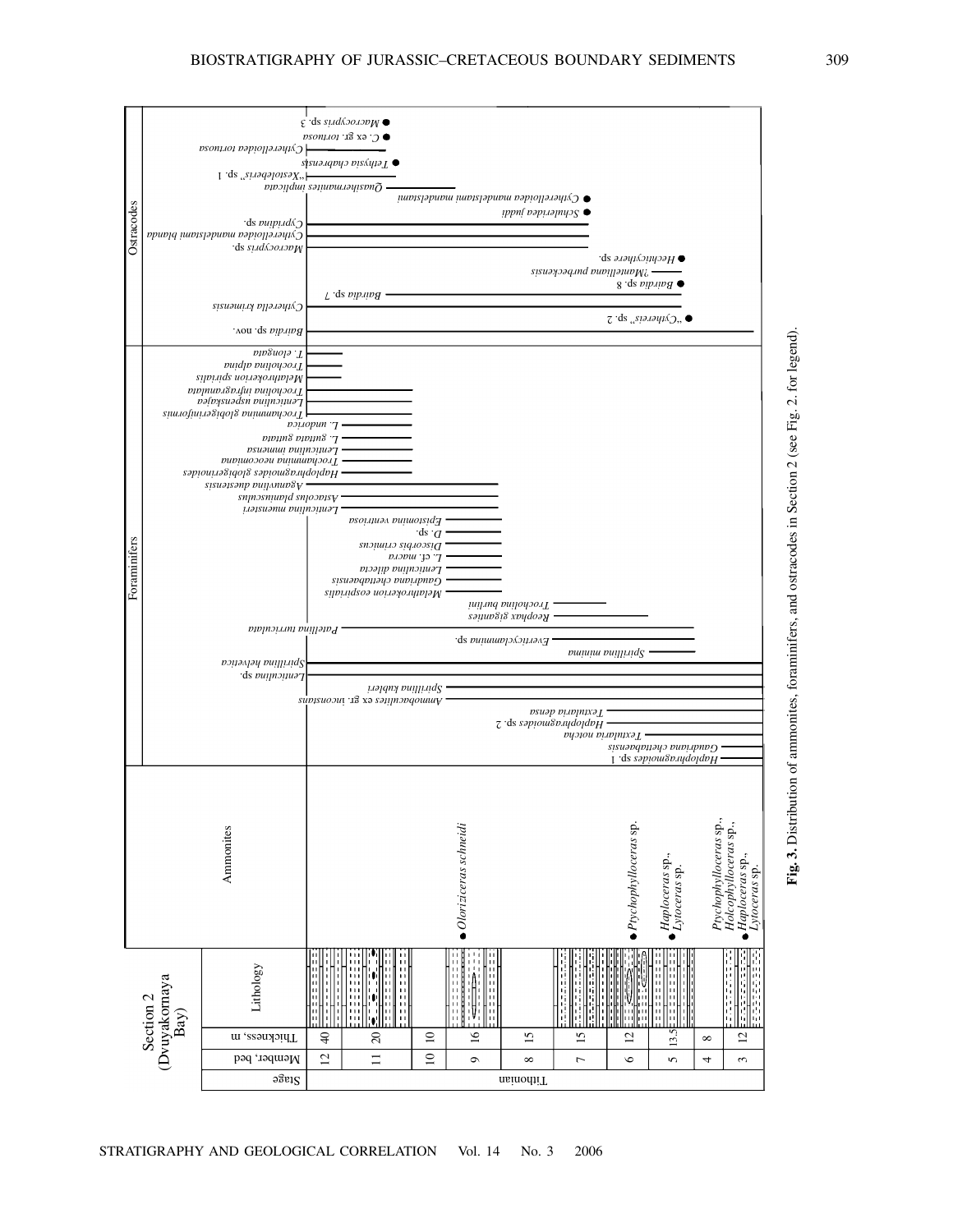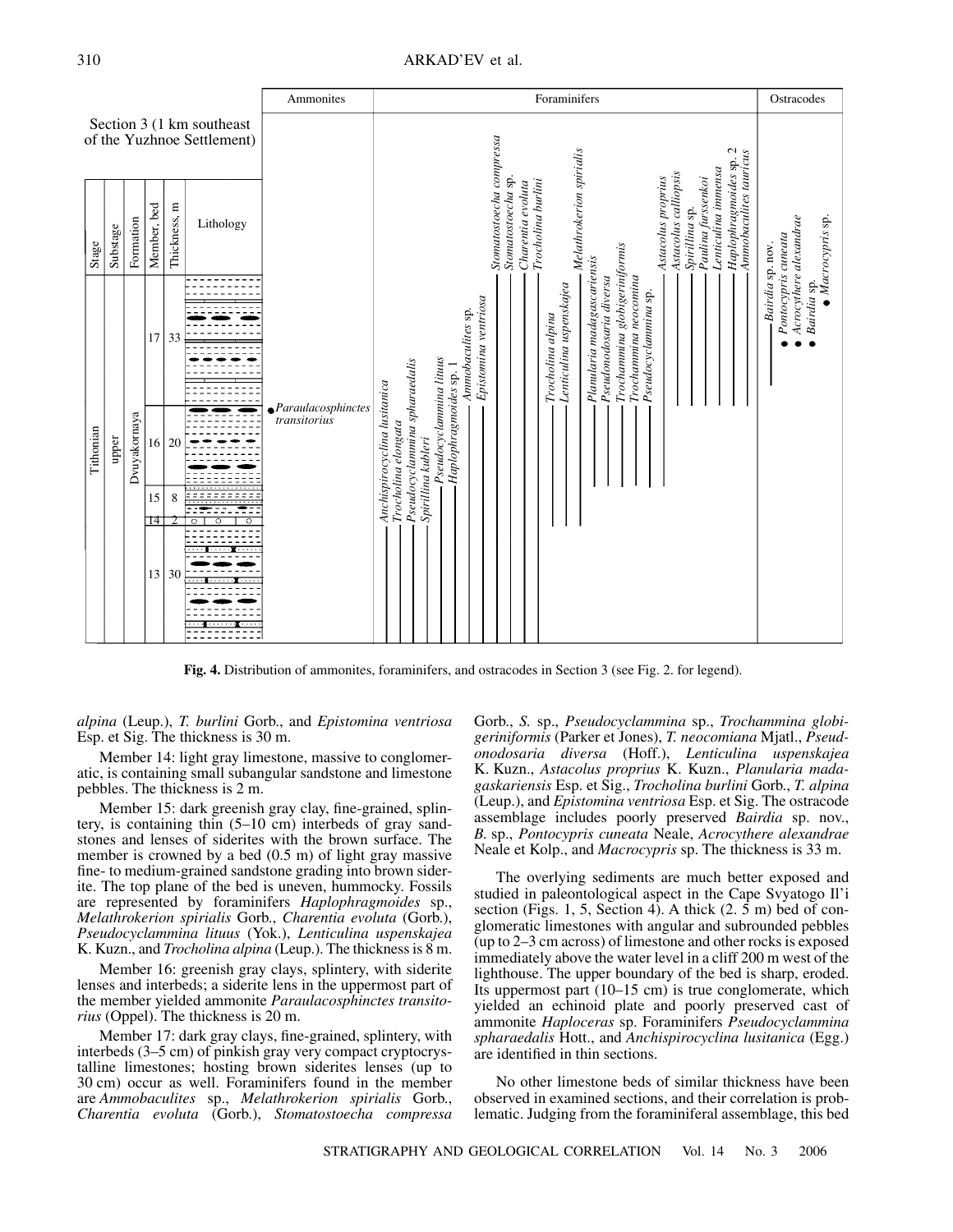

**Fig. 4.** Distribution of ammonites, foraminifers, and ostracodes in Section 3 (see Fig. 2. for legend).

*alpina* (Leup.), *T. burlini* Gorb., and *Epistomina ventriosa* Esp. et Sig. The thickness is 30 m.

Member 14: light gray limestone, massive to conglomeratic, is containing small subangular sandstone and limestone pebbles. The thickness is 2 m.

Member 15: dark greenish gray clay, fine-grained, splintery, is containing thin (5–10 cm) interbeds of gray sandstones and lenses of siderites with the brown surface. The member is crowned by a bed  $(0.5 \text{ m})$  of light gray massive fine- to medium-grained sandstone grading into brown siderite. The top plane of the bed is uneven, hummocky. Fossils are represented by foraminifers *Haplophragmoides* sp., *Melathrokerion spirialis* Gorb., *Charentia evoluta* (Gorb.), *Pseudocyclammina lituus* (Yok.), *Lenticulina uspenskajea* K. Kuzn., and *Trocholina alpina* (Leup.). The thickness is 8 m.

Member 16: greenish gray clays, splintery, with siderite lenses and interbeds; a siderite lens in the uppermost part of the member yielded ammonite *Paraulacosphinctes transitorius* (Oppel). The thickness is 20 m.

Member 17: dark gray clays, fine-grained, splintery, with interbeds (3–5 cm) of pinkish gray very compact cryptocrystalline limestones; hosting brown siderites lenses (up to 30 cm) occur as well. Foraminifers found in the member are *Ammobaculites* sp., *Melathrokerion spirialis* Gorb., *Charentia evoluta* (Gorb.), *Stomatostoecha compressa* Gorb., *S.* sp., *Pseudocyclammina* sp., *Trochammina globigeriniformis* (Parker et Jones), *T. neocomiana* Mjatl., *Pseudonodosaria diversa* (Hoff.), *Lenticulina uspenskajea* K. Kuzn., *Astacolus proprius* K. Kuzn., *Planularia madagaskariensis* Esp. et Sig., *Trocholina burlini* Gorb., *T. alpina* (Leup.), and *Epistomina ventriosa* Esp. et Sig. The ostracode assemblage includes poorly preserved *Bairdia* sp. nov., *B.* sp., *Pontocypris cuneata* Neale, *Acrocythere alexandrae* Neale et Kolp., and *Macrocypris* sp. The thickness is 33 m.

The overlying sediments are much better exposed and studied in paleontological aspect in the Cape Svyatogo Il'i section (Figs. 1, 5, Section 4). A thick (2. 5 m) bed of conglomeratic limestones with angular and subrounded pebbles (up to 2–3 cm across) of limestone and other rocks is exposed immediately above the water level in a cliff 200 m west of the lighthouse. The upper boundary of the bed is sharp, eroded. Its uppermost part (10–15 cm) is true conglomerate, which yielded an echinoid plate and poorly preserved cast of ammonite *Haploceras* sp. Foraminifers *Pseudocyclammina spharaedalis* Hott., and *Anchispirocyclina lusitanica* (Egg.) are identified in thin sections.

No other limestone beds of similar thickness have been observed in examined sections, and their correlation is problematic. Judging from the foraminiferal assemblage, this bed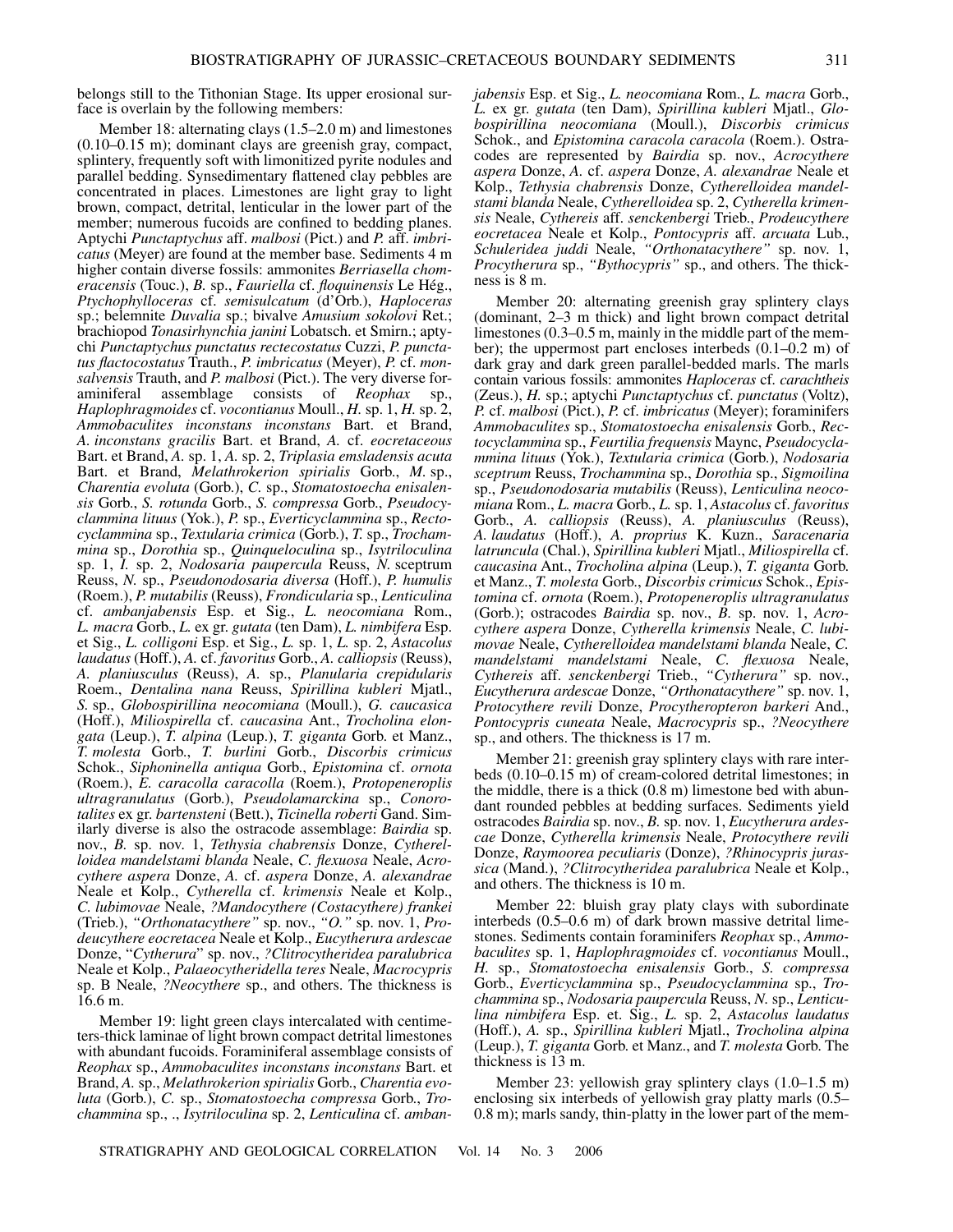belongs still to the Tithonian Stage. Its upper erosional surface is overlain by the following members:

Member 18: alternating clays (1.5–2.0 m) and limestones (0.10–0.15 m); dominant clays are greenish gray, compact, splintery, frequently soft with limonitized pyrite nodules and parallel bedding. Synsedimentary flattened clay pebbles are concentrated in places. Limestones are light gray to light brown, compact, detrital, lenticular in the lower part of the member; numerous fucoids are confined to bedding planes. Aptychi *Punctaptychus* aff. *malbosi* (Pict.) and *P.* aff. *imbricatus* (Meyer) are found at the member base. Sediments 4 m higher contain diverse fossils: ammonites *Berriasella chomeracensis* (Touc.), *B.* sp., *Fauriella* cf. *floquinensis* Le Hég., *Ptychophylloceras* cf. *semisulcatum* (d'Orb.), *Haploceras* sp.; belemnite *Duvalia* sp.; bivalve *Amusium sokolovi* Ret.; brachiopod *Tonasirhynchia janini* Lobatsch. et Smirn.; aptychi *Punctaptychus punctatus rectecostatus* Cuzzi, *P. punctatus flactocostatus* Trauth., *P. imbricatus* (Meyer), *P.* cf. *monsalvensis* Trauth, and *P. malbosi* (Pict.). The very diverse foraminiferal assemblage consists of *Reophax* sp., *Haplophragmoides* cf. *vocontianus* Moull., *H.* sp. 1, *H.* sp. 2, *Ammobaculites inconstans inconstans* Bart. et Brand, *A. inconstans gracilis* Bart. et Brand, *A.* cf. *eocretaceous* Bart. et Brand, *A.* sp. 1, *A.* sp. 2, *Triplasia emsladensis acuta* Bart. et Brand, *Melathrokerion spirialis* Gorb., *M.* sp., *Charentia evoluta* (Gorb.), *C.* sp., *Stomatostoecha enisalensis* Gorb., *S. rotunda* Gorb., *S. compressa* Gorb., *Pseudocyclammina lituus* (Yok.), *P.* sp., *Everticyclammina* sp., *Rectocyclammina* sp., *Textularia crimica* (Gorb.), *T.* sp., *Trochammina* sp., *Dorothia* sp., *Quinqueloculina* sp., *Isytriloculina* sp. 1, *I.* sp. 2, *Nodosaria paupercula* Reuss, *N.* sceptrum Reuss, *N.* sp., *Pseudonodosaria diversa* (Hoff.), *P. humulis* (Roem.), *P. mutabilis* (Reuss), *Frondicularia* sp., *Lenticulina* cf. *ambanjabensis* Esp. et Sig., *L. neocomiana* Rom., *L. macra* Gorb., *L.* ex gr. *gutata* (ten Dam), *L. nimbifera* Esp. et Sig., *L. colligoni* Esp. et Sig., *L.* sp. 1, *L.* sp. 2, *Astacolus laudatus* (Hoff.), *A.* cf. *favoritus* Gorb., *A. calliopsis* (Reuss), *A. planiusculus* (Reuss), *A.* sp., *Planularia crepidularis* Roem., *Dentalina nana* Reuss, *Spirillina kubleri* Mjatl., *S.* sp., *Globospirillina neocomiana* (Moull.), *G. caucasica* (Hoff.), *Miliospirella* cf. *caucasina* Ant., *Trocholina elongata* (Leup.), *T. alpina* (Leup.), *T. giganta* Gorb. et Manz., *T. molesta* Gorb., *T. burlini* Gorb., *Discorbis crimicus* Schok., *Siphoninella antiqua* Gorb., *Epistomina* cf. *ornota* (Roem.), *E. caracolla caracolla* (Roem.), *Protopeneroplis ultragranulatus* (Gorb.), *Pseudolamarckina* sp., *Conorotalites* ex gr. *bartensteni* (Bett.), *Ticinella roberti* Gand. Similarly diverse is also the ostracode assemblage: *Bairdia* sp. nov., *B.* sp. nov. 1, *Tethysia chabrensis* Donze, *Cytherelloidea mandelstami blanda* Neale, *C. flexuosa* Neale, *Acrocythere aspera* Donze, *A.* cf. *aspera* Donze, *A. alexandrae* Neale et Kolp., *Cytherella* cf. *krimensis* Neale et Kolp., *C. lubimovae* Neale, *?Mandocythere (Costacythere) frankei* (Trieb.), *"Orthonatacythere"* sp. nov., *"O."* sp. nov. 1, *Prodeucythere eocretacea* Neale et Kolp., *Eucytherura ardescae* Donze, "*Cytherura*" sp. nov., *?Clitrocytheridea paralubrica* Neale et Kolp., *Palaeocytheridella teres* Neale, *Macrocypris* sp. B Neale, *?Neocythere* sp., and others. The thickness is 16.6 m.

Member 19: light green clays intercalated with centimeters-thick laminae of light brown compact detrital limestones with abundant fucoids. Foraminiferal assemblage consists of *Reophax* sp., *Ammobaculites inconstans inconstans* Bart. et Brand, *A.* sp., *Melathrokerion spirialis* Gorb., *Charentia evoluta* (Gorb.), *C.* sp., *Stomatostoecha compressa* Gorb., *Trochammina* sp., ., *Isytriloculina* sp. 2, *Lenticulina* cf. *amban-* *jabensis* Esp. et Sig., *L. neocomiana* Rom., *L. macra* Gorb., *L.* ex gr. *gutata* (ten Dam), *Spirillina kubleri* Mjatl., *Globospirillina neocomiana* (Moull.), *Discorbis crimicus* Schok., and *Epistomina caracola caracola* (Roem.). Ostracodes are represented by *Bairdia* sp. nov., *Acrocythere aspera* Donze, *A.* cf. *aspera* Donze, *A. alexandrae* Neale et Kolp., *Tethysia chabrensis* Donze, *Cytherelloidea mandelstami blanda* Neale, *Cytherelloidea* sp. 2, *Cytherella krimensis* Neale, *Cythereis* aff. *senckenbergi* Trieb., *Prodeucythere eocretacea* Neale et Kolp., *Pontocypris* aff. *arcuata* Lub., *Schuleridea juddi* Neale, *"Orthonatacythere"* sp. nov. 1, *Procytherura* sp., *"Bythocypris"* sp., and others. The thickness is 8 m.

Member 20: alternating greenish gray splintery clays (dominant, 2–3 m thick) and light brown compact detrital limestones (0.3–0.5 m, mainly in the middle part of the member); the uppermost part encloses interbeds (0.1–0.2 m) of dark gray and dark green parallel-bedded marls. The marls contain various fossils: ammonites *Haploceras* cf. *carachtheis* (Zeus.), *H.* sp.; aptychi *Punctaptychus* cf. *punctatus* (Voltz), *P.* cf. *malbosi* (Pict.), *P.* cf. *imbricatus* (Meyer); foraminifers *Ammobaculites* sp., *Stomatostoecha enisalensis* Gorb., *Rectocyclammina* sp., *Feurtilia frequensis* Maync, *Pseudocyclammina lituus* (Yok.), *Textularia crimica* (Gorb.), *Nodosaria sceptrum* Reuss, *Trochammina* sp., *Dorothia* sp., *Sigmoilina* sp., *Pseudonodosaria mutabilis* (Reuss), *Lenticulina neocomiana* Rom., *L. macra* Gorb., *L.* sp. 1, *Astacolus* cf. *favoritus* Gorb., *A. calliopsis* (Reuss), *A. planiusculus* (Reuss), *A. laudatus* (Hoff.), *A. proprius* K. Kuzn., *Saracenaria latruncula* (Chal.), *Spirillina kubleri* Mjatl., *Miliospirella* cf. *caucasina* Ant., *Trocholina alpina* (Leup.), *T. giganta* Gorb. et Manz., *T. molesta* Gorb., *Discorbis crimicus* Schok., *Epistomina* cf. *ornota* (Roem.), *Protopeneroplis ultragranulatus* (Gorb.); ostracodes *Bairdia* sp. nov., *B.* sp. nov. 1, *Acrocythere aspera* Donze, *Cytherella krimensis* Neale, *C. lubimovae* Neale, *Cytherelloidea mandelstami blanda* Neale, *C. mandelstami mandelstami* Neale, *C. flexuosa* Neale, *Cythereis* aff. *senckenbergi* Trieb., *"Cytherura"* sp. nov., *Eucytherura ardescae* Donze, *"Orthonatacythere"* sp. nov. 1, *Protocythere revili* Donze, *Procytheropteron barkeri* And., *Pontocypris cuneata* Neale, *Macrocypris* sp., *?Neocythere* sp., and others. The thickness is 17 m.

Member 21: greenish gray splintery clays with rare interbeds (0.10–0.15 m) of cream-colored detrital limestones; in the middle, there is a thick (0.8 m) limestone bed with abundant rounded pebbles at bedding surfaces. Sediments yield ostracodes *Bairdia* sp. nov., *B.* sp. nov. 1, *Eucytherura ardescae* Donze, *Cytherella krimensis* Neale, *Protocythere revili* Donze, *Raymoorea peculiaris* (Donze), *?Rhinocypris jurassica* (Mand.), *?Clitrocytheridea paralubrica* Neale et Kolp., and others. The thickness is 10 m.

Member 22: bluish gray platy clays with subordinate interbeds (0.5–0.6 m) of dark brown massive detrital limestones. Sediments contain foraminifers *Reophax* sp., *Ammobaculites* sp. 1, *Haplophragmoides* cf. *vocontianus* Moull., *H.* sp., *Stomatostoecha enisalensis* Gorb., *S. compressa* Gorb., *Everticyclammina* sp., *Pseudocyclammina* sp., *Trochammina* sp., *Nodosaria paupercula* Reuss, *N.* sp., *Lenticulina nimbifera* Esp. et. Sig., *L.* sp. 2, *Astacolus laudatus* (Hoff.), *A.* sp., *Spirillina kubleri* Mjatl., *Trocholina alpina* (Leup.), *T. giganta* Gorb. et Manz., and *T. molesta* Gorb. The thickness is 13 m.

Member 23: yellowish gray splintery clays (1.0–1.5 m) enclosing six interbeds of yellowish gray platty marls (0.5– 0.8 m); marls sandy, thin-platty in the lower part of the mem-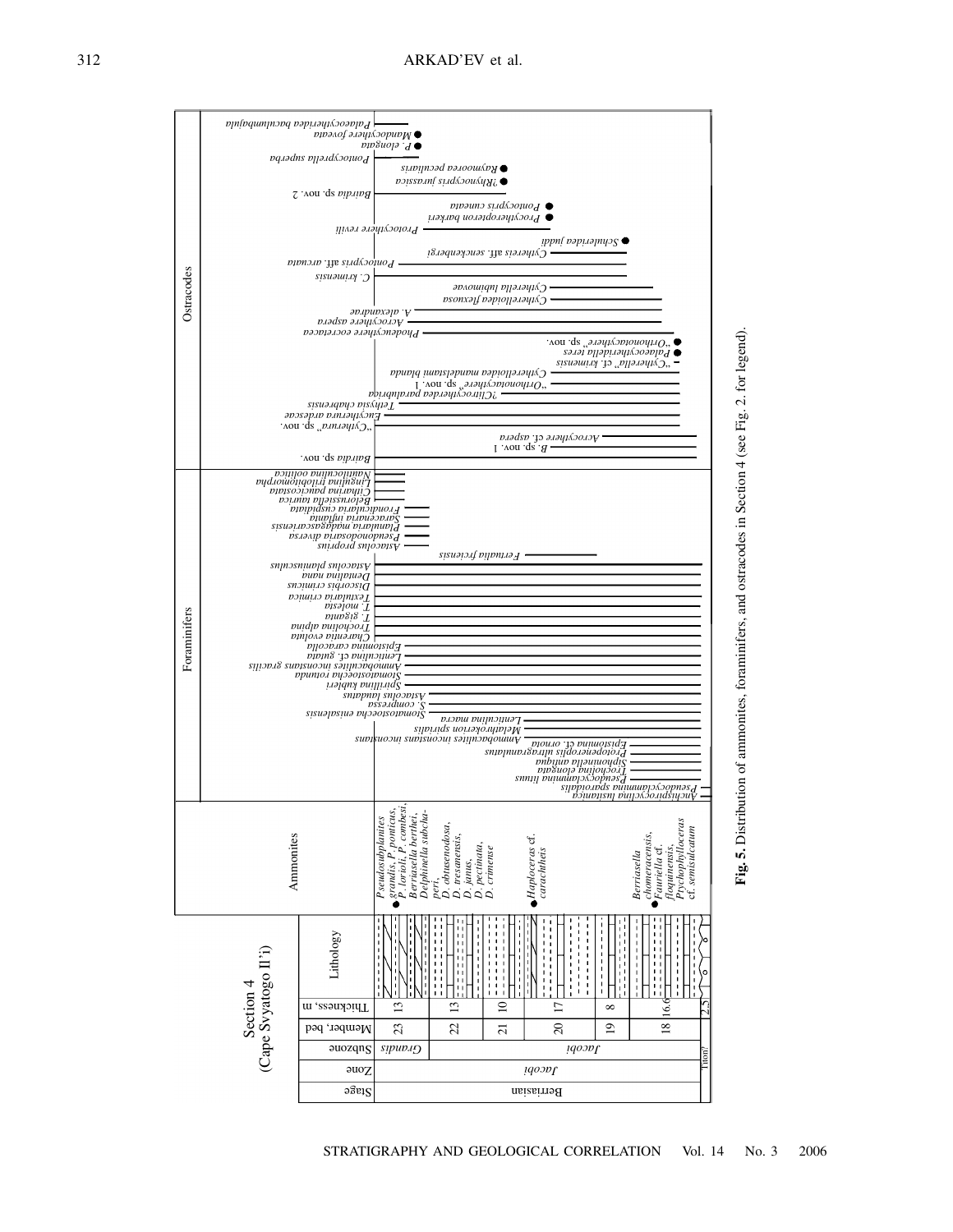

5. Distribution of ammonites, foraminifers, and ostracodes in Section 4 (see Fig. 2. for legend). **Fig. 5.** Distribution of ammonites, foraminifers, and ostracodes in Section 4 (see Fig. 2. for legend).Fig.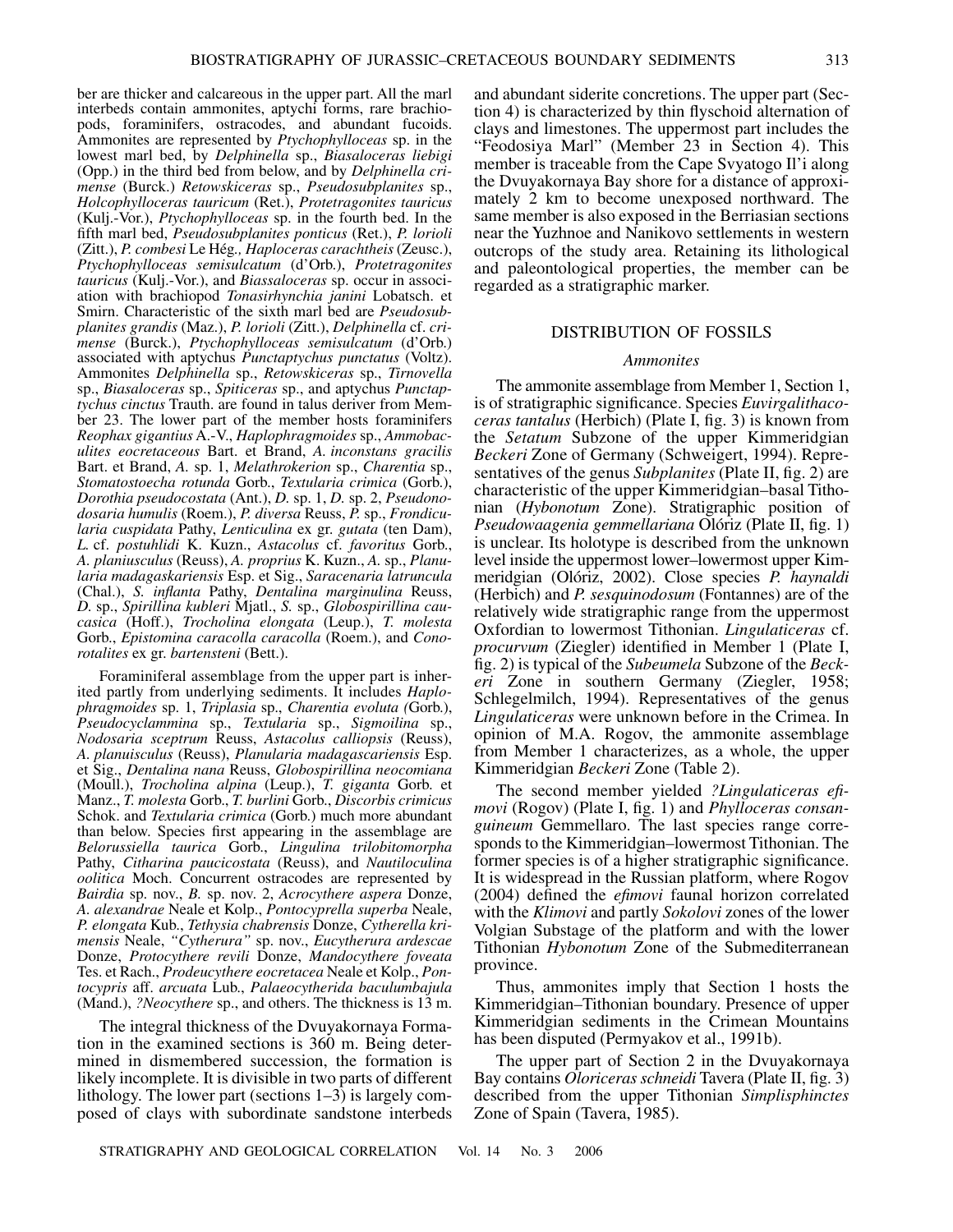ber are thicker and calcareous in the upper part. All the marl interbeds contain ammonites, aptychi forms, rare brachiopods, foraminifers, ostracodes, and abundant fucoids. Ammonites are represented by *Ptychophylloceas* sp. in the lowest marl bed, by *Delphinella* sp., *Biasaloceras liebigi* (Opp.) in the third bed from below, and by *Delphinella crimense* (Burck.) *Retowskiceras* sp., *Pseudosubplanites* sp., *Holcophylloceras tauricum* (Ret.), *Protetragonites tauricus* (Kulj.-Vor.), *Ptychophylloceas* sp. in the fourth bed. In the fifth marl bed, *Pseudosubplanites ponticus* (Ret.), *P. lorioli* (Zitt.), *P. combesi* Le Hég*., Haploceras carachtheis* (Zeusc.), *Ptychophylloceas semisulcatum* (d'Orb.), *Protetragonites tauricus* (Kulj.-Vor.), and *Biassaloceras* sp. occur in association with brachiopod *Tonasirhynchia janini* Lobatsch. et Smirn. Characteristic of the sixth marl bed are *Pseudosubplanites grandis* (Maz.), *P. lorioli* (Zitt.), *Delphinella* cf. *crimense* (Burck.), *Ptychophylloceas semisulcatum* (d'Orb.) associated with aptychus *Punctaptychus punctatus* (Voltz). Ammonites *Delphinella* sp., *Retowskiceras* sp., *Tirnovella* sp., *Biasaloceras* sp., *Spiticeras* sp., and aptychus *Punctaptychus cinctus* Trauth. are found in talus deriver from Member 23. The lower part of the member hosts foraminifers *Reophax gigantius* A.-V., *Haplophragmoides* sp., *Ammobaculites eocretaceous* Bart. et Brand, *A. inconstans gracilis* Bart. et Brand, *A.* sp. 1, *Melathrokerion* sp., *Charentia* sp., *Stomatostoecha rotunda* Gorb., *Textularia crimica* (Gorb.), *Dorothia pseudocostata* (Ant.), *D.* sp. 1, *D.* sp. 2, *Pseudonodosaria humulis* (Roem.), *P. diversa* Reuss, *P.* sp., *Frondicularia cuspidata* Pathy, *Lenticulina* ex gr. *gutata* (ten Dam), *L.* cf. *postuhlidi* K. Kuzn., *Astacolus* cf. *favoritus* Gorb., *A. planiusculus* (Reuss), *A. proprius* K. Kuzn., *A.* sp., *Planularia madagaskariensis* Esp. et Sig., *Saracenaria latruncula* (Chal.), *S. inflanta* Pathy, *Dentalina marginulina* Reuss, *D.* sp., *Spirillina kubleri* Mjatl., *S.* sp., *Globospirillina caucasica* (Hoff.), *Trocholina elongata* (Leup.), *T. molesta* Gorb., *Epistomina caracolla caracolla* (Roem.), and *Conorotalites* ex gr. *bartensteni* (Bett.).

Foraminiferal assemblage from the upper part is inherited partly from underlying sediments. It includes *Haplophragmoides* sp. 1, *Triplasia* sp., *Charentia evoluta (*Gorb.), *Pseudocyclammina* sp., *Textularia* sp., *Sigmoilina* sp., *Nodosaria sceptrum* Reuss, *Astacolus calliopsis* (Reuss), *A. planuisculus* (Reuss), *Planularia madagascariensis* Esp. et Sig., *Dentalina nana* Reuss, *Globospirillina neocomiana* (Moull.), *Trocholina alpina* (Leup.), *T. giganta* Gorb. et Manz., *T. molesta* Gorb., *T. burlini* Gorb., *Discorbis crimicus* Schok. and *Textularia crimica* (Gorb.) much more abundant than below. Species first appearing in the assemblage are *Belorussiella taurica* Gorb., *Lingulina trilobitomorpha* Pathy, *Citharina paucicostata* (Reuss), and *Nautiloculina oolitica* Moch. Concurrent ostracodes are represented by *Bairdia* sp. nov., *B.* sp. nov. 2, *Acrocythere aspera* Donze, *A. alexandrae* Neale et Kolp., *Pontocyprella superba* Neale, *P. elongata* Kub., *Tethysia chabrensis* Donze, *Cytherella krimensis* Neale, *"Cytherura"* sp. nov., *Eucytherura ardescae* Donze, *Protocythere revili* Donze, *Mandocythere foveata* Tes. et Rach., *Prodeucythere eocretacea* Neale et Kolp., *Pontocypris* aff. *arcuata* Lub., *Palaeocytherida baculumbajula* (Mand.), *?Neocythere* sp., and others. The thickness is 13 m.

The integral thickness of the Dvuyakornaya Formation in the examined sections is 360 m. Being determined in dismembered succession, the formation is likely incomplete. It is divisible in two parts of different lithology. The lower part (sections 1–3) is largely composed of clays with subordinate sandstone interbeds and abundant siderite concretions. The upper part (Section 4) is characterized by thin flyschoid alternation of clays and limestones. The uppermost part includes the "Feodosiya Marl" (Member 23 in Section 4). This member is traceable from the Cape Svyatogo Il'i along the Dvuyakornaya Bay shore for a distance of approximately 2 km to become unexposed northward. The same member is also exposed in the Berriasian sections near the Yuzhnoe and Nanikovo settlements in western outcrops of the study area. Retaining its lithological and paleontological properties, the member can be regarded as a stratigraphic marker.

## DISTRIBUTION OF FOSSILS

## *Ammonites*

The ammonite assemblage from Member 1, Section 1, is of stratigraphic significance. Species *Euvirgalithacoceras tantalus* (Herbich) (Plate I, fig. 3) is known from the *Setatum* Subzone of the upper Kimmeridgian *Beckeri* Zone of Germany (Schweigert, 1994). Representatives of the genus *Subplanites* (Plate II, fig. 2) are characteristic of the upper Kimmeridgian–basal Tithonian (*Hybonotum* Zone). Stratigraphic position of *Pseudowaagenia gemmellariana* Olóriz (Plate II, fig. 1) is unclear. Its holotype is described from the unknown level inside the uppermost lower–lowermost upper Kimmeridgian (Olóriz, 2002). Close species *P. haynaldi* (Herbich) and *P. sesquinodosum* (Fontannes) are of the relatively wide stratigraphic range from the uppermost Oxfordian to lowermost Tithonian. *Lingulaticeras* cf. *procurvum* (Ziegler) identified in Member 1 (Plate I, fig. 2) is typical of the *Subeumela* Subzone of the *Beckeri* Zone in southern Germany (Ziegler, 1958; Schlegelmilch, 1994). Representatives of the genus *Lingulaticeras* were unknown before in the Crimea. In opinion of M.A. Rogov, the ammonite assemblage from Member 1 characterizes, as a whole, the upper Kimmeridgian *Beckeri* Zone (Table 2).

The second member yielded *?Lingulaticeras efimovi* (Rogov) (Plate I, fig. 1) and *Phylloceras consanguineum* Gemmellaro. The last species range corresponds to the Kimmeridgian–lowermost Tithonian. The former species is of a higher stratigraphic significance. It is widespread in the Russian platform, where Rogov (2004) defined the *efimovi* faunal horizon correlated with the *Klimovi* and partly *Sokolovi* zones of the lower Volgian Substage of the platform and with the lower Tithonian *Hybonotum* Zone of the Submediterranean province.

Thus, ammonites imply that Section 1 hosts the Kimmeridgian–Tithonian boundary. Presence of upper Kimmeridgian sediments in the Crimean Mountains has been disputed (Permyakov et al., 1991b).

The upper part of Section 2 in the Dvuyakornaya Bay contains *Oloriceras schneidi* Tavera (Plate II, fig. 3) described from the upper Tithonian *Simplisphinctes* Zone of Spain (Tavera, 1985).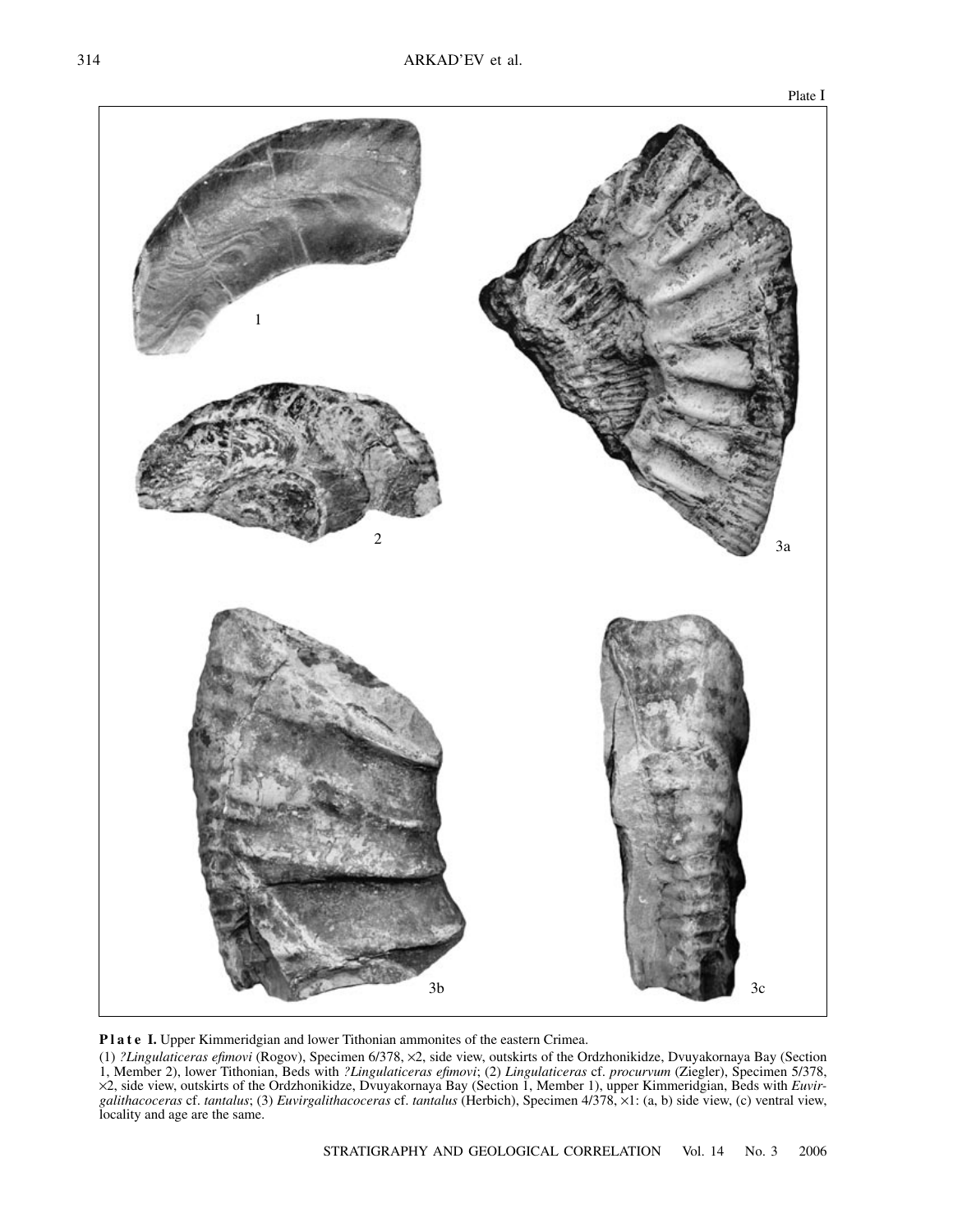

Plate I. Upper Kimmeridgian and lower Tithonian ammonites of the eastern Crimea.

(1) *?Lingulaticeras efimovi* (Rogov), Specimen 6/378, ×2, side view, outskirts of the Ordzhonikidze, Dvuyakornaya Bay (Section 1, Member 2), lower Tithonian, Beds with *?Lingulaticeras efimovi*; (2) *Lingulaticeras* cf. *procurvum* (Ziegler), Specimen 5/378, ×2, side view, outskirts of the Ordzhonikidze, Dvuyakornaya Bay (Section 1, Member 1), upper Kimmeridgian, Beds with *Euvirgalithacoceras* cf. *tantalus*; (3) *Euvirgalithacoceras* cf. *tantalus* (Herbich), Specimen 4/378, ×1: (a, b) side view, (c) ventral view, locality and age are the same.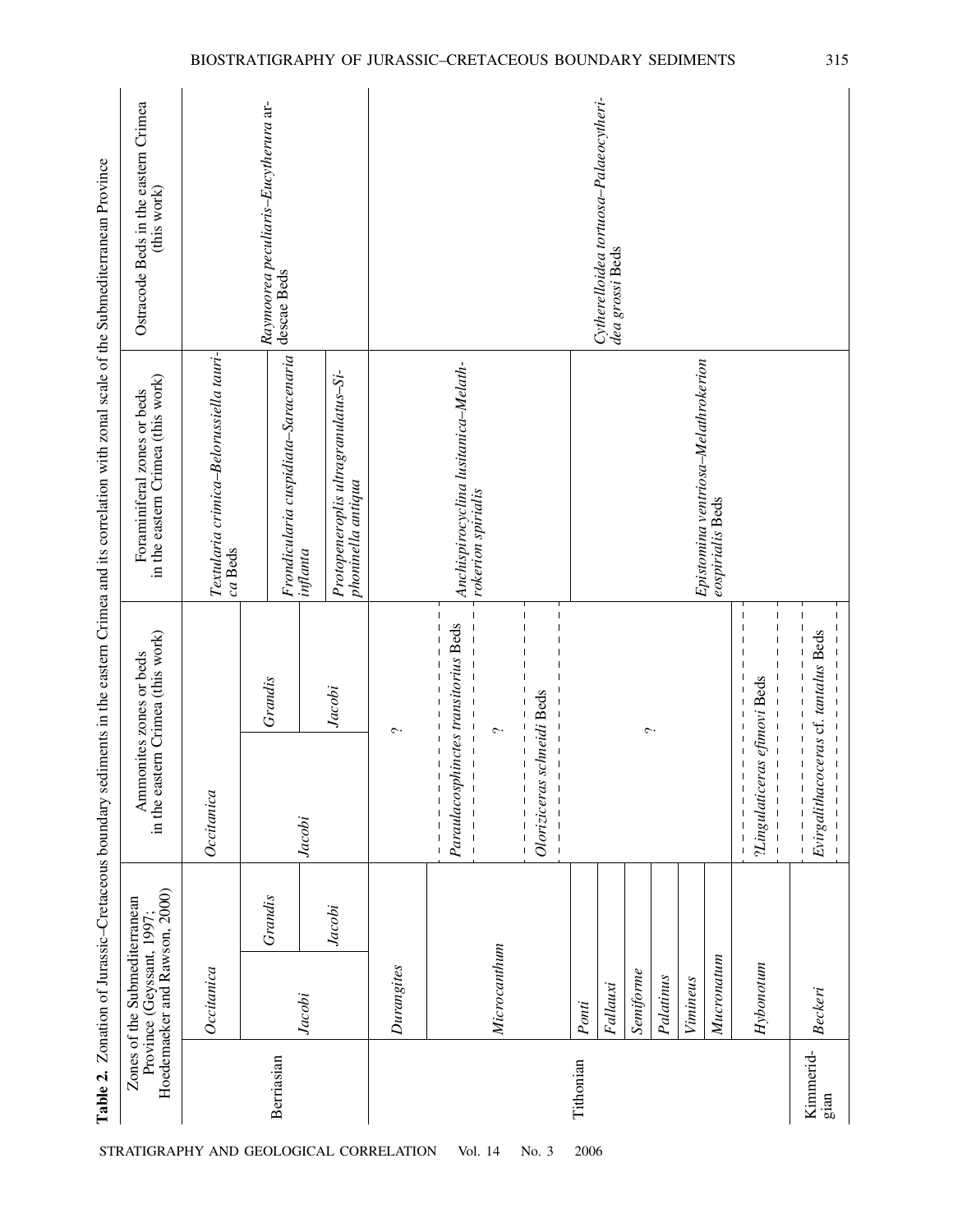|                   |                                                                                             |         |                                                                                                                                               |                                                                                                                          | Table 2. Zonation of Jurassic-Cretaceous boundary sediments in the eastern Crimea and its correlation with zonal scale of the Submediterranean Province |                                                           |
|-------------------|---------------------------------------------------------------------------------------------|---------|-----------------------------------------------------------------------------------------------------------------------------------------------|--------------------------------------------------------------------------------------------------------------------------|---------------------------------------------------------------------------------------------------------------------------------------------------------|-----------------------------------------------------------|
|                   | Hoedemaeker and Rawson, 2000)<br>Zones of the Submediterranean<br>Province (Geyssant, 1997; |         |                                                                                                                                               | in the eastern Crimea (this work)<br>Ammonites zones or beds                                                             | in the eastern Crimea (this work)<br>Foraminiferal zones or beds                                                                                        | Ostracode Beds in the eastern Crimea<br>(this work)       |
|                   | Occitanica                                                                                  |         | Occitanica                                                                                                                                    |                                                                                                                          | Textularia crimica-Belorussiella tauri-<br>ca Beds                                                                                                      |                                                           |
|                   |                                                                                             |         |                                                                                                                                               |                                                                                                                          |                                                                                                                                                         | Raymoorea peculiaris-Eucytherura ar-                      |
| Berriasian        |                                                                                             | Grandis |                                                                                                                                               | Grandis                                                                                                                  | Frondicularia cuspidiata-Saracenaria                                                                                                                    | descae Beds                                               |
|                   | Jacobi                                                                                      |         | Jacobi                                                                                                                                        |                                                                                                                          | inflanta                                                                                                                                                |                                                           |
|                   |                                                                                             | Jacobi  |                                                                                                                                               | Jacobi                                                                                                                   | Protopeneroplis ultragranulatus-Si-<br>phoninella antiqua                                                                                               |                                                           |
|                   | Durangites                                                                                  |         |                                                                                                                                               | $\sim$                                                                                                                   |                                                                                                                                                         |                                                           |
|                   |                                                                                             |         | Paraulacosphinctes transitorius Beds<br>$\begin{array}{c} 1 \\ 1 \\ 1 \end{array}$<br>$\frac{1}{1}$ $\frac{1}{1}$ $\frac{1}{1}$ $\frac{1}{1}$ | $\overline{1}$<br>$\mathsf I$<br>$\overline{\phantom{a}}$<br>$\mathbf I$<br>$\mathsf I$<br>I,                            | Anchispirocyclina lusitanica-Melath-                                                                                                                    |                                                           |
|                   | Microcanthum                                                                                |         |                                                                                                                                               | $\sim$                                                                                                                   | rokerion spirialis                                                                                                                                      |                                                           |
|                   |                                                                                             |         | Oloriziceras schneidi Beds<br>$\frac{1}{1}$                                                                                                   | $\overline{\phantom{a}}$                                                                                                 |                                                                                                                                                         |                                                           |
| Tithonian         | Ponti                                                                                       |         |                                                                                                                                               |                                                                                                                          |                                                                                                                                                         |                                                           |
|                   | Fallauxi                                                                                    |         |                                                                                                                                               |                                                                                                                          |                                                                                                                                                         | Cytherelloidea tortuosa-Palaeocytheri-<br>dea grossi Beds |
|                   | Semiforme                                                                                   |         |                                                                                                                                               |                                                                                                                          |                                                                                                                                                         |                                                           |
|                   | Palatinus                                                                                   |         |                                                                                                                                               | $\sim$                                                                                                                   |                                                                                                                                                         |                                                           |
|                   | <b>Vinineus</b>                                                                             |         |                                                                                                                                               |                                                                                                                          | Epistomina ventriosa-Melathrokerion                                                                                                                     |                                                           |
|                   | Mucronatum                                                                                  |         |                                                                                                                                               |                                                                                                                          | eospirialis Beds                                                                                                                                        |                                                           |
|                   | Hybonotum                                                                                   |         | ?Lingulaticeras efimovi Beds<br>$\frac{1}{1}$                                                                                                 |                                                                                                                          |                                                                                                                                                         |                                                           |
| Kimmerid-<br>gian | Beckeri                                                                                     |         | Evirgalithacoceras cf. tantalus Beds<br>$\frac{1}{1}$<br>$\frac{1}{1}$<br>$\frac{1}{1}$                                                       | $\overline{\phantom{a}}$<br>$\overline{\phantom{a}}$                                                                     |                                                                                                                                                         |                                                           |
|                   |                                                                                             |         | $\mathsf I$<br>$\mathsf I$<br>$\mathsf I$<br>$\begin{bmatrix} 1 \\ 1 \\ 1 \end{bmatrix}$                                                      | $\mathsf I$<br>$\frac{1}{1}$<br>$\mathbb{I}$<br>$\mathsf I$<br>$\mathbf{I}$<br>$\mathsf I$<br>$\mathbf I$<br>$\mathsf I$ |                                                                                                                                                         |                                                           |

BIOSTRATIGRAPHY OF JURASSIC–CRETACEOUS BOUNDARY SEDIMENTS 315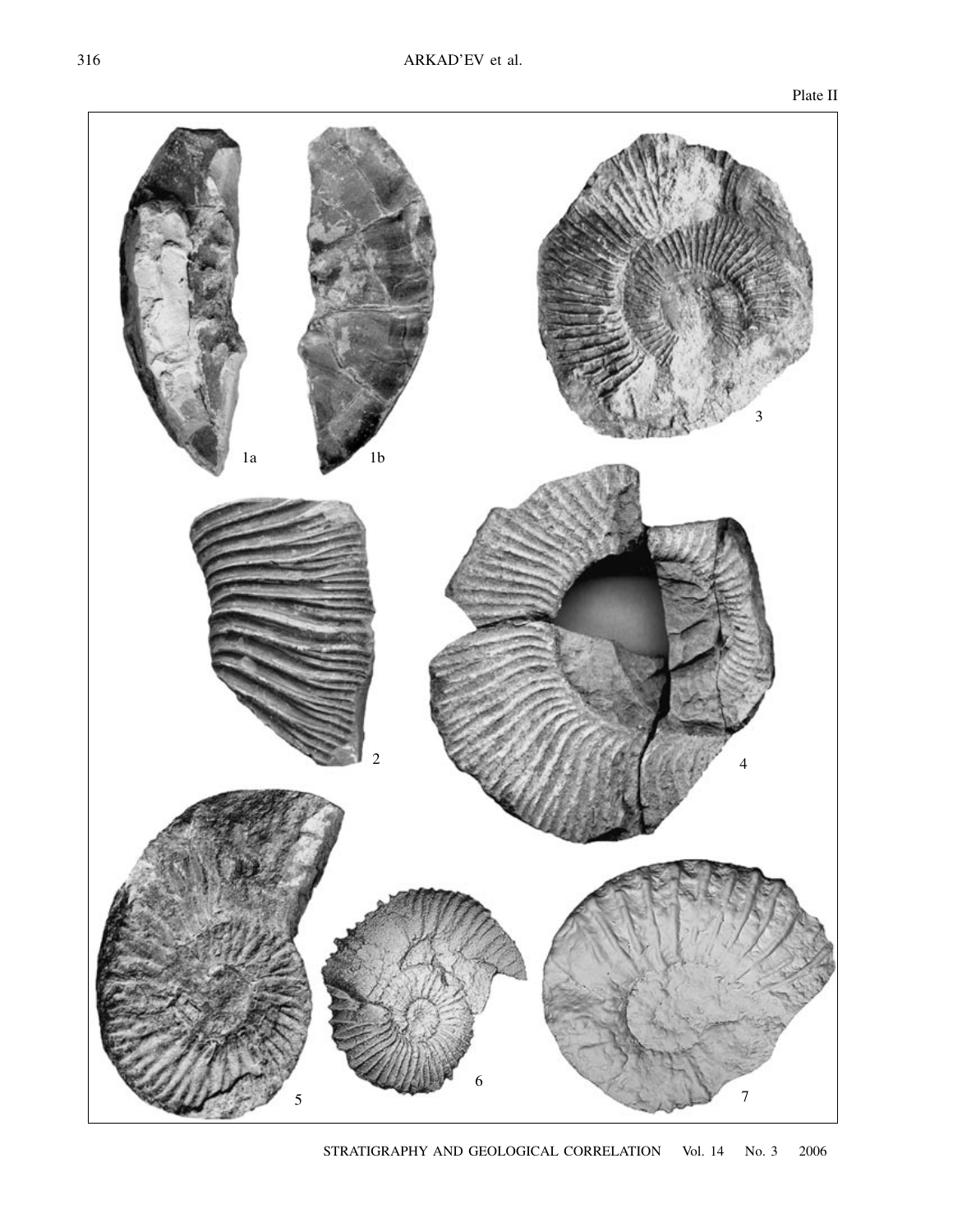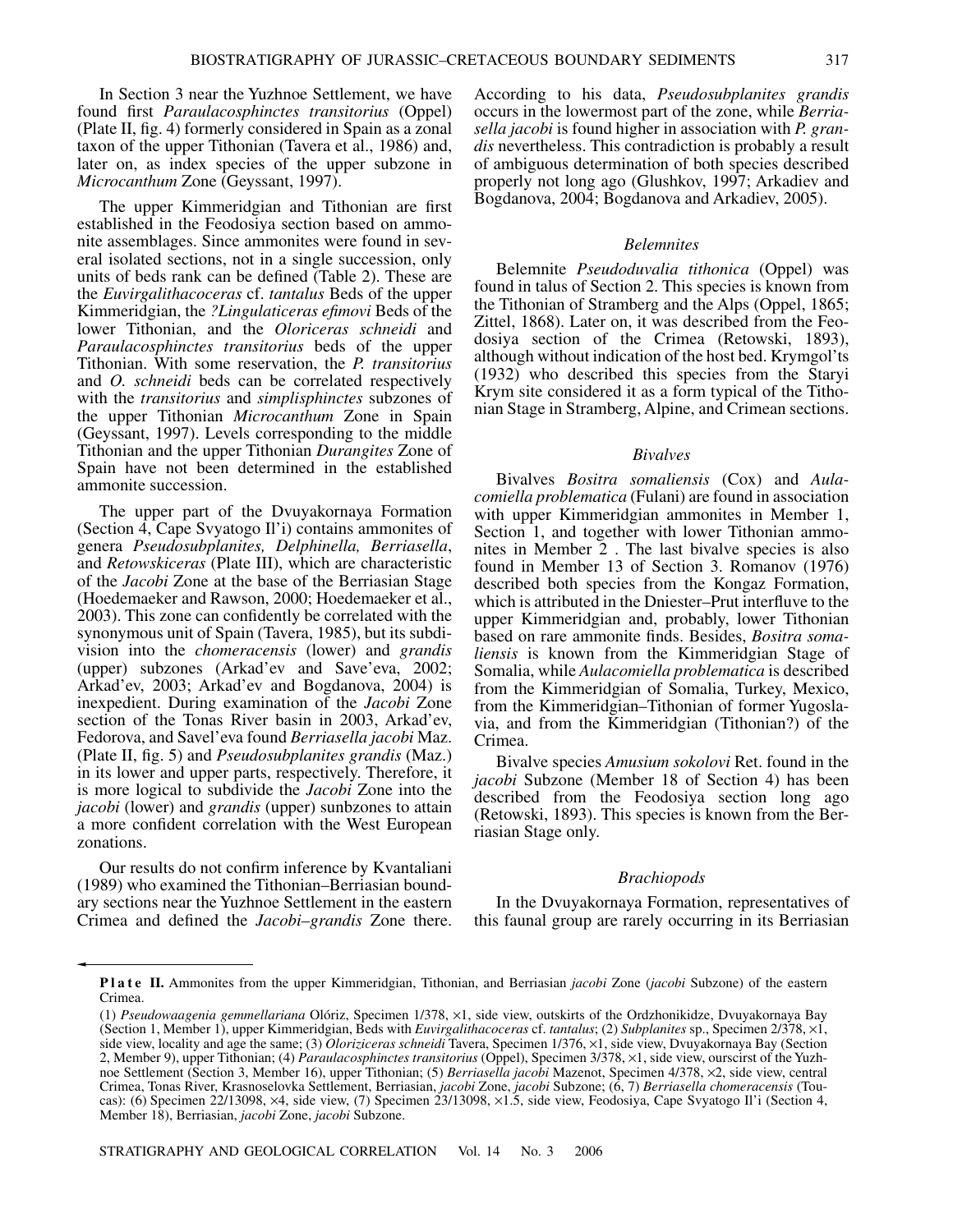In Section 3 near the Yuzhnoe Settlement, we have found first *Paraulacosphinctes transitorius* (Oppel) (Plate II, fig. 4) formerly considered in Spain as a zonal taxon of the upper Tithonian (Tavera et al., 1986) and, later on, as index species of the upper subzone in *Microcanthum* Zone (Geyssant, 1997).

The upper Kimmeridgian and Tithonian are first established in the Feodosiya section based on ammonite assemblages. Since ammonites were found in several isolated sections, not in a single succession, only units of beds rank can be defined (Table 2). These are the *Euvirgalithacoceras* cf. *tantalus* Beds of the upper Kimmeridgian, the *?Lingulaticeras efimovi* Beds of the lower Tithonian, and the *Oloriceras schneidi* and *Paraulacosphinctes transitorius* beds of the upper Tithonian. With some reservation, the *P. transitorius* and *O. schneidi* beds can be correlated respectively with the *transitorius* and *simplisphinctes* subzones of the upper Tithonian *Microcanthum* Zone in Spain (Geyssant, 1997). Levels corresponding to the middle Tithonian and the upper Tithonian *Durangites* Zone of Spain have not been determined in the established ammonite succession.

The upper part of the Dvuyakornaya Formation (Section 4, Cape Svyatogo Il'i) contains ammonites of genera *Pseudosubplanites, Delphinella, Berriasella*, and *Retowskiceras* (Plate III), which are characteristic of the *Jacobi* Zone at the base of the Berriasian Stage (Hoedemaeker and Rawson, 2000; Hoedemaeker et al., 2003). This zone can confidently be correlated with the synonymous unit of Spain (Tavera, 1985), but its subdivision into the *chomeracensis* (lower) and *grandis* (upper) subzones (Arkad'ev and Save'eva, 2002; Arkad'ev, 2003; Arkad'ev and Bogdanova, 2004) is inexpedient. During examination of the *Jacobi* Zone section of the Tonas River basin in 2003, Arkad'ev, Fedorova, and Savel'eva found *Berriasella jacobi* Maz. (Plate II, fig. 5) and *Pseudosubplanites grandis* (Maz.) in its lower and upper parts, respectively. Therefore, it is more logical to subdivide the *Jacobi* Zone into the *jacobi* (lower) and *grandis* (upper) sunbzones to attain a more confident correlation with the West European zonations.

Our results do not confirm inference by Kvantaliani (1989) who examined the Tithonian–Berriasian boundary sections near the Yuzhnoe Settlement in the eastern Crimea and defined the *Jacobi–grandis* Zone there. According to his data, *Pseudosubplanites grandis* occurs in the lowermost part of the zone, while *Berriasella jacobi* is found higher in association with *P. grandis* nevertheless. This contradiction is probably a result of ambiguous determination of both species described properly not long ago (Glushkov, 1997; Arkadiev and Bogdanova, 2004; Bogdanova and Arkadiev, 2005).

#### *Belemnites*

Belemnite *Pseudoduvalia tithonica* (Oppel) was found in talus of Section 2. This species is known from the Tithonian of Stramberg and the Alps (Oppel, 1865; Zittel, 1868). Later on, it was described from the Feodosiya section of the Crimea (Retowski, 1893), although without indication of the host bed. Krymgol'ts (1932) who described this species from the Staryi Krym site considered it as a form typical of the Tithonian Stage in Stramberg, Alpine, and Crimean sections.

#### *Bivalves*

Bivalves *Bositra somaliensis* (Cox) and *Aulacomiella problematica* (Fulani) are found in association with upper Kimmeridgian ammonites in Member 1, Section 1, and together with lower Tithonian ammonites in Member 2 . The last bivalve species is also found in Member 13 of Section 3. Romanov (1976) described both species from the Kongaz Formation, which is attributed in the Dniester–Prut interfluve to the upper Kimmeridgian and, probably, lower Tithonian based on rare ammonite finds. Besides, *Bositra somaliensis* is known from the Kimmeridgian Stage of Somalia, while *Aulacomiella problematica* is described from the Kimmeridgian of Somalia, Turkey, Mexico, from the Kimmeridgian–Tithonian of former Yugoslavia, and from the Kimmeridgian (Tithonian?) of the Crimea.

Bivalve species *Amusium sokolovi* Ret. found in the *jacobi* Subzone (Member 18 of Section 4) has been described from the Feodosiya section long ago (Retowski, 1893). This species is known from the Berriasian Stage only.

#### *Brachiopods*

In the Dvuyakornaya Formation, representatives of this faunal group are rarely occurring in its Berriasian

**P1ate II.** Ammonites from the upper Kimmeridgian, Tithonian, and Berriasian *jacobi* Zone (*jacobi* Subzone) of the eastern Crimea.

<sup>(1)</sup> *Pseudowaagenia gemmellariana* Olóriz, Specimen 1/378, ×1, side view, outskirts of the Ordzhonikidze, Dvuyakornaya Bay (Section 1, Member 1), upper Kimmeridgian, Beds with *Euvirgalithacoceras* cf. *tantalus*; (2) *Subplanites* sp., Specimen 2/378, ×1, side view, locality and age the same; (3) *Oloriziceras schneidi* Tavera, Specimen 1/376, ×1, side view, Dvuyakornaya Bay (Section 2, Member 9), upper Tithonian; (4) *Paraulacosphinctes transitorius* (Oppel), Specimen 3/378, ×1, side view, ourscirst of the Yuzhnoe Settlement (Section 3, Member 16), upper Tithonian; (5) *Berriasella jacobi* Mazenot, Specimen 4/378, ×2, side view, central Crimea, Tonas River, Krasnoselovka Settlement, Berriasian, *jacobi* Zone, *jacobi* Subzone; (6, 7) *Berriasella chomeracensis* (Toucas): (6) Specimen 22/13098, ×4, side view, (7) Specimen 23/13098, ×1.5, side view, Feodosiya, Cape Svyatogo Il'i (Section 4, Member 18), Berriasian, *jacobi* Zone, *jacobi* Subzone.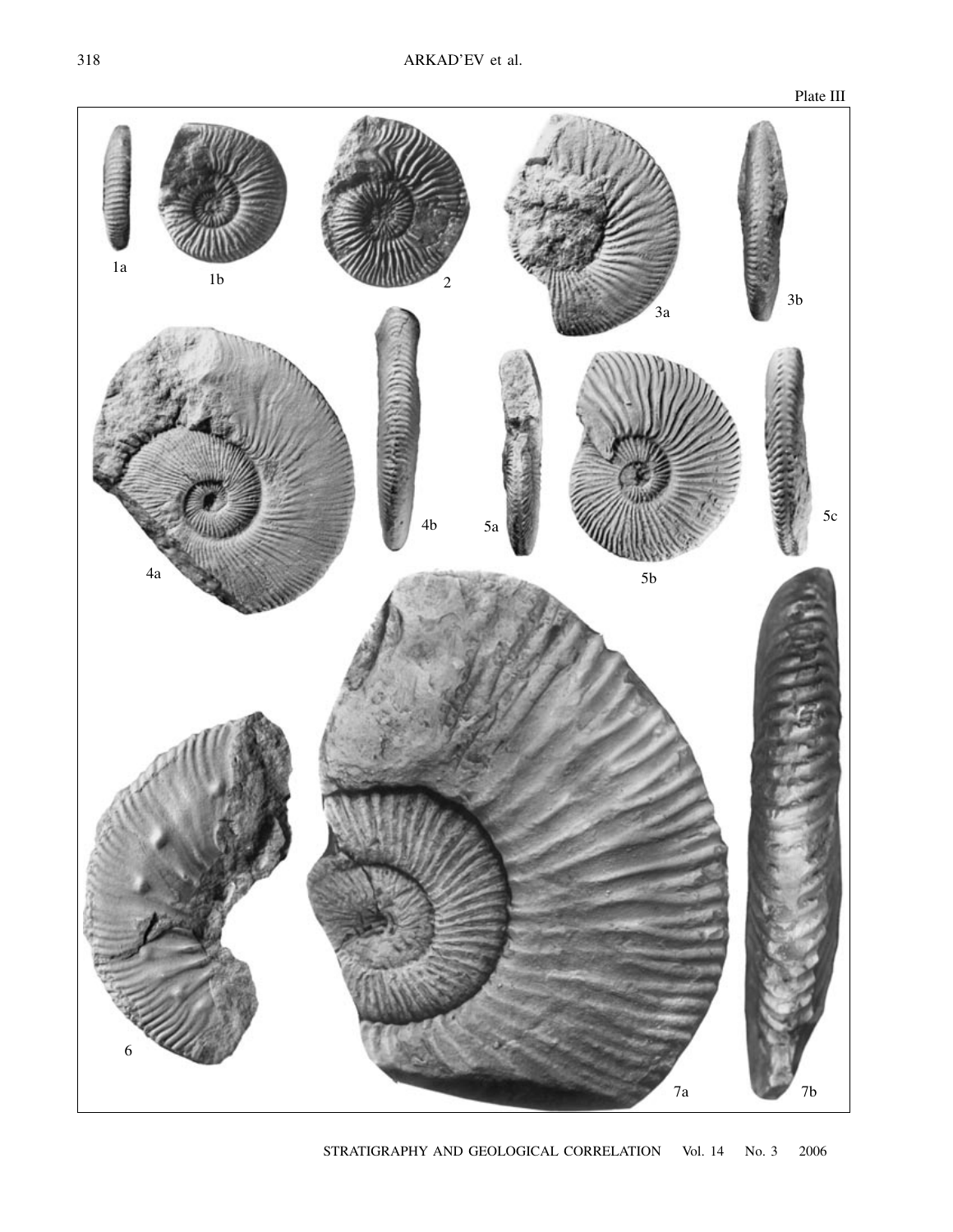

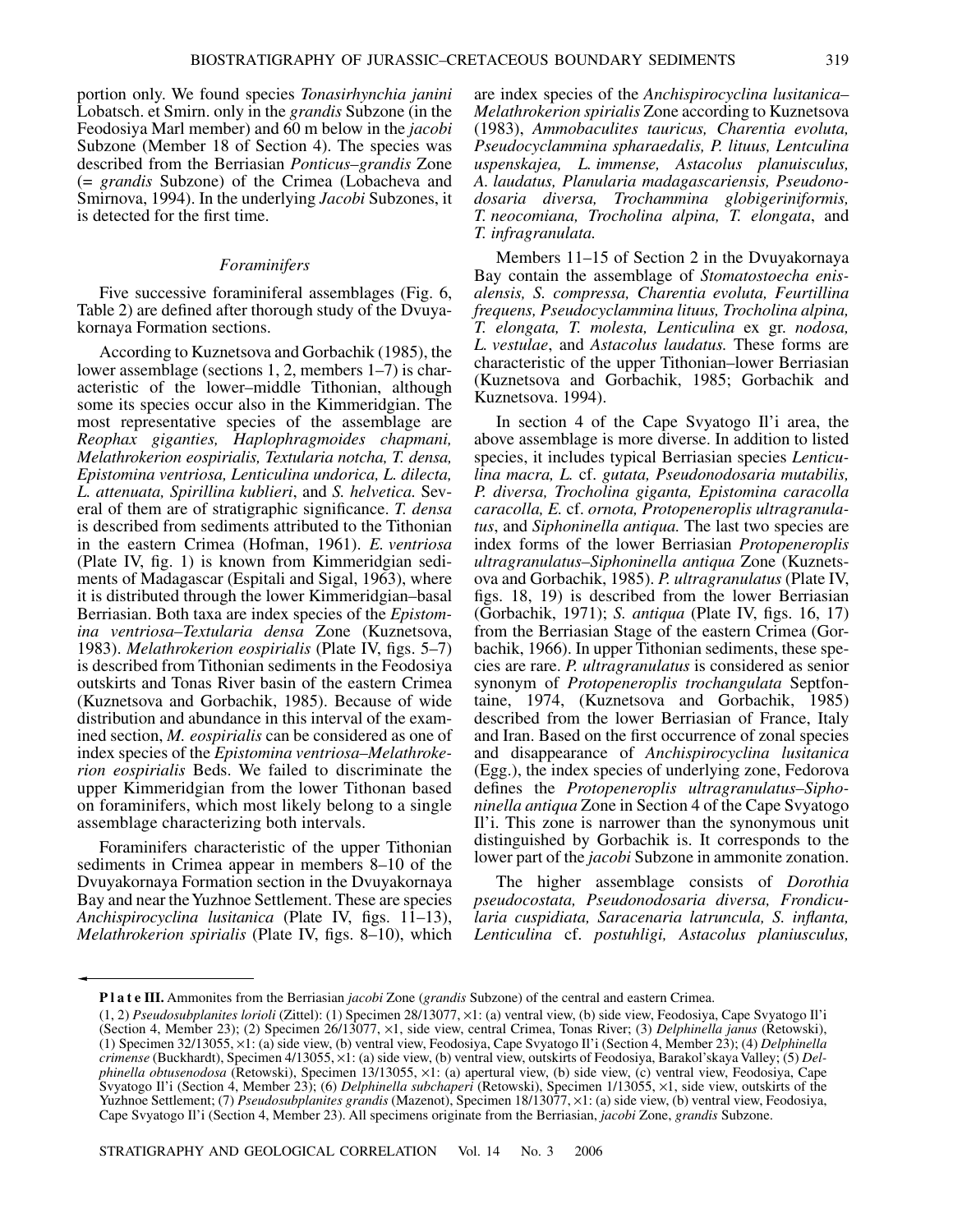portion only. We found species *Tonasirhynchia janini* Lobatsch. et Smirn. only in the *grandis* Subzone (in the Feodosiya Marl member) and 60 m below in the *jacobi* Subzone (Member 18 of Section 4). The species was described from the Berriasian *Ponticus–grandis* Zone (= *grandis* Subzone) of the Crimea (Lobacheva and Smirnova, 1994). In the underlying *Jacobi* Subzones, it is detected for the first time.

## *Foraminifers*

Five successive foraminiferal assemblages (Fig. 6, Table 2) are defined after thorough study of the Dvuyakornaya Formation sections.

According to Kuznetsova and Gorbachik (1985), the lower assemblage (sections 1, 2, members 1–7) is characteristic of the lower–middle Tithonian, although some its species occur also in the Kimmeridgian. The most representative species of the assemblage are *Reophax giganties, Haplophragmoides chapmani, Melathrokerion eospirialis, Textularia notcha, T. densa, Epistomina ventriosa, Lenticulina undorica, L. dilecta, L. attenuata, Spirillina kublieri*, and *S. helvetica.* Several of them are of stratigraphic significance. *T. densa* is described from sediments attributed to the Tithonian in the eastern Crimea (Hofman, 1961). *E. ventriosa* (Plate IV, fig. 1) is known from Kimmeridgian sediments of Madagascar (Espitali and Sigal, 1963), where it is distributed through the lower Kimmeridgian–basal Berriasian. Both taxa are index species of the *Epistomina ventriosa–Textularia densa* Zone (Kuznetsova, 1983). *Melathrokerion eospirialis* (Plate IV, figs. 5–7) is described from Tithonian sediments in the Feodosiya outskirts and Tonas River basin of the eastern Crimea (Kuznetsova and Gorbachik, 1985). Because of wide distribution and abundance in this interval of the examined section, *M. eospirialis* can be considered as one of index species of the *Epistomina ventriosa–Melathrokerion eospirialis* Beds. We failed to discriminate the upper Kimmeridgian from the lower Tithonan based on foraminifers, which most likely belong to a single assemblage characterizing both intervals.

Foraminifers characteristic of the upper Tithonian sediments in Crimea appear in members 8–10 of the Dvuyakornaya Formation section in the Dvuyakornaya Bay and near the Yuzhnoe Settlement. These are species *Anchispirocyclina lusitanica* (Plate IV, figs. 11–13), *Melathrokerion spirialis* (Plate IV, figs. 8–10), which

are index species of the *Anchispirocyclina lusitanica– Melathrokerion spirialis* Zone according to Kuznetsova (1983), *Ammobaculites tauricus, Charentia evoluta, Pseudocyclammina spharaedalis, P. lituus, Lentculina uspenskajea, L. immense, Astacolus planuisculus, A. laudatus, Planularia madagascariensis, Pseudonodosaria diversa, Trochammina globigeriniformis, T. neocomiana, Trocholina alpina, T. elongata*, and *T. infragranulata.*

Members 11–15 of Section 2 in the Dvuyakornaya Bay contain the assemblage of *Stomatostoecha enisalensis, S. compressa, Charentia evoluta, Feurtillina frequens, Pseudocyclammina lituus, Trocholina alpina, T. elongata, T. molesta, Lenticulina* ex gr. *nodosa, L. vestulae*, and *Astacolus laudatus.* These forms are characteristic of the upper Tithonian–lower Berriasian (Kuznetsova and Gorbachik, 1985; Gorbachik and Kuznetsova. 1994).

In section 4 of the Cape Svyatogo Il'i area, the above assemblage is more diverse. In addition to listed species, it includes typical Berriasian species *Lenticulina macra, L.* cf. *gutata, Pseudonodosaria mutabilis, P. diversa, Trocholina giganta, Epistomina caracolla caracolla, E.* cf. *ornota, Protopeneroplis ultragranulatus*, and *Siphoninella antiqua.* The last two species are index forms of the lower Berriasian *Protopeneroplis ultragranulatus–Siphoninella antiqua* Zone (Kuznetsova and Gorbachik, 1985). *P. ultragranulatus* (Plate IV, figs. 18, 19) is described from the lower Berriasian (Gorbachik, 1971); *S. antiqua* (Plate IV, figs. 16, 17) from the Berriasian Stage of the eastern Crimea (Gorbachik, 1966). In upper Tithonian sediments, these species are rare. *P. ultragranulatus* is considered as senior synonym of *Protopeneroplis trochangulata* Septfontaine, 1974, (Kuznetsova and Gorbachik, 1985) described from the lower Berriasian of France, Italy and Iran. Based on the first occurrence of zonal species and disappearance of *Anchispirocyclina lusitanica* (Egg.), the index species of underlying zone, Fedorova defines the *Protopeneroplis ultragranulatus–Siphoninella antiqua* Zone in Section 4 of the Cape Svyatogo Il'i. This zone is narrower than the synonymous unit distinguished by Gorbachik is. It corresponds to the lower part of the *jacobi* Subzone in ammonite zonation.

The higher assemblage consists of *Dorothia pseudocostata, Pseudonodosaria diversa, Frondicularia cuspidiata, Saracenaria latruncula, S. inflanta, Lenticulina* cf. *postuhligi, Astacolus planiusculus,*

**P l a t e III.** Ammonites from the Berriasian *jacobi* Zone (*grandis* Subzone) of the central and eastern Crimea.

<sup>(1, 2)</sup> *Pseudosubplanites lorioli* (Zittel): (1) Specimen 28/13077, ×1: (a) ventral view, (b) side view, Feodosiya, Cape Svyatogo Il'i (Section 4, Member 23); (2) Specimen 26/13077, ×1, side view, central Crimea, Tonas River; (3) *Delphinella janus* (Retowski), (1) Specimen 32/13055, ×1: (a) side view, (b) ventral view, Feodosiya, Cape Svyatogo Il'i (Section 4, Member 23); (4) *Delphinella crimense* (Buckhardt), Specimen 4/13055, ×1: (a) side view, (b) ventral view, outskirts of Feodosiya, Barakol'skaya Valley; (5) *Delphinella obtusenodosa* (Retowski), Specimen 13/13055, ×1: (a) apertural view, (b) side view, (c) ventral view, Feodosiya, Cape Svyatogo Il'i (Section 4, Member 23); (6) *Delphinella subchaperi* (Retowski), Specimen 1/13055, ×1, side view, outskirts of the Yuzhnoe Settlement; (7) *Pseudosubplanites grandis* (Mazenot), Specimen 18/13077, ×1: (a) side view, (b) ventral view, Feodosiya, Cape Svyatogo Il'i (Section 4, Member 23). All specimens originate from the Berriasian, *jacobi* Zone, *grandis* Subzone.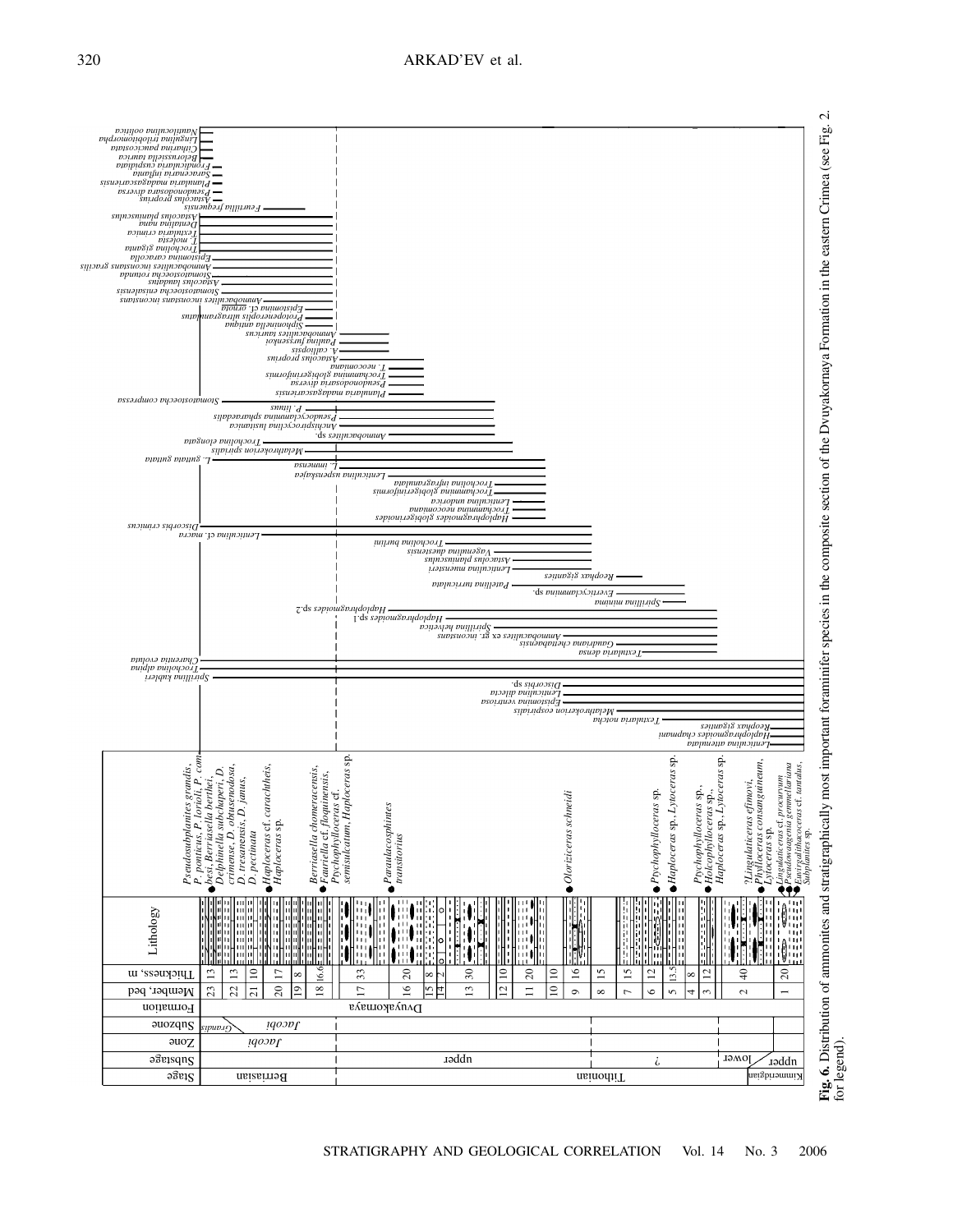

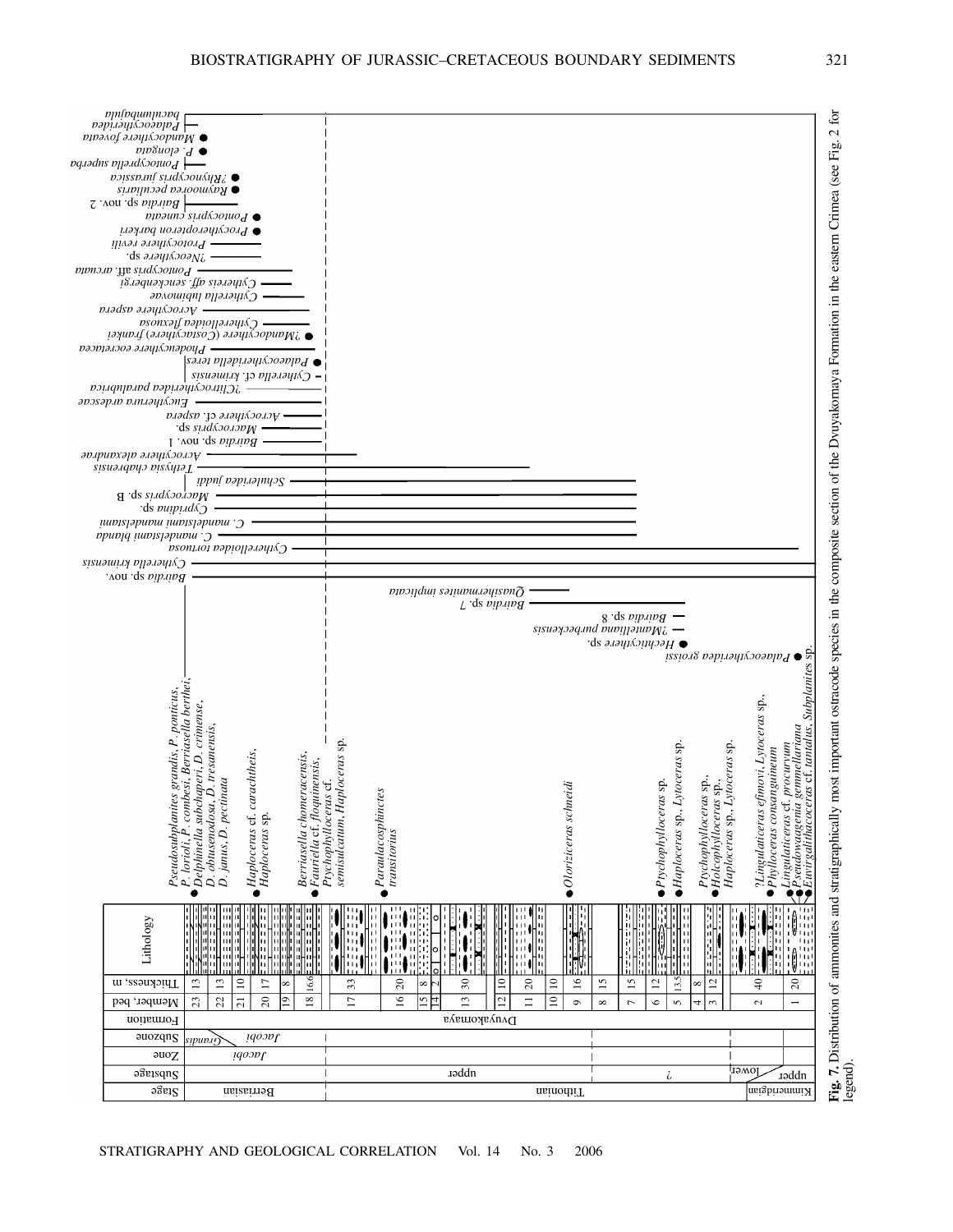

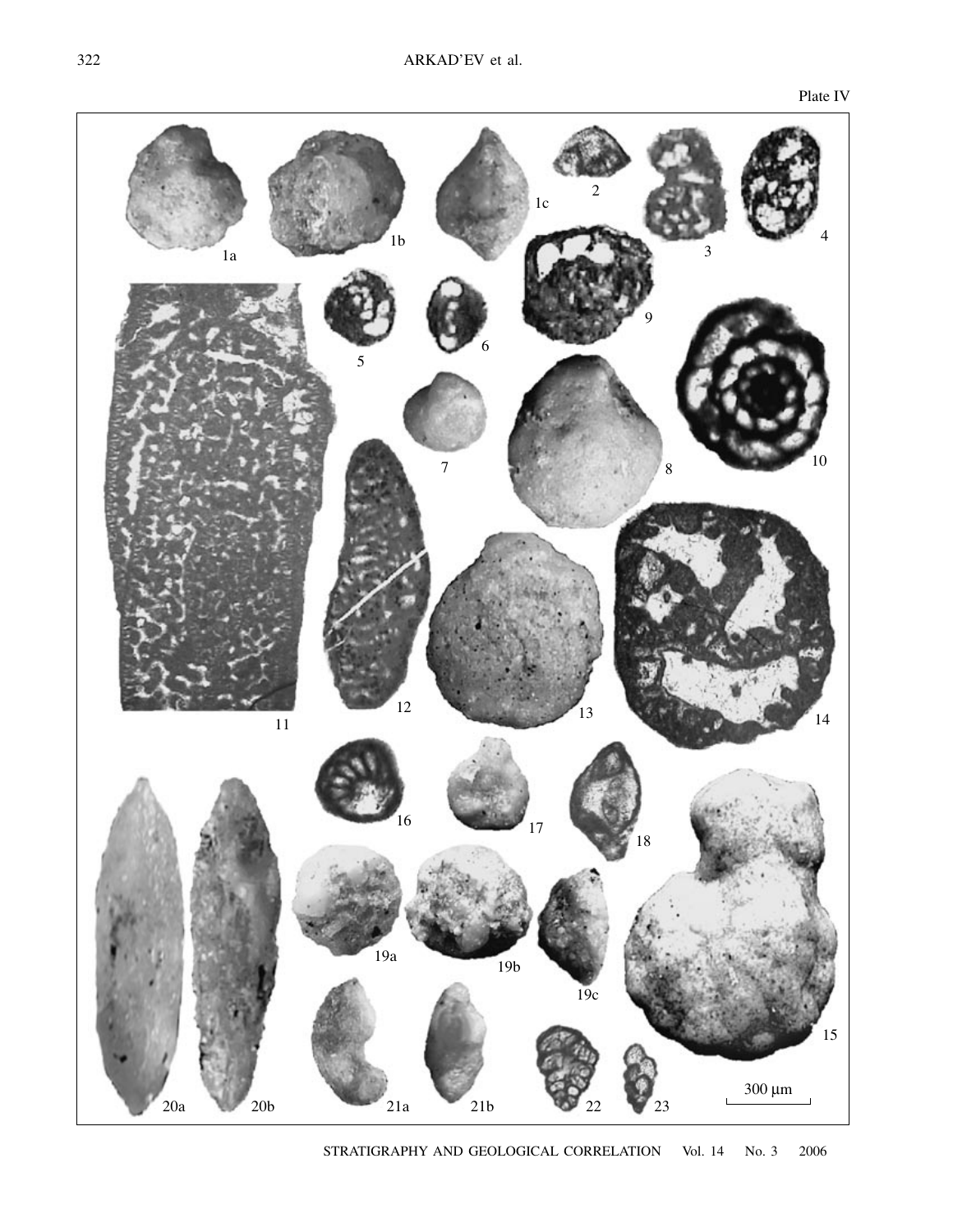

STRATIGRAPHY AND GEOLOGICAL CORRELATION Vol. 14 No. 3 2006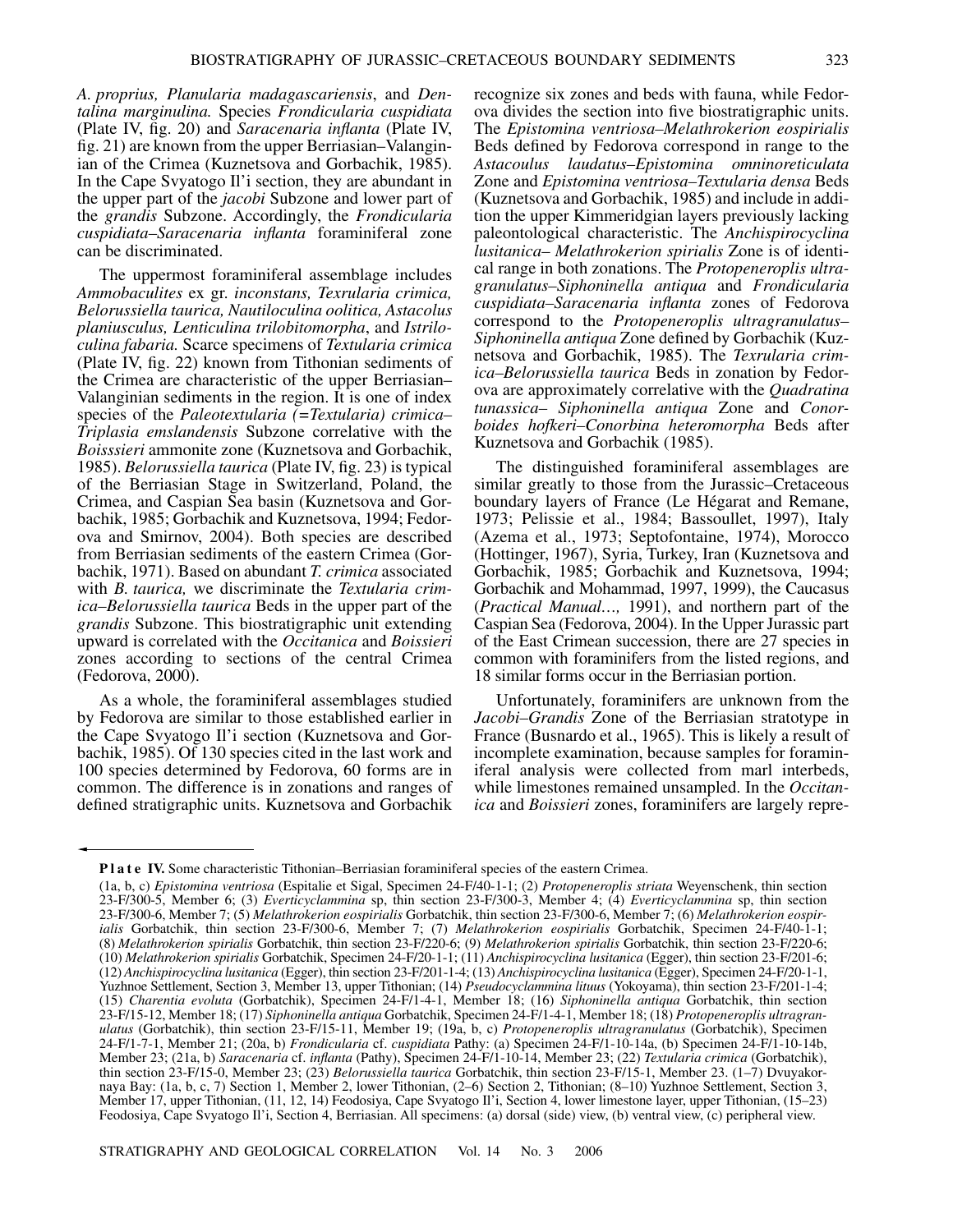*A. proprius, Planularia madagascariensis*, and *Dentalina marginulina.* Species *Frondicularia cuspidiata* (Plate IV, fig. 20) and *Saracenaria inflanta* (Plate IV, fig. 21) are known from the upper Berriasian–Valanginian of the Crimea (Kuznetsova and Gorbachik, 1985). In the Cape Svyatogo Il'i section, they are abundant in the upper part of the *jacobi* Subzone and lower part of the *grandis* Subzone. Accordingly, the *Frondicularia cuspidiata–Saracenaria inflanta* foraminiferal zone can be discriminated.

The uppermost foraminiferal assemblage includes *Ammobaculites* ex gr. *inconstans, Texrularia crimica, Belorussiella taurica, Nautiloculina oolitica, Astacolus planiusculus, Lenticulina trilobitomorpha*, and *Istriloculina fabaria.* Scarce specimens of *Textularia crimica* (Plate IV, fig. 22) known from Tithonian sediments of the Crimea are characteristic of the upper Berriasian– Valanginian sediments in the region. It is one of index species of the *Paleotextularia (=Textularia) crimica– Triplasia emslandensis* Subzone correlative with the *Boisssieri* ammonite zone (Kuznetsova and Gorbachik, 1985). *Belorussiella taurica* (Plate IV, fig. 23) is typical of the Berriasian Stage in Switzerland, Poland, the Crimea, and Caspian Sea basin (Kuznetsova and Gorbachik, 1985; Gorbachik and Kuznetsova, 1994; Fedorova and Smirnov, 2004). Both species are described from Berriasian sediments of the eastern Crimea (Gorbachik, 1971). Based on abundant *T. crimica* associated with *B. taurica,* we discriminate the *Textularia crimica–Belorussiella taurica* Beds in the upper part of the *grandis* Subzone. This biostratigraphic unit extending upward is correlated with the *Occitanica* and *Boissieri* zones according to sections of the central Crimea (Fedorova, 2000).

As a whole, the foraminiferal assemblages studied by Fedorova are similar to those established earlier in the Cape Svyatogo Il'i section (Kuznetsova and Gorbachik, 1985). Of 130 species cited in the last work and 100 species determined by Fedorova, 60 forms are in common. The difference is in zonations and ranges of defined stratigraphic units. Kuznetsova and Gorbachik recognize six zones and beds with fauna, while Fedorova divides the section into five biostratigraphic units. The *Epistomina ventriosa–Melathrokerion eospirialis* Beds defined by Fedorova correspond in range to the *Astacoulus laudatus–Epistomina omninoreticulata* Zone and *Epistomina ventriosa–Textularia densa* Beds (Kuznetsova and Gorbachik, 1985) and include in addition the upper Kimmeridgian layers previously lacking paleontological characteristic. The *Anchispirocyclina lusitanica– Melathrokerion spirialis* Zone is of identical range in both zonations. The *Protopeneroplis ultragranulatus–Siphoninella antiqua* and *Frondicularia cuspidiata–Saracenaria inflanta* zones of Fedorova correspond to the *Protopeneroplis ultragranulatus– Siphoninella antiqua* Zone defined by Gorbachik (Kuznetsova and Gorbachik, 1985). The *Texrularia crimica–Belorussiella taurica* Beds in zonation by Fedorova are approximately correlative with the *Quadratina tunassica– Siphoninella antiqua* Zone and *Conorboides hofkeri–Conorbina heteromorpha* Beds after Kuznetsova and Gorbachik (1985).

The distinguished foraminiferal assemblages are similar greatly to those from the Jurassic–Cretaceous boundary layers of France (Le Hégarat and Remane, 1973; Pelissie et al., 1984; Bassoullet, 1997), Italy (Azema et al., 1973; Septofontaine, 1974), Morocco (Hottinger, 1967), Syria, Turkey, Iran (Kuznetsova and Gorbachik, 1985; Gorbachik and Kuznetsova, 1994; Gorbachik and Mohammad, 1997, 1999), the Caucasus (*Practical Manual…,* 1991), and northern part of the Caspian Sea (Fedorova, 2004). In the Upper Jurassic part of the East Crimean succession, there are 27 species in common with foraminifers from the listed regions, and 18 similar forms occur in the Berriasian portion.

Unfortunately, foraminifers are unknown from the *Jacobi–Grandis* Zone of the Berriasian stratotype in France (Busnardo et al., 1965). This is likely a result of incomplete examination, because samples for foraminiferal analysis were collected from marl interbeds, while limestones remained unsampled. In the *Occitanica* and *Boissieri* zones, foraminifers are largely repre-

**P l a t e** IV. Some characteristic Tithonian–Berriasian foraminiferal species of the eastern Crimea.

<sup>(1</sup>a, b, c) *Epistomina ventriosa* (Espitalie et Sigal, Specimen 24-F/40-1-1; (2) *Protopeneroplis striata* Weyenschenk, thin section 23-F/300-5, Member 6; (3) *Everticyclammina* sp, thin section 23-F/300-3, Member 4; (4) *Everticyclammina* sp, thin section 23-F/300-6, Member 7; (5) *Melathrokerion eospirialis* Gorbatchik, thin section 23-F/300-6, Member 7; (6) *Melathrokerion eospirialis* Gorbatchik, thin section 23-F/300-6, Member 7; (7) *Melathrokerion eospirialis* Gorbatchik, Specimen 24-F/40-1-1; (8) *Melathrokerion spirialis* Gorbatchik, thin section 23-F/220-6; (9) *Melathrokerion spirialis* Gorbatchik, thin section 23-F/220-6; (10) *Melathrokerion spirialis* Gorbatchik, Specimen 24-F/20-1-1; (11) *Anchispirocyclina lusitanica* (Egger), thin section 23-F/201-6; (12) *Anchispirocyclina lusitanica* (Egger), thin section 23-F/201-1-4; (13) *Anchispirocyclina lusitanica* (Egger), Specimen 24-F/20-1-1, Yuzhnoe Settlement, Section 3, Member 13, upper Tithonian; (14) *Pseudocyclammina lituus* (Yokoyama), thin section 23-F/201-1-4; (15) *Charentia evoluta* (Gorbatchik), Specimen 24-F/1-4-1, Member 18; (16) *Siphoninella antiqua* Gorbatchik, thin section 23-F/15-12, Member 18; (17) *Siphoninella antiqua* Gorbatchik, Specimen 24-F/1-4-1, Member 18; (18) *Protopeneroplis ultragranulatus* (Gorbatchik), thin section 23-F/15-11, Member 19; (19a, b, c) *Protopeneroplis ultragranulatus* (Gorbatchik), Specimen 24-F/1-7-1, Member 21; (20a, b) *Frondicularia* cf. *cuspidiata* Pathy: (a) Specimen 24-F/1-10-14a, (b) Specimen 24-F/1-10-14b, Member 23; (21a, b) *Saracenaria* cf. *inflanta* (Pathy), Specimen 24-F/1-10-14, Member 23; (22) *Textularia crimica* (Gorbatchik), thin section 23-F/15-0, Member 23; (23) *Belorussiella taurica* Gorbatchik, thin section 23-F/15-1, Member 23. (1–7) Dvuyakornaya Bay: (1a, b, c, 7) Section 1, Member 2, lower Tithonian, (2–6) Section 2, Tithonian; (8–10) Yuzhnoe Settlement, Section 3, Member 17, upper Tithonian, (11, 12, 14) Feodosiya, Cape Svyatogo Il'i, Section 4, lower limestone layer, upper Tithonian, (15–23) Feodosiya, Cape Svyatogo Il'i, Section 4, Berriasian. All specimens: (a) dorsal (side) view, (b) ventral view, (c) peripheral view.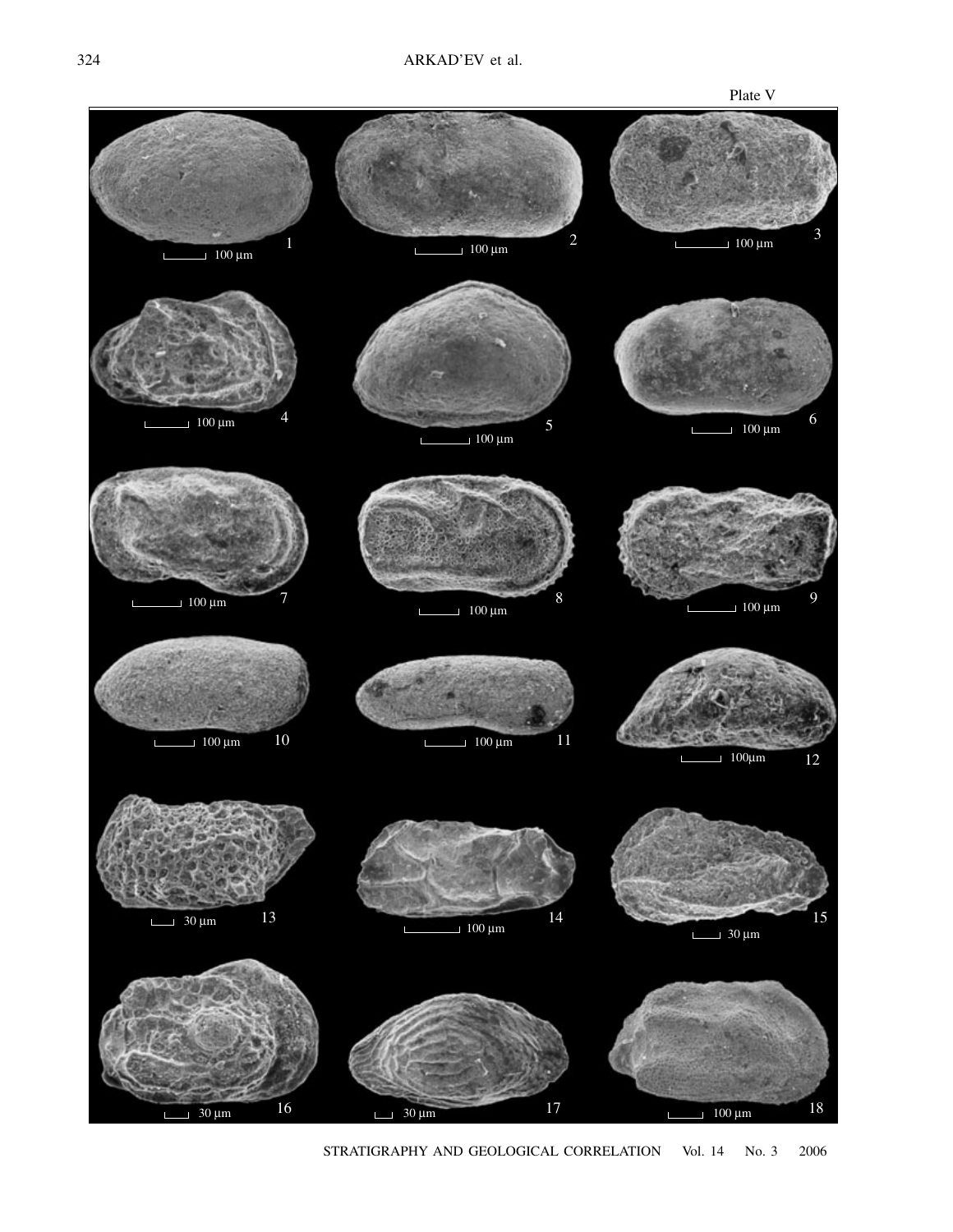

STRATIGRAPHY AND GEOLOGICAL CORRELATION Vol. 14 No. 3 2006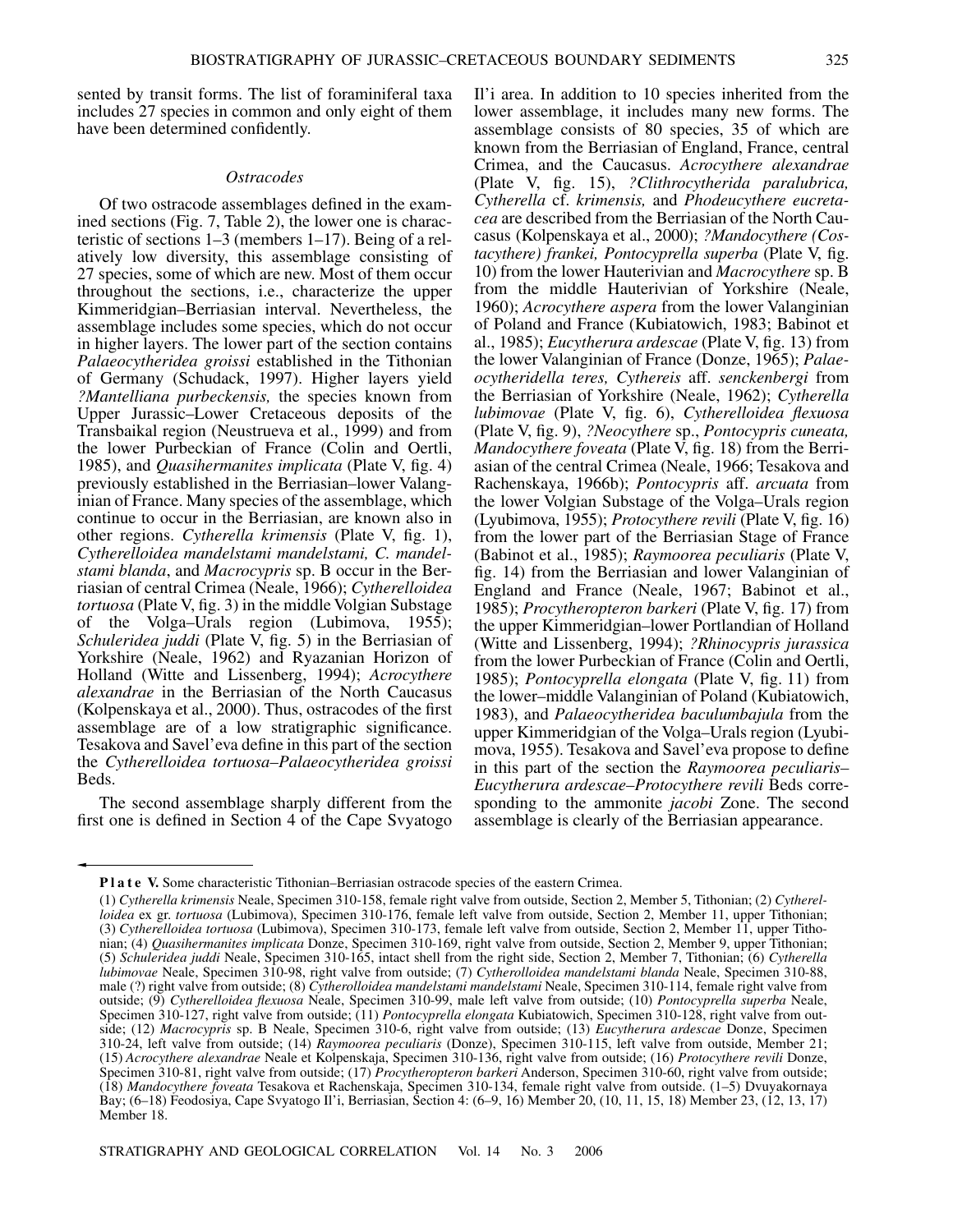sented by transit forms. The list of foraminiferal taxa includes 27 species in common and only eight of them have been determined confidently.

## *Ostracodes*

Of two ostracode assemblages defined in the examined sections (Fig. 7, Table 2), the lower one is characteristic of sections 1–3 (members 1–17). Being of a relatively low diversity, this assemblage consisting of 27 species, some of which are new. Most of them occur throughout the sections, i.e., characterize the upper Kimmeridgian–Berriasian interval. Nevertheless, the assemblage includes some species, which do not occur in higher layers. The lower part of the section contains *Palaeocytheridea groissi* established in the Tithonian of Germany (Schudack, 1997). Higher layers yield *?Mantelliana purbeckensis,* the species known from Upper Jurassic–Lower Cretaceous deposits of the Transbaikal region (Neustrueva et al., 1999) and from the lower Purbeckian of France (Colin and Oertli, 1985), and *Quasihermanites implicata* (Plate V, fig. 4) previously established in the Berriasian–lower Valanginian of France. Many species of the assemblage, which continue to occur in the Berriasian, are known also in other regions. *Cytherella krimensis* (Plate V, fig. 1), *Cytherelloidea mandelstami mandelstami, C. mandelstami blanda*, and *Macrocypris* sp. B occur in the Berriasian of central Crimea (Neale, 1966); *Cytherelloidea tortuosa* (Plate V, fig. 3) in the middle Volgian Substage of the Volga–Urals region (Lubimova, 1955); *Schuleridea juddi* (Plate V, fig. 5) in the Berriasian of Yorkshire (Neale, 1962) and Ryazanian Horizon of Holland (Witte and Lissenberg, 1994); *Acrocythere alexandrae* in the Berriasian of the North Caucasus (Kolpenskaya et al., 2000). Thus, ostracodes of the first assemblage are of a low stratigraphic significance. Tesakova and Savel'eva define in this part of the section the *Cytherelloidea tortuosa–Palaeocytheridea groissi* Beds.

The second assemblage sharply different from the first one is defined in Section 4 of the Cape Svyatogo Il'i area. In addition to 10 species inherited from the lower assemblage, it includes many new forms. The assemblage consists of 80 species, 35 of which are known from the Berriasian of England, France, central Crimea, and the Caucasus. *Acrocythere alexandrae* (Plate V, fig. 15), *?Clithrocytherida paralubrica, Cytherella* cf. *krimensis,* and *Phodeucythere eucretacea* are described from the Berriasian of the North Caucasus (Kolpenskaya et al., 2000); *?Mandocythere (Costacythere) frankei, Pontocyprella superba* (Plate V, fig. 10) from the lower Hauterivian and *Macrocythere* sp. B from the middle Hauterivian of Yorkshire (Neale, 1960); *Acrocythere aspera* from the lower Valanginian of Poland and France (Kubiatowich, 1983; Babinot et al., 1985); *Eucytherura ardescae* (Plate V, fig. 13) from the lower Valanginian of France (Donze, 1965); *Palaeocytheridella teres, Cythereis* aff. *senckenbergi* from the Berriasian of Yorkshire (Neale, 1962); *Cytherella lubimovae* (Plate V, fig. 6), *Cytherelloidea flexuosa* (Plate V, fig. 9), *?Neocythere* sp., *Pontocypris cuneata, Mandocythere foveata* (Plate V, fig. 18) from the Berriasian of the central Crimea (Neale, 1966; Tesakova and Rachenskaya, 1966b); *Pontocypris* aff. *arcuata* from the lower Volgian Substage of the Volga–Urals region (Lyubimova, 1955); *Protocythere revili* (Plate V, fig. 16) from the lower part of the Berriasian Stage of France (Babinot et al., 1985); *Raymoorea peculiaris* (Plate V, fig. 14) from the Berriasian and lower Valanginian of England and France (Neale, 1967; Babinot et al., 1985); *Procytheropteron barkeri* (Plate V, fig. 17) from the upper Kimmeridgian–lower Portlandian of Holland (Witte and Lissenberg, 1994); *?Rhinocypris jurassica* from the lower Purbeckian of France (Colin and Oertli, 1985); *Pontocyprella elongata* (Plate V, fig. 11) from the lower–middle Valanginian of Poland (Kubiatowich, 1983), and *Palaeocytheridea baculumbajula* from the upper Kimmeridgian of the Volga–Urals region (Lyubimova, 1955). Tesakova and Savel'eva propose to define in this part of the section the *Raymoorea peculiaris– Eucytherura ardescae–Protocythere revili* Beds corresponding to the ammonite *jacobi* Zone. The second assemblage is clearly of the Berriasian appearance.

**P l a t e V.** Some characteristic Tithonian–Berriasian ostracode species of the eastern Crimea.

<sup>(1)</sup> *Cytherella krimensis* Neale, Specimen 310-158, female right valve from outside, Section 2, Member 5, Tithonian; (2) *Cytherelloidea* ex gr. *tortuosa* (Lubimova), Specimen 310-176, female left valve from outside, Section 2, Member 11, upper Tithonian; (3) *Cytherelloidea tortuosa* (Lubimova), Specimen 310-173, female left valve from outside, Section 2, Member 11, upper Tithonian; (4) *Quasihermanites implicata* Donze, Specimen 310-169, right valve from outside, Section 2, Member 9, upper Tithonian; (5) *Schuleridea juddi* Neale, Specimen 310-165, intact shell from the right side, Section 2, Member 7, Tithonian; (6) *Cytherella lubimovae* Neale, Specimen 310-98, right valve from outside; (7) *Cytherolloidea mandelstami blanda* Neale, Specimen 310-88, male (?) right valve from outside; (8) *Cytherolloidea mandelstami mandelstami* Neale, Specimen 310-114, female right valve from outside; (9) *Cytherelloidea flexuosa* Neale, Specimen 310-99, male left valve from outside; (10) *Pontocyprella superba* Neale, Specimen 310-127, right valve from outside; (11) *Pontocyprella elongata* Kubiatowich, Specimen 310-128, right valve from outside; (12) *Macrocypris* sp. B Neale, Specimen 310-6, right valve from outside; (13) *Eucytherura ardescae* Donze, Specimen 310-24, left valve from outside; (14) *Raymoorea peculiaris* (Donze), Specimen 310-115, left valve from outside, Member 21; (15) *Acrocythere alexandrae* Neale et Kolpenskaja, Specimen 310-136, right valve from outside; (16) *Protocythere revili* Donze, Specimen 310-81, right valve from outside; (17) *Procytheropteron barkeri* Anderson, Specimen 310-60, right valve from outside; (18) *Mandocythere foveata* Tesakova et Rachenskaja, Specimen 310-134, female right valve from outside. (1–5) Dvuyakornaya Bay; (6–18) Feodosiya, Cape Svyatogo Il'i, Berriasian, Section 4: (6–9, 16) Member 20, (10, 11, 15, 18) Member 23, (12, 13, 17) Member 18.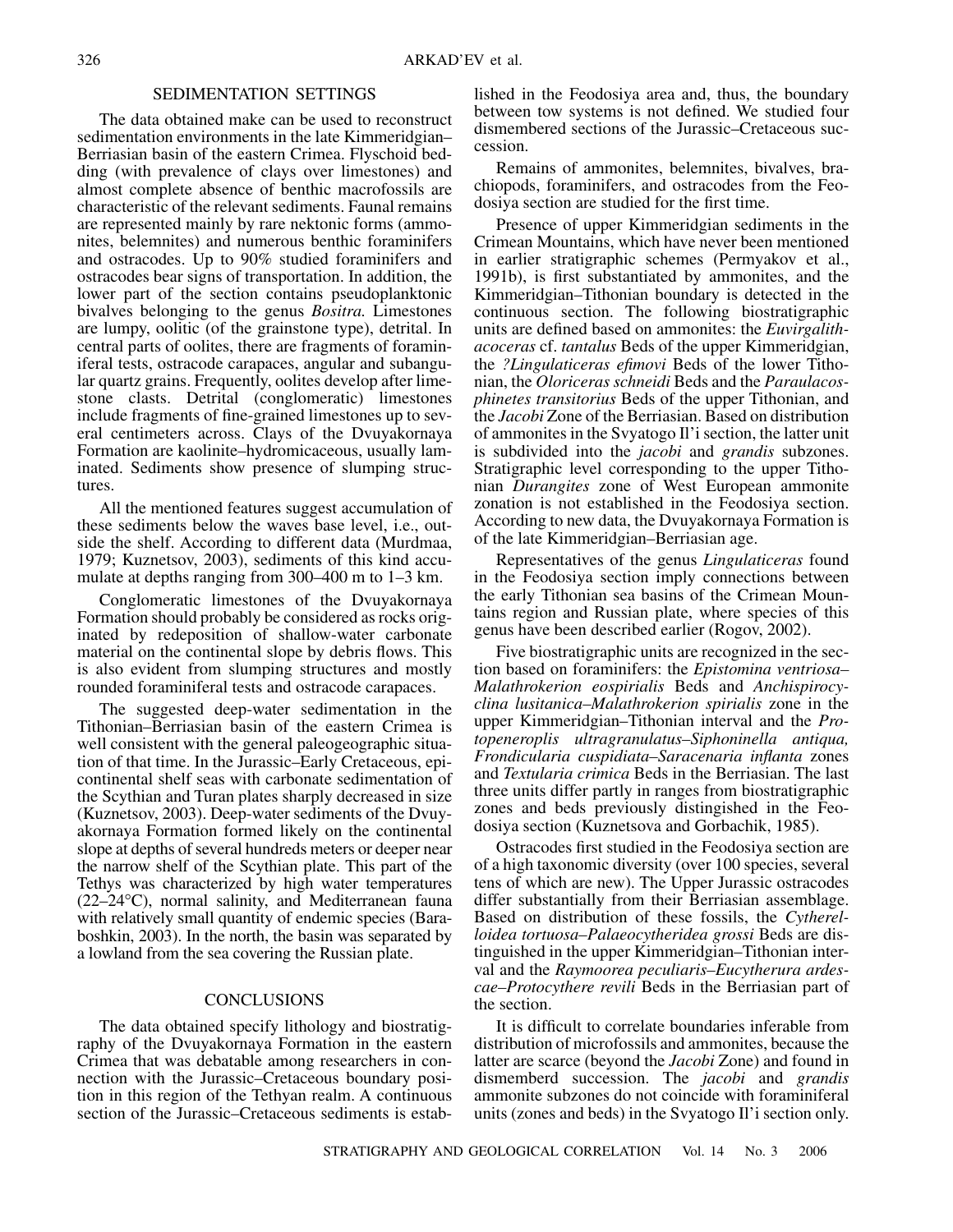## SEDIMENTATION SETTINGS

The data obtained make can be used to reconstruct sedimentation environments in the late Kimmeridgian– Berriasian basin of the eastern Crimea. Flyschoid bedding (with prevalence of clays over limestones) and almost complete absence of benthic macrofossils are characteristic of the relevant sediments. Faunal remains are represented mainly by rare nektonic forms (ammonites, belemnites) and numerous benthic foraminifers and ostracodes. Up to 90% studied foraminifers and ostracodes bear signs of transportation. In addition, the lower part of the section contains pseudoplanktonic bivalves belonging to the genus *Bositra.* Limestones are lumpy, oolitic (of the grainstone type), detrital. In central parts of oolites, there are fragments of foraminiferal tests, ostracode carapaces, angular and subangular quartz grains. Frequently, oolites develop after limestone clasts. Detrital (conglomeratic) limestones include fragments of fine-grained limestones up to several centimeters across. Clays of the Dvuyakornaya Formation are kaolinite–hydromicaceous, usually laminated. Sediments show presence of slumping structures.

All the mentioned features suggest accumulation of these sediments below the waves base level, i.e., outside the shelf. According to different data (Murdmaa, 1979; Kuznetsov, 2003), sediments of this kind accumulate at depths ranging from 300–400 m to 1–3 km.

Conglomeratic limestones of the Dvuyakornaya Formation should probably be considered as rocks originated by redeposition of shallow-water carbonate material on the continental slope by debris flows. This is also evident from slumping structures and mostly rounded foraminiferal tests and ostracode carapaces.

The suggested deep-water sedimentation in the Tithonian–Berriasian basin of the eastern Crimea is well consistent with the general paleogeographic situation of that time. In the Jurassic–Early Cretaceous, epicontinental shelf seas with carbonate sedimentation of the Scythian and Turan plates sharply decreased in size (Kuznetsov, 2003). Deep-water sediments of the Dvuyakornaya Formation formed likely on the continental slope at depths of several hundreds meters or deeper near the narrow shelf of the Scythian plate. This part of the Tethys was characterized by high water temperatures (22–24°C), normal salinity, and Mediterranean fauna with relatively small quantity of endemic species (Baraboshkin, 2003). In the north, the basin was separated by a lowland from the sea covering the Russian plate.

# **CONCLUSIONS**

The data obtained specify lithology and biostratigraphy of the Dvuyakornaya Formation in the eastern Crimea that was debatable among researchers in connection with the Jurassic–Cretaceous boundary position in this region of the Tethyan realm. A continuous section of the Jurassic–Cretaceous sediments is established in the Feodosiya area and, thus, the boundary between tow systems is not defined. We studied four dismembered sections of the Jurassic–Cretaceous succession.

Remains of ammonites, belemnites, bivalves, brachiopods, foraminifers, and ostracodes from the Feodosiya section are studied for the first time.

Presence of upper Kimmeridgian sediments in the Crimean Mountains, which have never been mentioned in earlier stratigraphic schemes (Permyakov et al., 1991b), is first substantiated by ammonites, and the Kimmeridgian–Tithonian boundary is detected in the continuous section. The following biostratigraphic units are defined based on ammonites: the *Euvirgalithacoceras* cf. *tantalus* Beds of the upper Kimmeridgian, the *?Lingulaticeras efimovi* Beds of the lower Tithonian, the *Oloriceras schneidi* Beds and the *Paraulacosphinetes transitorius* Beds of the upper Tithonian, and the *Jacobi* Zone of the Berriasian. Based on distribution of ammonites in the Svyatogo Il'i section, the latter unit is subdivided into the *jacobi* and *grandis* subzones. Stratigraphic level corresponding to the upper Tithonian *Durangites* zone of West European ammonite zonation is not established in the Feodosiya section. According to new data, the Dvuyakornaya Formation is of the late Kimmeridgian–Berriasian age.

Representatives of the genus *Lingulaticeras* found in the Feodosiya section imply connections between the early Tithonian sea basins of the Crimean Mountains region and Russian plate, where species of this genus have been described earlier (Rogov, 2002).

Five biostratigraphic units are recognized in the section based on foraminifers: the *Epistomina ventriosa– Malathrokerion eospirialis* Beds and *Anchispirocyclina lusitanica–Malathrokerion spirialis* zone in the upper Kimmeridgian–Tithonian interval and the *Protopeneroplis ultragranulatus–Siphoninella antiqua, Frondicularia cuspidiata–Saracenaria inflanta* zones and *Textularia crimica* Beds in the Berriasian. The last three units differ partly in ranges from biostratigraphic zones and beds previously distingished in the Feodosiya section (Kuznetsova and Gorbachik, 1985).

Ostracodes first studied in the Feodosiya section are of a high taxonomic diversity (over 100 species, several tens of which are new). The Upper Jurassic ostracodes differ substantially from their Berriasian assemblage. Based on distribution of these fossils, the *Cytherelloidea tortuosa–Palaeocytheridea grossi* Beds are distinguished in the upper Kimmeridgian–Tithonian interval and the *Raymoorea peculiaris–Eucytherura ardescae–Protocythere revili* Beds in the Berriasian part of the section.

It is difficult to correlate boundaries inferable from distribution of microfossils and ammonites, because the latter are scarce (beyond the *Jacobi* Zone) and found in dismemberd succession. The *jacobi* and *grandis* ammonite subzones do not coincide with foraminiferal units (zones and beds) in the Svyatogo Il'i section only.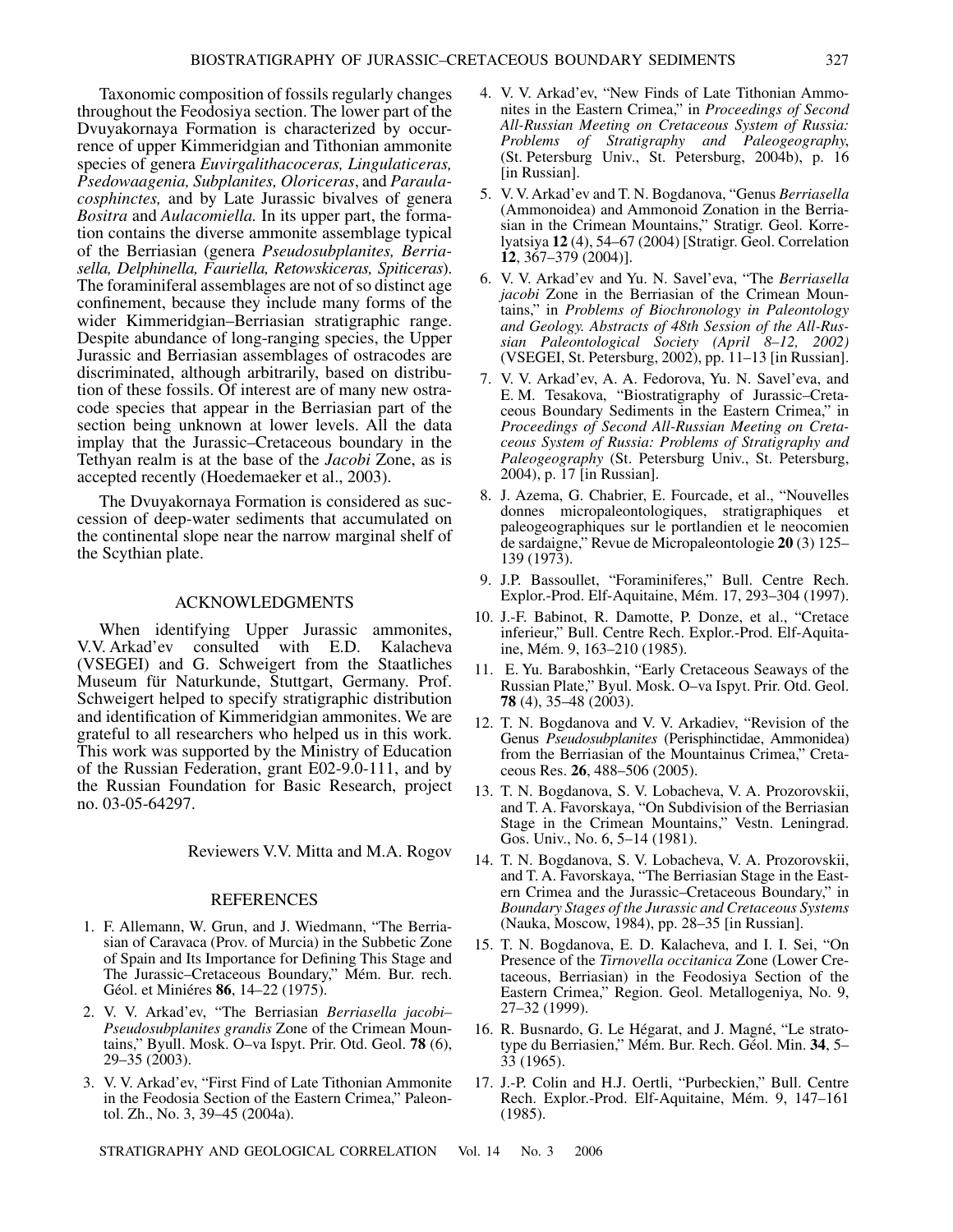Taxonomic composition of fossils regularly changes throughout the Feodosiya section. The lower part of the Dvuyakornaya Formation is characterized by occurrence of upper Kimmeridgian and Tithonian ammonite species of genera *Euvirgalithacoceras, Lingulaticeras, Psedowaagenia, Subplanites, Oloriceras*, and *Paraulacosphinctes,* and by Late Jurassic bivalves of genera *Bositra* and *Aulacomiella.* In its upper part, the formation contains the diverse ammonite assemblage typical of the Berriasian (genera *Pseudosubplanites, Berriasella, Delphinella, Fauriella, Retowskiceras, Spiticeras*). The foraminiferal assemblages are not of so distinct age confinement, because they include many forms of the wider Kimmeridgian–Berriasian stratigraphic range. Despite abundance of long-ranging species, the Upper Jurassic and Berriasian assemblages of ostracodes are discriminated, although arbitrarily, based on distribution of these fossils. Of interest are of many new ostracode species that appear in the Berriasian part of the section being unknown at lower levels. All the data implay that the Jurassic–Cretaceous boundary in the Tethyan realm is at the base of the *Jacobi* Zone, as is accepted recently (Hoedemaeker et al., 2003).

The Dvuyakornaya Formation is considered as succession of deep-water sediments that accumulated on the continental slope near the narrow marginal shelf of the Scythian plate.

#### ACKNOWLEDGMENTS

When identifying Upper Jurassic ammonites, V.V. Arkad'ev consulted with E.D. Kalacheva (VSEGEI) and G. Schweigert from the Staatliches Museum für Naturkunde, Stuttgart, Germany. Prof. Schweigert helped to specify stratigraphic distribution and identification of Kimmeridgian ammonites. We are grateful to all researchers who helped us in this work. This work was supported by the Ministry of Education of the Russian Federation, grant E02-9.0-111, and by the Russian Foundation for Basic Research, project no. 03-05-64297.

### Reviewers V.V. Mitta and M.A. Rogov

## REFERENCES

- 1. F. Allemann, W. Grun, and J. Wiedmann, "The Berriasian of Caravaca (Prov. of Murcia) in the Subbetic Zone of Spain and Its Importance for Defining This Stage and The Jurassic–Cretaceous Boundary," Mém. Bur. rech. Géol. et Miniéres **86**, 14–22 (1975).
- 2. V. V. Arkad'ev, "The Berriasian *Berriasella jacobi– Pseudosubplanites grandis* Zone of the Crimean Mountains," Byull. Mosk. O–va Ispyt. Prir. Otd. Geol. **78** (6), 29–35 (2003).
- 3. V. V. Arkad'ev, "First Find of Late Tithonian Ammonite in the Feodosia Section of the Eastern Crimea," Paleontol. Zh., No. 3, 39–45 (2004a).
- 4. V. V. Arkad'ev, "New Finds of Late Tithonian Ammonites in the Eastern Crimea," in *Proceedings of Second All-Russian Meeting on Cretaceous System of Russia: Problems of Stratigraphy and Paleogeography*, (St. Petersburg Univ., St. Petersburg, 2004b), p. 16 [in Russian].
- 5. V. V. Arkad'ev and T. N. Bogdanova, "Genus *Berriasella* (Ammonoidea) and Ammonoid Zonation in the Berriasian in the Crimean Mountains," Stratigr. Geol. Korrelyatsiya **12** (4), 54–67 (2004) [Stratigr. Geol. Correlation **12**, 367–379 (2004)].
- 6. V. V. Arkad'ev and Yu. N. Savel'eva, "The *Berriasella jacobi* Zone in the Berriasian of the Crimean Mountains," in *Problems of Biochronology in Paleontology and Geology. Abstracts of 48th Session of the All-Russian Paleontological Society (April 8–12, 2002)* (VSEGEI, St. Petersburg, 2002), pp. 11–13 [in Russian].
- 7. V. V. Arkad'ev, A. A. Fedorova, Yu. N. Savel'eva, and E. M. Tesakova, "Biostratigraphy of Jurassic–Cretaceous Boundary Sediments in the Eastern Crimea," in *Proceedings of Second All-Russian Meeting on Cretaceous System of Russia: Problems of Stratigraphy and Paleogeography* (St. Petersburg Univ., St. Petersburg, 2004), p. 17 [in Russian].
- 8. J. Azema, G. Chabrier, E. Fourcade, et al., "Nouvelles donnes micropaleontologiques, stratigraphiques et paleogeographiques sur le portlandien et le neocomien de sardaigne," Revue de Micropaleontologie **20** (3) 125– 139 (1973).
- 9. J.P. Bassoullet, "Foraminiferes," Bull. Centre Rech. Explor.-Prod. Elf-Aquitaine, Mém. 17, 293–304 (1997).
- 10. J.-F. Babinot, R. Damotte, P. Donze, et al., "Cretace inferieur," Bull. Centre Rech. Explor.-Prod. Elf-Aquitaine, Mém. 9, 163–210 (1985).
- 11. E. Yu. Baraboshkin, "Early Cretaceous Seaways of the Russian Plate," Byul. Mosk. O–va Ispyt. Prir. Otd. Geol. **78** (4), 35–48 (2003).
- 12. T. N. Bogdanova and V. V. Arkadiev, "Revision of the Genus *Pseudosubplanites* (Perisphinctidae, Ammonidea) from the Berriasian of the Mountainus Crimea," Cretaceous Res. **26**, 488–506 (2005).
- 13. T. N. Bogdanova, S. V. Lobacheva, V. A. Prozorovskii, and T. A. Favorskaya, "On Subdivision of the Berriasian Stage in the Crimean Mountains," Vestn. Leningrad. Gos. Univ., No. 6, 5–14 (1981).
- 14. T. N. Bogdanova, S. V. Lobacheva, V. A. Prozorovskii, and T. A. Favorskaya, "The Berriasian Stage in the Eastern Crimea and the Jurassic–Cretaceous Boundary," in *Boundary Stages of the Jurassic and Cretaceous Systems* (Nauka, Moscow, 1984), pp. 28–35 [in Russian].
- 15. T. N. Bogdanova, E. D. Kalacheva, and I. I. Sei, "On Presence of the *Tirnovella occitanica* Zone (Lower Cretaceous, Berriasian) in the Feodosiya Section of the Eastern Crimea," Region. Geol. Metallogeniya, No. 9, 27–32 (1999).
- 16. R. Busnardo, G. Le Hégarat, and J. Magné, "Le stratotype du Berriasien," Mém. Bur. Rech. Géol. Min. **34**, 5– 33 (1965).
- 17. J.-P. Colin and H.J. Oertli, "Purbeckien," Bull. Centre Rech. Explor.-Prod. Elf-Aquitaine, Mém. 9, 147–161 (1985).

STRATIGRAPHY AND GEOLOGICAL CORRELATION Vol. 14 No. 3 2006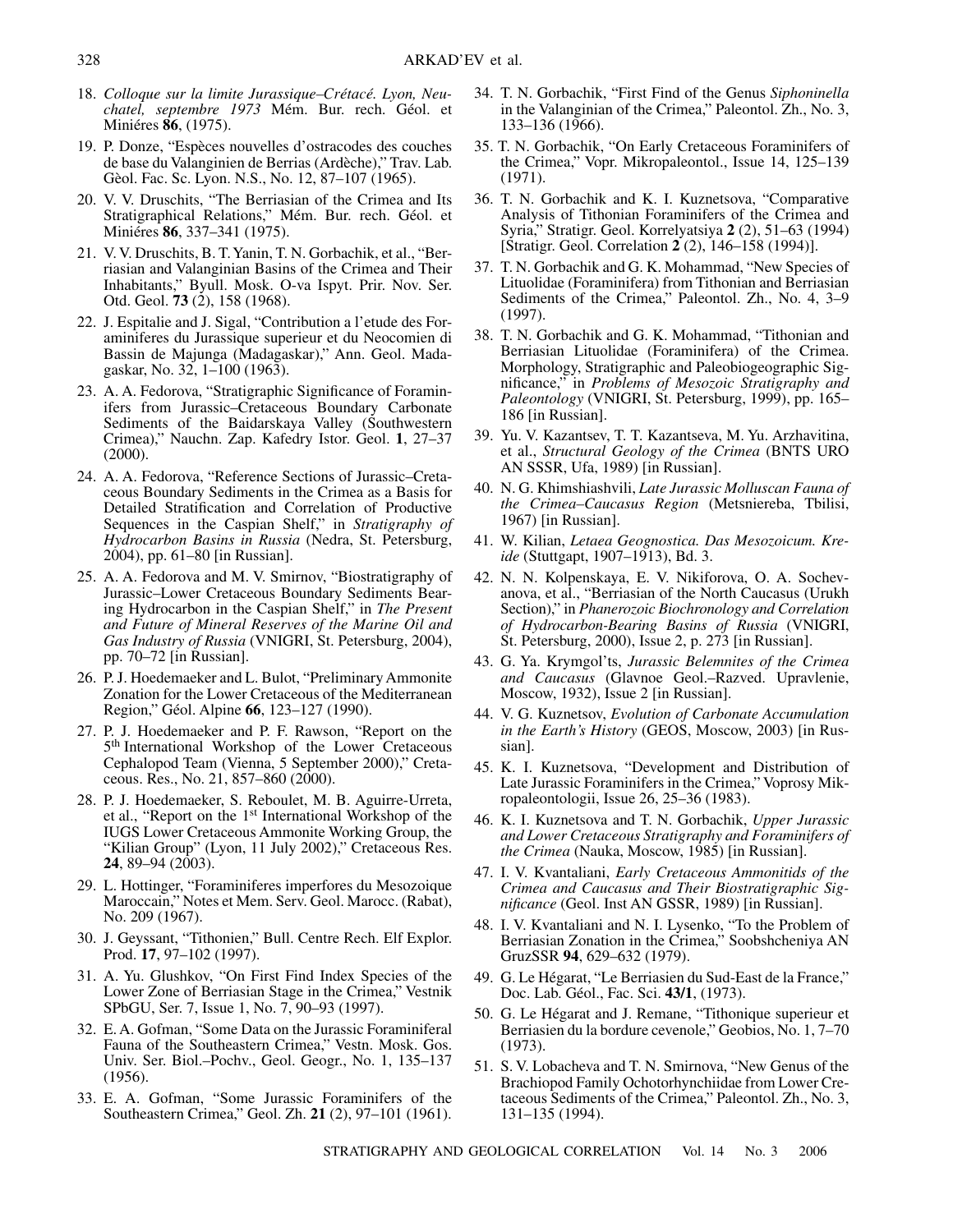- 18. *Colloque sur la limite Jurassique–Crétacé. Lyon, Neuchatel, septembre 1973* Mém. Bur. rech. Géol. et Miniéres **86**, (1975).
- 19. P. Donze, "Espèces nouvelles d'ostracodes des couches de base du Valanginien de Berrias (Ardèche)," Trav. Lab. Gèol. Fac. Sc. Lyon. N.S., No. 12, 87–107 (1965).
- 20. V. V. Druschits, "The Berriasian of the Crimea and Its Stratigraphical Relations," Mém. Bur. rech. Géol. et Miniéres **86**, 337–341 (1975).
- 21. V. V. Druschits, B. T. Yanin, T. N. Gorbachik, et al., "Berriasian and Valanginian Basins of the Crimea and Their Inhabitants," Byull. Mosk. O-va Ispyt. Prir. Nov. Ser. Otd. Geol. **73** (2), 158 (1968).
- 22. J. Espitalie and J. Sigal, "Contribution a l'etude des Foraminiferes du Jurassique superieur et du Neocomien di Bassin de Majunga (Madagaskar)," Ann. Geol. Madagaskar, No. 32, 1–100 (1963).
- 23. A. A. Fedorova, "Stratigraphic Significance of Foraminifers from Jurassic–Cretaceous Boundary Carbonate Sediments of the Baidarskaya Valley (Southwestern Crimea)," Nauchn. Zap. Kafedry Istor. Geol. **1**, 27–37 (2000).
- 24. A. A. Fedorova, "Reference Sections of Jurassic–Cretaceous Boundary Sediments in the Crimea as a Basis for Detailed Stratification and Correlation of Productive Sequences in the Caspian Shelf," in *Stratigraphy of Hydrocarbon Basins in Russia* (Nedra, St. Petersburg, 2004), pp. 61–80 [in Russian].
- 25. A. A. Fedorova and M. V. Smirnov, "Biostratigraphy of Jurassic–Lower Cretaceous Boundary Sediments Bearing Hydrocarbon in the Caspian Shelf," in *The Present and Future of Mineral Reserves of the Marine Oil and Gas Industry of Russia* (VNIGRI, St. Petersburg, 2004), pp. 70–72 [in Russian].
- 26. P. J. Hoedemaeker and L. Bulot, "Preliminary Ammonite Zonation for the Lower Cretaceous of the Mediterranean Region," Géol. Alpine **66**, 123–127 (1990).
- 27. P. J. Hoedemaeker and P. F. Rawson, "Report on the 5<sup>th</sup> International Workshop of the Lower Cretaceous Cephalopod Team (Vienna, 5 September 2000)," Cretaceous. Res., No. 21, 857–860 (2000).
- 28. P. J. Hoedemaeker, S. Reboulet, M. B. Aguirre-Urreta, et al., "Report on the 1st International Workshop of the IUGS Lower Cretaceous Ammonite Working Group, the "Kilian Group" (Lyon, 11 July 2002)," Cretaceous Res. **24**, 89–94 (2003).
- 29. L. Hottinger, "Foraminiferes imperfores du Mesozoique Maroccain," Notes et Mem. Serv. Geol. Marocc. (Rabat), No. 209 (1967).
- 30. J. Geyssant, "Tithonien," Bull. Centre Rech. Elf Explor. Prod. **17**, 97–102 (1997).
- 31. A. Yu. Glushkov, "On First Find Index Species of the Lower Zone of Berriasian Stage in the Crimea," Vestnik SPbGU, Ser. 7, Issue 1, No. 7, 90–93 (1997).
- 32. E. A. Gofman, "Some Data on the Jurassic Foraminiferal Fauna of the Southeastern Crimea," Vestn. Mosk. Gos. Univ. Ser. Biol.–Pochv., Geol. Geogr., No. 1, 135–137 (1956).
- 33. E. A. Gofman, "Some Jurassic Foraminifers of the Southeastern Crimea," Geol. Zh. **21** (2), 97–101 (1961).
- 34. T. N. Gorbachik, "First Find of the Genus *Siphoninella* in the Valanginian of the Crimea," Paleontol. Zh., No. 3, 133–136 (1966).
- 35. T. N. Gorbachik, "On Early Cretaceous Foraminifers of the Crimea," Vopr. Mikropaleontol., Issue 14, 125–139 (1971).
- 36. T. N. Gorbachik and K. I. Kuznetsova, "Comparative Analysis of Tithonian Foraminifers of the Crimea and Syria," Stratigr. Geol. Korrelyatsiya **2** (2), 51–63 (1994) [Stratigr. Geol. Correlation **2** (2), 146–158 (1994)].
- 37. T. N. Gorbachik and G. K. Mohammad, "New Species of Lituolidae (Foraminifera) from Tithonian and Berriasian Sediments of the Crimea," Paleontol. Zh., No. 4, 3–9 (1997).
- 38. T. N. Gorbachik and G. K. Mohammad, "Tithonian and Berriasian Lituolidae (Foraminifera) of the Crimea. Morphology, Stratigraphic and Paleobiogeographic Significance," in *Problems of Mesozoic Stratigraphy and Paleontology* (VNIGRI, St. Petersburg, 1999), pp. 165– 186 [in Russian].
- 39. Yu. V. Kazantsev, T. T. Kazantseva, M. Yu. Arzhavitina, et al., *Structural Geology of the Crimea* (BNTS URO AN SSSR, Ufa, 1989) [in Russian].
- 40. N. G. Khimshiashvili, *Late Jurassic Molluscan Fauna of the Crimea–Caucasus Region* (Metsniereba, Tbilisi, 1967) [in Russian].
- 41. W. Kilian, *Letaea Geognostica. Das Mesozoicum. Kreide* (Stuttgapt, 1907–1913), Bd. 3.
- 42. N. N. Kolpenskaya, E. V. Nikiforova, O. A. Sochevanova, et al., "Berriasian of the North Caucasus (Urukh Section)," in *Phanerozoic Biochronology and Correlation of Hydrocarbon-Bearing Basins of Russia* (VNIGRI, St. Petersburg, 2000), Issue 2, p. 273 [in Russian].
- 43. G. Ya. Krymgol'ts, *Jurassic Belemnites of the Crimea and Caucasus* (Glavnoe Geol.–Razved. Upravlenie, Moscow, 1932), Issue 2 [in Russian].
- 44. V. G. Kuznetsov, *Evolution of Carbonate Accumulation in the Earth's History* (GEOS, Moscow, 2003) [in Russian].
- 45. K. I. Kuznetsova, "Development and Distribution of Late Jurassic Foraminifers in the Crimea," Voprosy Mikropaleontologii, Issue 26, 25–36 (1983).
- 46. K. I. Kuznetsova and T. N. Gorbachik, *Upper Jurassic and Lower Cretaceous Stratigraphy and Foraminifers of the Crimea* (Nauka, Moscow, 1985) [in Russian].
- 47. I. V. Kvantaliani, *Early Cretaceous Ammonitids of the Crimea and Caucasus and Their Biostratigraphic Significance* (Geol. Inst AN GSSR, 1989) [in Russian].
- 48. I. V. Kvantaliani and N. I. Lysenko, "To the Problem of Berriasian Zonation in the Crimea," Soobshcheniya AN GruzSSR **94**, 629–632 (1979).
- 49. G. Le Hégarat, "Le Berriasien du Sud-East de la France," Doc. Lab. Géol., Fac. Sci. **43/1**, (1973).
- 50. G. Le Hégarat and J. Remane, "Tithonique superieur et Berriasien du la bordure cevenole," Geobios, No. 1, 7–70 (1973).
- 51. S. V. Lobacheva and T. N. Smirnova, "New Genus of the Brachiopod Family Ochotorhynchiidae from Lower Cretaceous Sediments of the Crimea," Paleontol. Zh., No. 3, 131–135 (1994).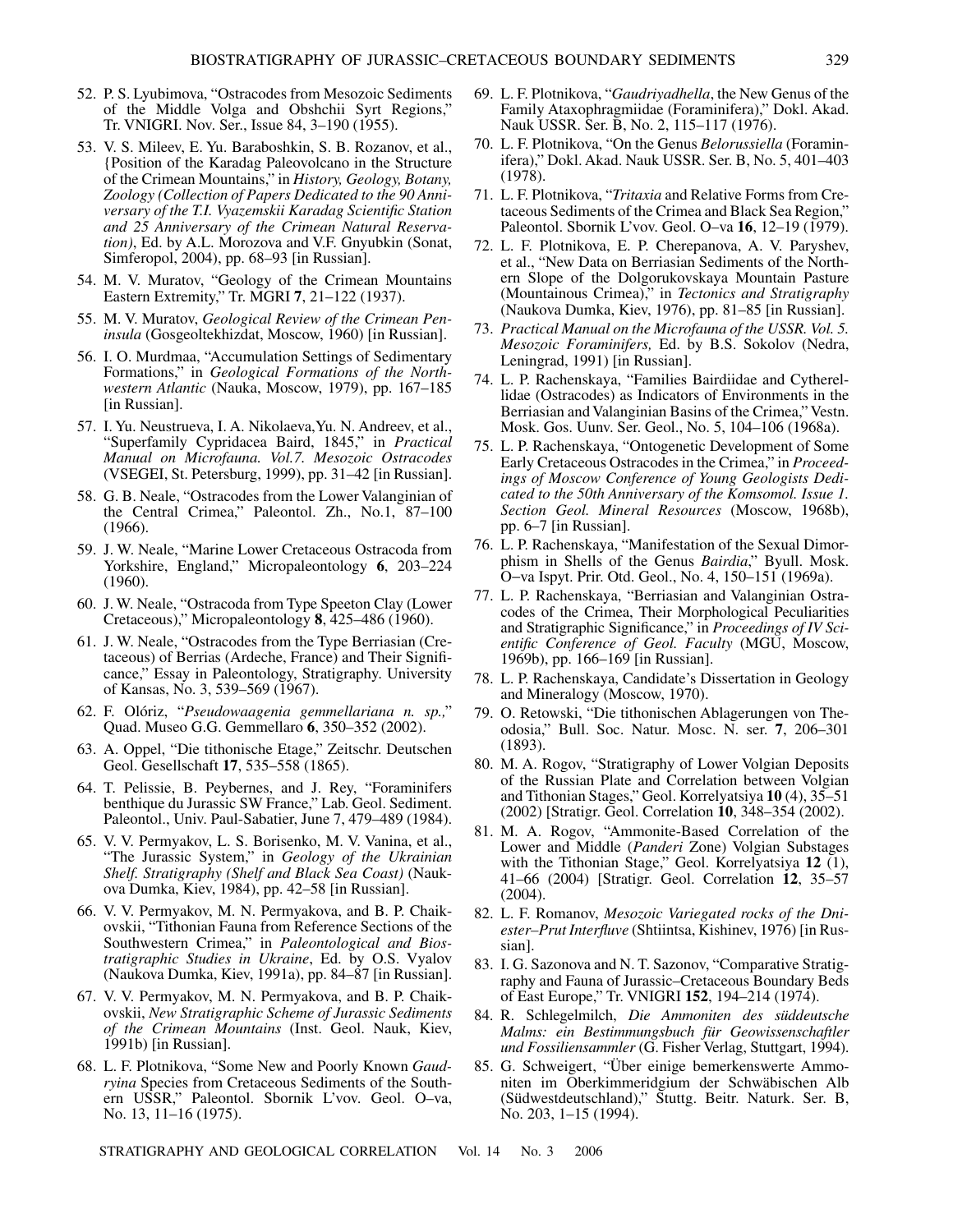- 52. P. S. Lyubimova, "Ostracodes from Mesozoic Sediments of the Middle Volga and Obshchii Syrt Regions," Tr. VNIGRI. Nov. Ser., Issue 84, 3–190 (1955).
- 53. V. S. Mileev, E. Yu. Baraboshkin, S. B. Rozanov, et al., {Position of the Karadag Paleovolcano in the Structure of the Crimean Mountains," in *History, Geology, Botany, Zoology (Collection of Papers Dedicated to the 90 Anniversary of the T.I. Vyazemskii Karadag Scientific Station and 25 Anniversary of the Crimean Natural Reservation)*, Ed. by A.L. Morozova and V.F. Gnyubkin (Sonat, Simferopol, 2004), pp. 68–93 [in Russian].
- 54. M. V. Muratov, "Geology of the Crimean Mountains Eastern Extremity," Tr. MGRI **7**, 21–122 (1937).
- 55. M. V. Muratov, *Geological Review of the Crimean Peninsula* (Gosgeoltekhizdat, Moscow, 1960) [in Russian].
- 56. I. O. Murdmaa, "Accumulation Settings of Sedimentary Formations," in *Geological Formations of the Northwestern Atlantic* (Nauka, Moscow, 1979), pp. 167–185 [in Russian].
- 57. I. Yu. Neustrueva, I. A. Nikolaeva,Yu. N. Andreev, et al., "Superfamily Cypridacea Baird, 1845," in *Practical Manual on Microfauna. Vol.7. Mesozoic Ostracodes* (VSEGEI, St. Petersburg, 1999), pp. 31–42 [in Russian].
- 58. G. B. Neale, "Ostracodes from the Lower Valanginian of the Central Crimea," Paleontol. Zh., No.1, 87–100 (1966).
- 59. J. W. Neale, "Marine Lower Cretaceous Ostracoda from Yorkshire, England," Micropaleontology **6**, 203–224 (1960).
- 60. J. W. Neale, "Ostracoda from Type Speeton Clay (Lower Cretaceous)," Micropaleontology **8**, 425–486 (1960).
- 61. J. W. Neale, "Ostracodes from the Type Berriasian (Cretaceous) of Berrias (Ardeche, France) and Their Significance," Essay in Paleontology, Stratigraphy. University of Kansas, No. 3, 539–569 (1967).
- 62. F. Olóriz, "*Pseudowaagenia gemmellariana n. sp.,*" Quad. Museo G.G. Gemmellaro **6**, 350–352 (2002).
- 63. A. Oppel, "Die tithonische Etage," Zeitschr. Deutschen Geol. Gesellschaft **17**, 535–558 (1865).
- 64. T. Pelissie, B. Peybernes, and J. Rey, "Foraminifers benthique du Jurassic SW France," Lab. Geol. Sediment. Paleontol., Univ. Paul-Sabatier, June 7, 479–489 (1984).
- 65. V. V. Permyakov, L. S. Borisenko, M. V. Vanina, et al., "The Jurassic System," in *Geology of the Ukrainian Shelf. Stratigraphy (Shelf and Black Sea Coast)* (Naukova Dumka, Kiev, 1984), pp. 42–58 [in Russian].
- 66. V. V. Permyakov, M. N. Permyakova, and B. P. Chaikovskii, "Tithonian Fauna from Reference Sections of the Southwestern Crimea," in *Paleontological and Biostratigraphic Studies in Ukraine*, Ed. by O.S. Vyalov (Naukova Dumka, Kiev, 1991a), pp. 84–87 [in Russian].
- 67. V. V. Permyakov, M. N. Permyakova, and B. P. Chaikovskii, *New Stratigraphic Scheme of Jurassic Sediments of the Crimean Mountains* (Inst. Geol. Nauk, Kiev, 1991b) [in Russian].
- 68. L. F. Plotnikova, "Some New and Poorly Known *Gaudryina* Species from Cretaceous Sediments of the Southern USSR," Paleontol. Sbornik L'vov. Geol. O–va, No. 13, 11–16 (1975).
- 69. L. F. Plotnikova, "*Gaudriyadhella*, the New Genus of the Family Ataxophragmiidae (Foraminifera)," Dokl. Akad. Nauk USSR. Ser. B, No. 2, 115–117 (1976).
- 70. L. F. Plotnikova, "On the Genus *Belorussiella* (Foraminifera)," Dokl. Akad. Nauk USSR. Ser. B, No. 5, 401–403 (1978).
- 71. L. F. Plotnikova, "*Tritaxia* and Relative Forms from Cretaceous Sediments of the Crimea and Black Sea Region," Paleontol. Sbornik L'vov. Geol. O–va **16**, 12–19 (1979).
- 72. L. F. Plotnikova, E. P. Cherepanova, A. V. Paryshev, et al., "New Data on Berriasian Sediments of the Northern Slope of the Dolgorukovskaya Mountain Pasture (Mountainous Crimea)," in *Tectonics and Stratigraphy* (Naukova Dumka, Kiev, 1976), pp. 81–85 [in Russian].
- 73. *Practical Manual on the Microfauna of the USSR. Vol. 5. Mesozoic Foraminifers,* Ed. by B.S. Sokolov (Nedra, Leningrad, 1991) [in Russian].
- 74. L. P. Rachenskaya, "Families Bairdiidae and Cytherellidae (Ostracodes) as Indicators of Environments in the Berriasian and Valanginian Basins of the Crimea," Vestn. Mosk. Gos. Uunv. Ser. Geol., No. 5, 104–106 (1968a).
- 75. L. P. Rachenskaya, "Ontogenetic Development of Some Early Cretaceous Ostracodes in the Crimea," in *Proceedings of Moscow Conference of Young Geologists Dedicated to the 50th Anniversary of the Komsomol. Issue 1. Section Geol. Mineral Resources* (Moscow, 1968b), pp. 6–7 [in Russian].
- 76. L. P. Rachenskaya, "Manifestation of the Sexual Dimorphism in Shells of the Genus *Bairdia*," Byull. Mosk. O−va Ispyt. Prir. Otd. Geol., No. 4, 150–151 (1969a).
- 77. L. P. Rachenskaya, "Berriasian and Valanginian Ostracodes of the Crimea, Their Morphological Peculiarities and Stratigraphic Significance," in *Proceedings of IV Scientific Conference of Geol. Faculty* (MGU, Moscow, 1969b), pp. 166–169 [in Russian].
- 78. L. P. Rachenskaya, Candidate's Dissertation in Geology and Mineralogy (Moscow, 1970).
- 79. O. Retowski, "Die tithonischen Ablagerungen von Theodosia," Bull. Soc. Natur. Mosc. N. ser. **7**, 206–301 (1893).
- 80. M. A. Rogov, "Stratigraphy of Lower Volgian Deposits of the Russian Plate and Correlation between Volgian and Tithonian Stages," Geol. Korrelyatsiya **10** (4), 35–51 (2002) [Stratigr. Geol. Correlation **10**, 348–354 (2002).
- 81. M. A. Rogov, "Ammonite-Based Correlation of the Lower and Middle (*Panderi* Zone) Volgian Substages with the Tithonian Stage," Geol. Korrelyatsiya **12** (1), 41–66 (2004) [Stratigr. Geol. Correlation **12**, 35–57 (2004).
- 82. L. F. Romanov, *Mesozoic Variegated rocks of the Dniester–Prut Interfluve* (Shtiintsa, Kishinev, 1976) [in Russian].
- 83. I. G. Sazonova and N. T. Sazonov, "Comparative Stratigraphy and Fauna of Jurassic–Cretaceous Boundary Beds of East Europe," Tr. VNIGRI **152**, 194–214 (1974).
- 84. R. Schlegelmilch, *Die Ammoniten des süddeutsche Malms: ein Bestimmungsbuch für Geowissenschaftler und Fossiliensammler* (G. Fisher Verlag, Stuttgart, 1994).
- 85. G. Schweigert, "Über einige bemerkenswerte Ammoniten im Oberkimmeridgium der Schwäbischen Alb (Südwestdeutschland)," Stuttg. Beitr. Naturk. Ser. B, No. 203, 1–15 (1994).